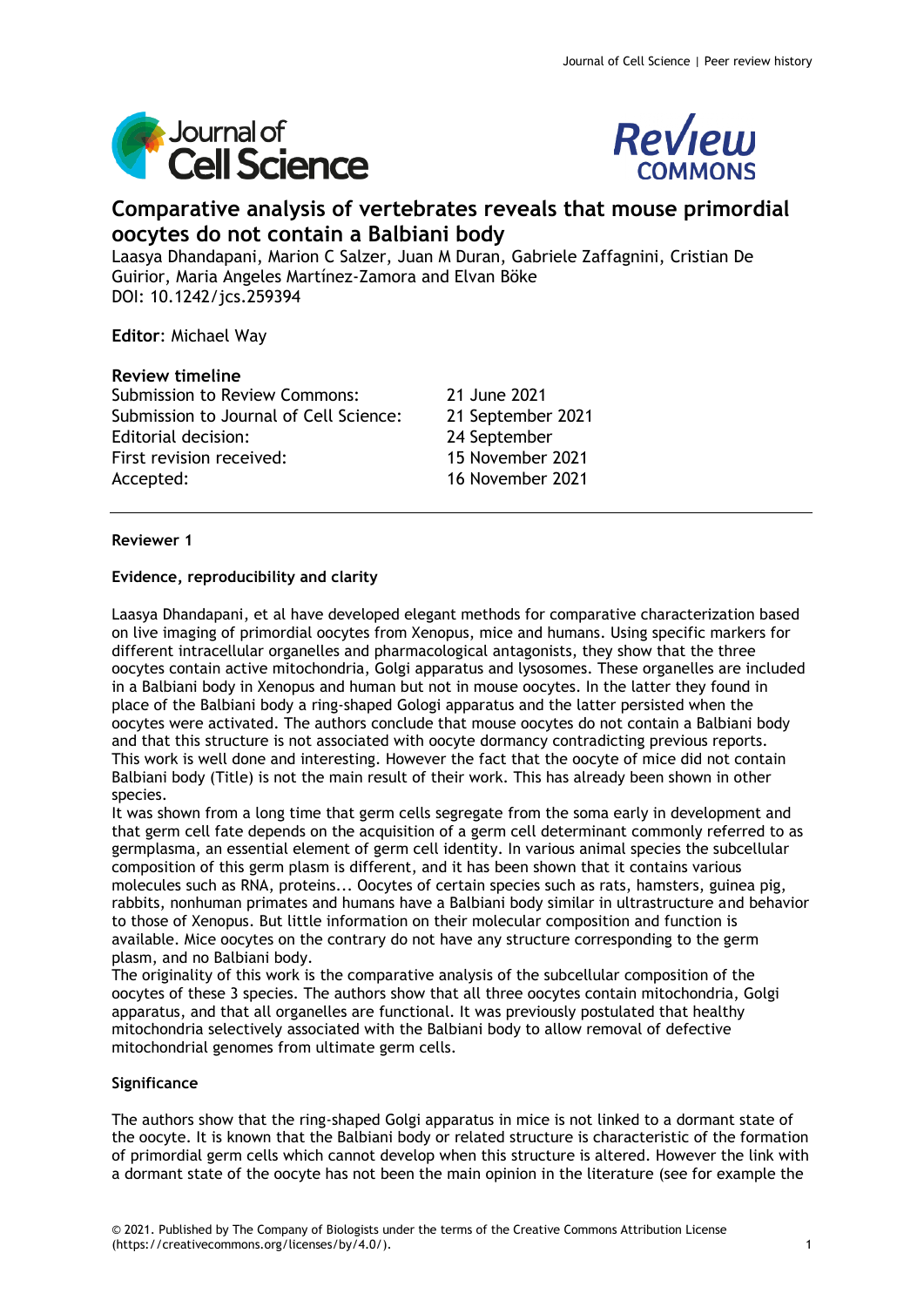



# **Comparative analysis of vertebrates reveals that mouse primordial oocytes do not contain a Balbiani body**

Laasya Dhandapani, Marion C Salzer, Juan M Duran, Gabriele Zaffagnini, Cristian De Guirior, Maria Angeles Martínez-Zamora and Elvan Böke DOI: 10.1242/jcs.259394

**Editor**: Michael Way

# **Review timeline**

Submission to Review Commons: 21 June 2021 Submission to Journal of Cell Science: 21 September 2021 Editorial decision: 24 September First revision received: 15 November 2021 Accepted: 16 November 2021

# **Reviewer 1**

# **Evidence, reproducibility and clarity**

Laasya Dhandapani, et al have developed elegant methods for comparative characterization based on live imaging of primordial oocytes from Xenopus, mice and humans. Using specific markers for different intracellular organelles and pharmacological antagonists, they show that the three oocytes contain active mitochondria, Golgi apparatus and lysosomes. These organelles are included in a Balbiani body in Xenopus and human but not in mouse oocytes. In the latter they found in place of the Balbiani body a ring-shaped Gologi apparatus and the latter persisted when the oocytes were activated. The authors conclude that mouse oocytes do not contain a Balbiani body and that this structure is not associated with oocyte dormancy contradicting previous reports. This work is well done and interesting. However the fact that the oocyte of mice did not contain Balbiani body (Title) is not the main result of their work. This has already been shown in other species.

It was shown from a long time that germ cells segregate from the soma early in development and that germ cell fate depends on the acquisition of a germ cell determinant commonly referred to as germplasma, an essential element of germ cell identity. In various animal species the subcellular composition of this germ plasm is different, and it has been shown that it contains various molecules such as RNA, proteins... Oocytes of certain species such as rats, hamsters, guinea pig, rabbits, nonhuman primates and humans have a Balbiani body similar in ultrastructure and behavior to those of Xenopus. But little information on their molecular composition and function is available. Mice oocytes on the contrary do not have any structure corresponding to the germ plasm, and no Balbiani body.

The originality of this work is the comparative analysis of the subcellular composition of the oocytes of these 3 species. The authors show that all three oocytes contain mitochondria, Golgi apparatus, and that all organelles are functional. It was previously postulated that healthy mitochondria selectively associated with the Balbiani body to allow removal of defective mitochondrial genomes from ultimate germ cells.

# **Significance**

The authors show that the ring-shaped Golgi apparatus in mice is not linked to a dormant state of the oocyte. It is known that the Balbiani body or related structure is characteristic of the formation of primordial germ cells which cannot develop when this structure is altered. However the link with a dormant state of the oocyte has not been the main opinion in the literature (see for example the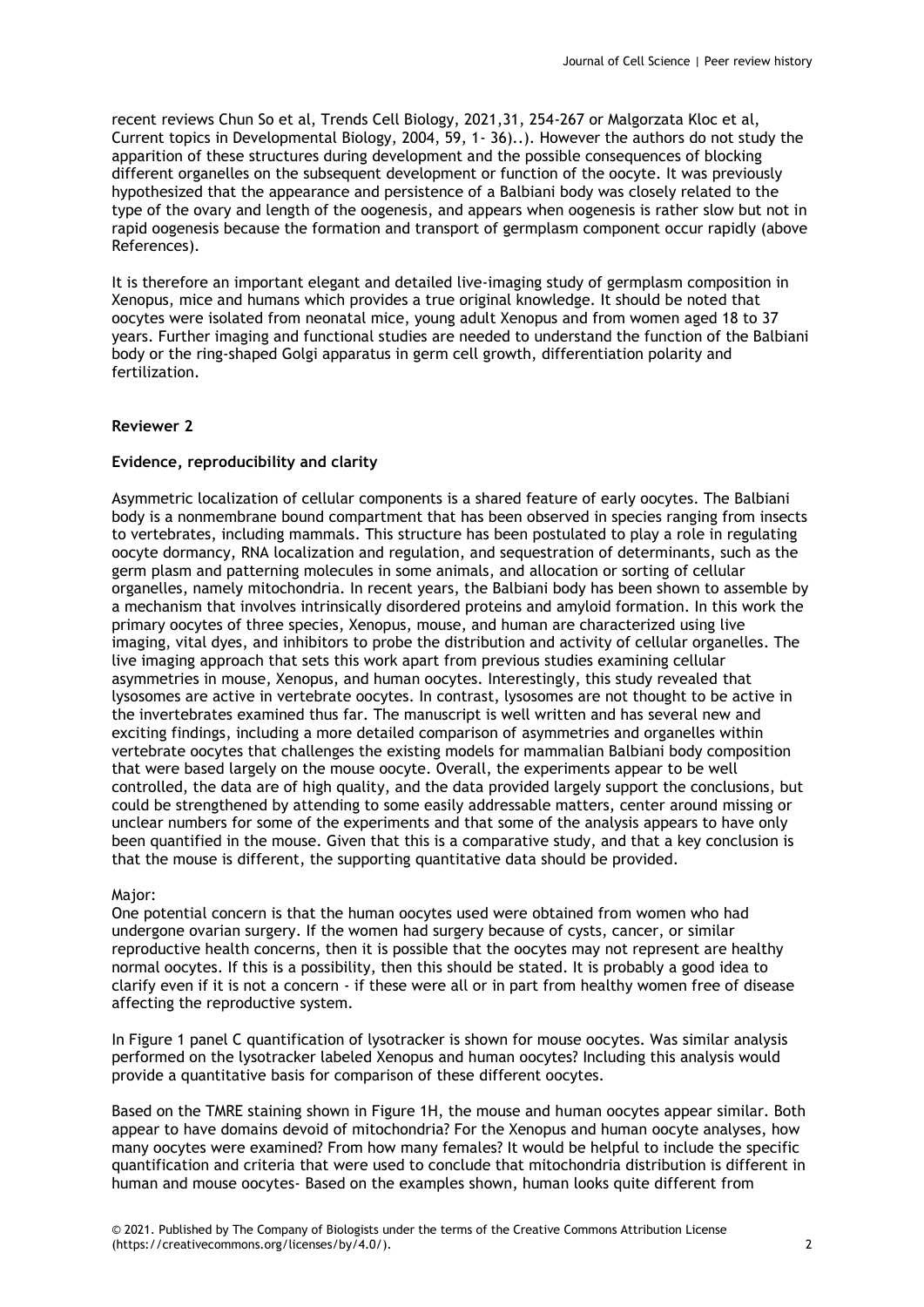recent reviews Chun So et al, Trends Cell Biology, 2021,31, 254-267 or Malgorzata Kloc et al, Current topics in Developmental Biology, 2004, 59, 1- 36)..). However the authors do not study the apparition of these structures during development and the possible consequences of blocking different organelles on the subsequent development or function of the oocyte. It was previously hypothesized that the appearance and persistence of a Balbiani body was closely related to the type of the ovary and length of the oogenesis, and appears when oogenesis is rather slow but not in rapid oogenesis because the formation and transport of germplasm component occur rapidly (above References).

It is therefore an important elegant and detailed live-imaging study of germplasm composition in Xenopus, mice and humans which provides a true original knowledge. It should be noted that oocytes were isolated from neonatal mice, young adult Xenopus and from women aged 18 to 37 years. Further imaging and functional studies are needed to understand the function of the Balbiani body or the ring-shaped Golgi apparatus in germ cell growth, differentiation polarity and fertilization.

# **Reviewer 2**

# **Evidence, reproducibility and clarity**

Asymmetric localization of cellular components is a shared feature of early oocytes. The Balbiani body is a nonmembrane bound compartment that has been observed in species ranging from insects to vertebrates, including mammals. This structure has been postulated to play a role in regulating oocyte dormancy, RNA localization and regulation, and sequestration of determinants, such as the germ plasm and patterning molecules in some animals, and allocation or sorting of cellular organelles, namely mitochondria. In recent years, the Balbiani body has been shown to assemble by a mechanism that involves intrinsically disordered proteins and amyloid formation. In this work the primary oocytes of three species, Xenopus, mouse, and human are characterized using live imaging, vital dyes, and inhibitors to probe the distribution and activity of cellular organelles. The live imaging approach that sets this work apart from previous studies examining cellular asymmetries in mouse, Xenopus, and human oocytes. Interestingly, this study revealed that lysosomes are active in vertebrate oocytes. In contrast, lysosomes are not thought to be active in the invertebrates examined thus far. The manuscript is well written and has several new and exciting findings, including a more detailed comparison of asymmetries and organelles within vertebrate oocytes that challenges the existing models for mammalian Balbiani body composition that were based largely on the mouse oocyte. Overall, the experiments appear to be well controlled, the data are of high quality, and the data provided largely support the conclusions, but could be strengthened by attending to some easily addressable matters, center around missing or unclear numbers for some of the experiments and that some of the analysis appears to have only been quantified in the mouse. Given that this is a comparative study, and that a key conclusion is that the mouse is different, the supporting quantitative data should be provided.

# Major:

One potential concern is that the human oocytes used were obtained from women who had undergone ovarian surgery. If the women had surgery because of cysts, cancer, or similar reproductive health concerns, then it is possible that the oocytes may not represent are healthy normal oocytes. If this is a possibility, then this should be stated. It is probably a good idea to clarify even if it is not a concern - if these were all or in part from healthy women free of disease affecting the reproductive system.

In Figure 1 panel C quantification of lysotracker is shown for mouse oocytes. Was similar analysis performed on the lysotracker labeled Xenopus and human oocytes? Including this analysis would provide a quantitative basis for comparison of these different oocytes.

Based on the TMRE staining shown in Figure 1H, the mouse and human oocytes appear similar. Both appear to have domains devoid of mitochondria? For the Xenopus and human oocyte analyses, how many oocytes were examined? From how many females? It would be helpful to include the specific quantification and criteria that were used to conclude that mitochondria distribution is different in human and mouse oocytes- Based on the examples shown, human looks quite different from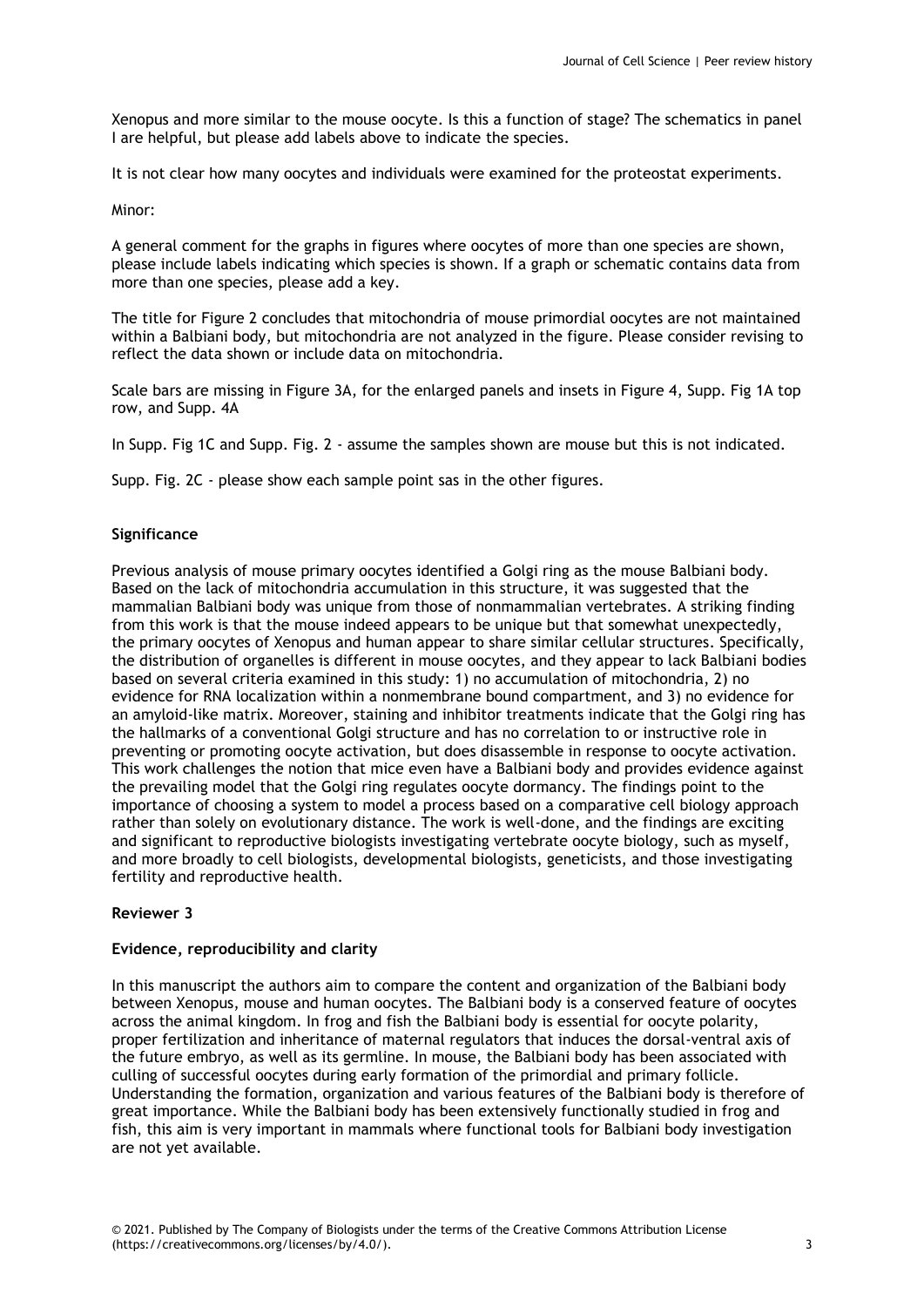Xenopus and more similar to the mouse oocyte. Is this a function of stage? The schematics in panel I are helpful, but please add labels above to indicate the species.

It is not clear how many oocytes and individuals were examined for the proteostat experiments.

### Minor:

A general comment for the graphs in figures where oocytes of more than one species are shown, please include labels indicating which species is shown. If a graph or schematic contains data from more than one species, please add a key.

The title for Figure 2 concludes that mitochondria of mouse primordial oocytes are not maintained within a Balbiani body, but mitochondria are not analyzed in the figure. Please consider revising to reflect the data shown or include data on mitochondria.

Scale bars are missing in Figure 3A, for the enlarged panels and insets in Figure 4, Supp. Fig 1A top row, and Supp. 4A

In Supp. Fig 1C and Supp. Fig. 2 - assume the samples shown are mouse but this is not indicated.

Supp. Fig. 2C - please show each sample point sas in the other figures.

# **Significance**

Previous analysis of mouse primary oocytes identified a Golgi ring as the mouse Balbiani body. Based on the lack of mitochondria accumulation in this structure, it was suggested that the mammalian Balbiani body was unique from those of nonmammalian vertebrates. A striking finding from this work is that the mouse indeed appears to be unique but that somewhat unexpectedly, the primary oocytes of Xenopus and human appear to share similar cellular structures. Specifically, the distribution of organelles is different in mouse oocytes, and they appear to lack Balbiani bodies based on several criteria examined in this study: 1) no accumulation of mitochondria, 2) no evidence for RNA localization within a nonmembrane bound compartment, and 3) no evidence for an amyloid-like matrix. Moreover, staining and inhibitor treatments indicate that the Golgi ring has the hallmarks of a conventional Golgi structure and has no correlation to or instructive role in preventing or promoting oocyte activation, but does disassemble in response to oocyte activation. This work challenges the notion that mice even have a Balbiani body and provides evidence against the prevailing model that the Golgi ring regulates oocyte dormancy. The findings point to the importance of choosing a system to model a process based on a comparative cell biology approach rather than solely on evolutionary distance. The work is well-done, and the findings are exciting and significant to reproductive biologists investigating vertebrate oocyte biology, such as myself, and more broadly to cell biologists, developmental biologists, geneticists, and those investigating fertility and reproductive health.

# **Reviewer 3**

# **Evidence, reproducibility and clarity**

In this manuscript the authors aim to compare the content and organization of the Balbiani body between Xenopus, mouse and human oocytes. The Balbiani body is a conserved feature of oocytes across the animal kingdom. In frog and fish the Balbiani body is essential for oocyte polarity, proper fertilization and inheritance of maternal regulators that induces the dorsal-ventral axis of the future embryo, as well as its germline. In mouse, the Balbiani body has been associated with culling of successful oocytes during early formation of the primordial and primary follicle. Understanding the formation, organization and various features of the Balbiani body is therefore of great importance. While the Balbiani body has been extensively functionally studied in frog and fish, this aim is very important in mammals where functional tools for Balbiani body investigation are not yet available.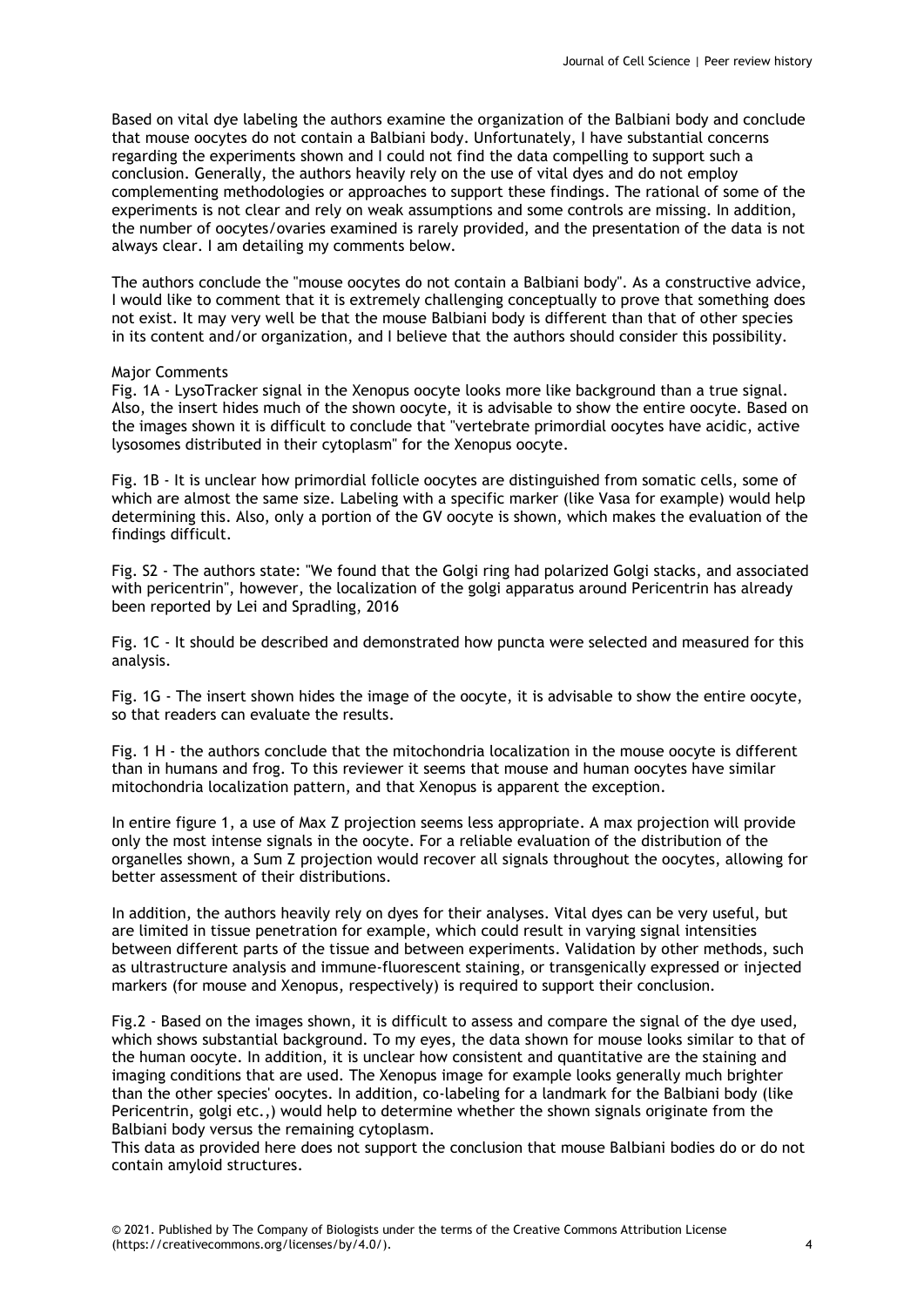Based on vital dye labeling the authors examine the organization of the Balbiani body and conclude that mouse oocytes do not contain a Balbiani body. Unfortunately, I have substantial concerns regarding the experiments shown and I could not find the data compelling to support such a conclusion. Generally, the authors heavily rely on the use of vital dyes and do not employ complementing methodologies or approaches to support these findings. The rational of some of the experiments is not clear and rely on weak assumptions and some controls are missing. In addition, the number of oocytes/ovaries examined is rarely provided, and the presentation of the data is not always clear. I am detailing my comments below.

The authors conclude the "mouse oocytes do not contain a Balbiani body". As a constructive advice, I would like to comment that it is extremely challenging conceptually to prove that something does not exist. It may very well be that the mouse Balbiani body is different than that of other species in its content and/or organization, and I believe that the authors should consider this possibility.

#### Major Comments

Fig. 1A - LysoTracker signal in the Xenopus oocyte looks more like background than a true signal. Also, the insert hides much of the shown oocyte, it is advisable to show the entire oocyte. Based on the images shown it is difficult to conclude that "vertebrate primordial oocytes have acidic, active lysosomes distributed in their cytoplasm" for the Xenopus oocyte.

Fig. 1B - It is unclear how primordial follicle oocytes are distinguished from somatic cells, some of which are almost the same size. Labeling with a specific marker (like Vasa for example) would help determining this. Also, only a portion of the GV oocyte is shown, which makes the evaluation of the findings difficult.

Fig. S2 - The authors state: "We found that the Golgi ring had polarized Golgi stacks, and associated with pericentrin", however, the localization of the golgi apparatus around Pericentrin has already been reported by Lei and Spradling, 2016

Fig. 1C - It should be described and demonstrated how puncta were selected and measured for this analysis.

Fig. 1G - The insert shown hides the image of the oocyte, it is advisable to show the entire oocyte, so that readers can evaluate the results.

Fig. 1 H - the authors conclude that the mitochondria localization in the mouse oocyte is different than in humans and frog. To this reviewer it seems that mouse and human oocytes have similar mitochondria localization pattern, and that Xenopus is apparent the exception.

In entire figure 1, a use of Max Z projection seems less appropriate. A max projection will provide only the most intense signals in the oocyte. For a reliable evaluation of the distribution of the organelles shown, a Sum Z projection would recover all signals throughout the oocytes, allowing for better assessment of their distributions.

In addition, the authors heavily rely on dyes for their analyses. Vital dyes can be very useful, but are limited in tissue penetration for example, which could result in varying signal intensities between different parts of the tissue and between experiments. Validation by other methods, such as ultrastructure analysis and immune-fluorescent staining, or transgenically expressed or injected markers (for mouse and Xenopus, respectively) is required to support their conclusion.

Fig.2 - Based on the images shown, it is difficult to assess and compare the signal of the dye used, which shows substantial background. To my eyes, the data shown for mouse looks similar to that of the human oocyte. In addition, it is unclear how consistent and quantitative are the staining and imaging conditions that are used. The Xenopus image for example looks generally much brighter than the other species' oocytes. In addition, co-labeling for a landmark for the Balbiani body (like Pericentrin, golgi etc.,) would help to determine whether the shown signals originate from the Balbiani body versus the remaining cytoplasm.

This data as provided here does not support the conclusion that mouse Balbiani bodies do or do not contain amyloid structures.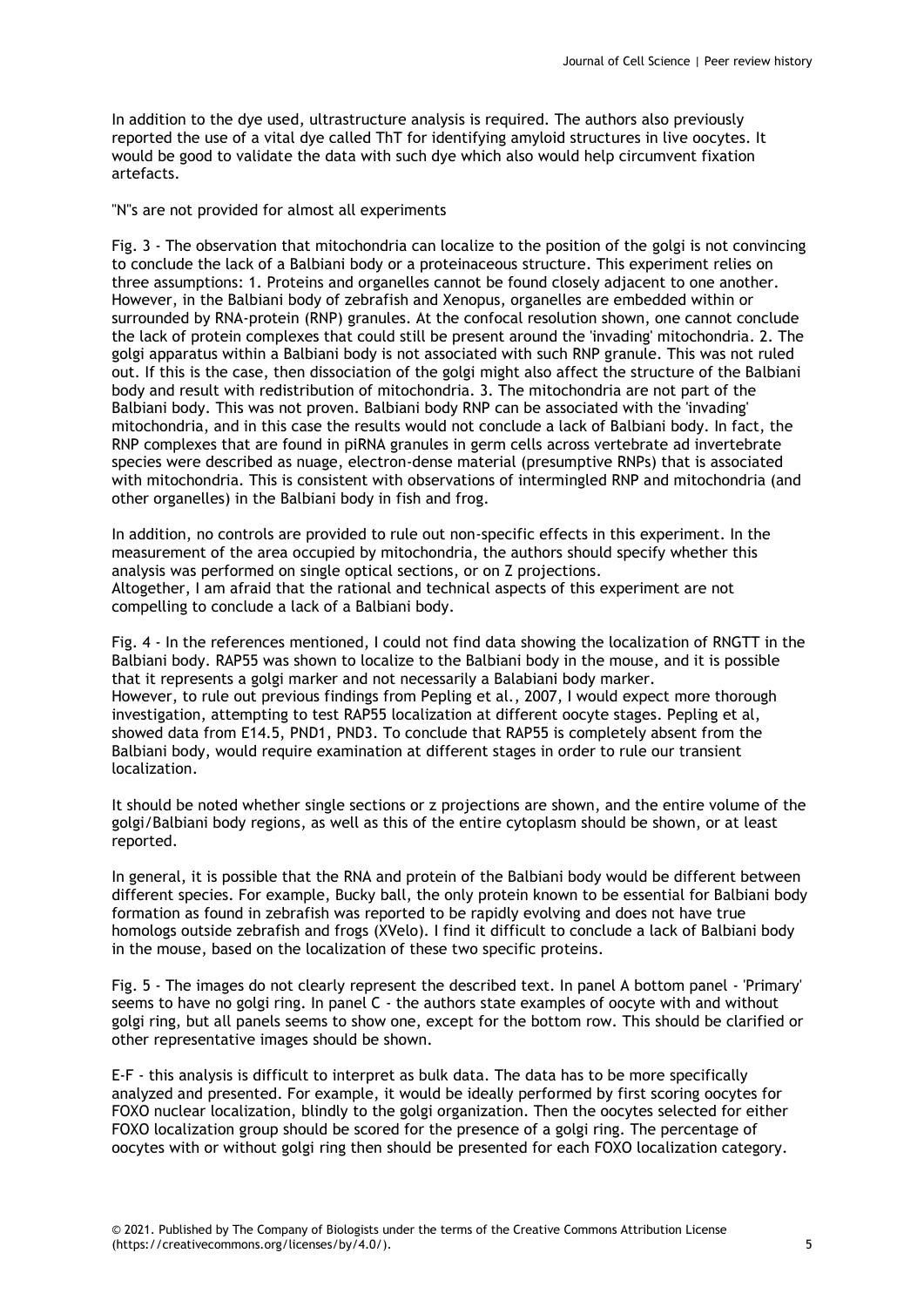In addition to the dye used, ultrastructure analysis is required. The authors also previously reported the use of a vital dye called ThT for identifying amyloid structures in live oocytes. It would be good to validate the data with such dye which also would help circumvent fixation artefacts.

"N"s are not provided for almost all experiments

Fig. 3 - The observation that mitochondria can localize to the position of the golgi is not convincing to conclude the lack of a Balbiani body or a proteinaceous structure. This experiment relies on three assumptions: 1. Proteins and organelles cannot be found closely adjacent to one another. However, in the Balbiani body of zebrafish and Xenopus, organelles are embedded within or surrounded by RNA-protein (RNP) granules. At the confocal resolution shown, one cannot conclude the lack of protein complexes that could still be present around the 'invading' mitochondria. 2. The golgi apparatus within a Balbiani body is not associated with such RNP granule. This was not ruled out. If this is the case, then dissociation of the golgi might also affect the structure of the Balbiani body and result with redistribution of mitochondria. 3. The mitochondria are not part of the Balbiani body. This was not proven. Balbiani body RNP can be associated with the 'invading' mitochondria, and in this case the results would not conclude a lack of Balbiani body. In fact, the RNP complexes that are found in piRNA granules in germ cells across vertebrate ad invertebrate species were described as nuage, electron-dense material (presumptive RNPs) that is associated with mitochondria. This is consistent with observations of intermingled RNP and mitochondria (and other organelles) in the Balbiani body in fish and frog.

In addition, no controls are provided to rule out non-specific effects in this experiment. In the measurement of the area occupied by mitochondria, the authors should specify whether this analysis was performed on single optical sections, or on Z projections. Altogether, I am afraid that the rational and technical aspects of this experiment are not compelling to conclude a lack of a Balbiani body.

Fig. 4 - In the references mentioned, I could not find data showing the localization of RNGTT in the Balbiani body. RAP55 was shown to localize to the Balbiani body in the mouse, and it is possible that it represents a golgi marker and not necessarily a Balabiani body marker. However, to rule out previous findings from Pepling et al., 2007, I would expect more thorough investigation, attempting to test RAP55 localization at different oocyte stages. Pepling et al, showed data from E14.5, PND1, PND3. To conclude that RAP55 is completely absent from the Balbiani body, would require examination at different stages in order to rule our transient localization.

It should be noted whether single sections or z projections are shown, and the entire volume of the golgi/Balbiani body regions, as well as this of the entire cytoplasm should be shown, or at least reported.

In general, it is possible that the RNA and protein of the Balbiani body would be different between different species. For example, Bucky ball, the only protein known to be essential for Balbiani body formation as found in zebrafish was reported to be rapidly evolving and does not have true homologs outside zebrafish and frogs (XVelo). I find it difficult to conclude a lack of Balbiani body in the mouse, based on the localization of these two specific proteins.

Fig. 5 - The images do not clearly represent the described text. In panel A bottom panel - 'Primary' seems to have no golgi ring. In panel C - the authors state examples of oocyte with and without golgi ring, but all panels seems to show one, except for the bottom row. This should be clarified or other representative images should be shown.

E-F - this analysis is difficult to interpret as bulk data. The data has to be more specifically analyzed and presented. For example, it would be ideally performed by first scoring oocytes for FOXO nuclear localization, blindly to the golgi organization. Then the oocytes selected for either FOXO localization group should be scored for the presence of a golgi ring. The percentage of oocytes with or without golgi ring then should be presented for each FOXO localization category.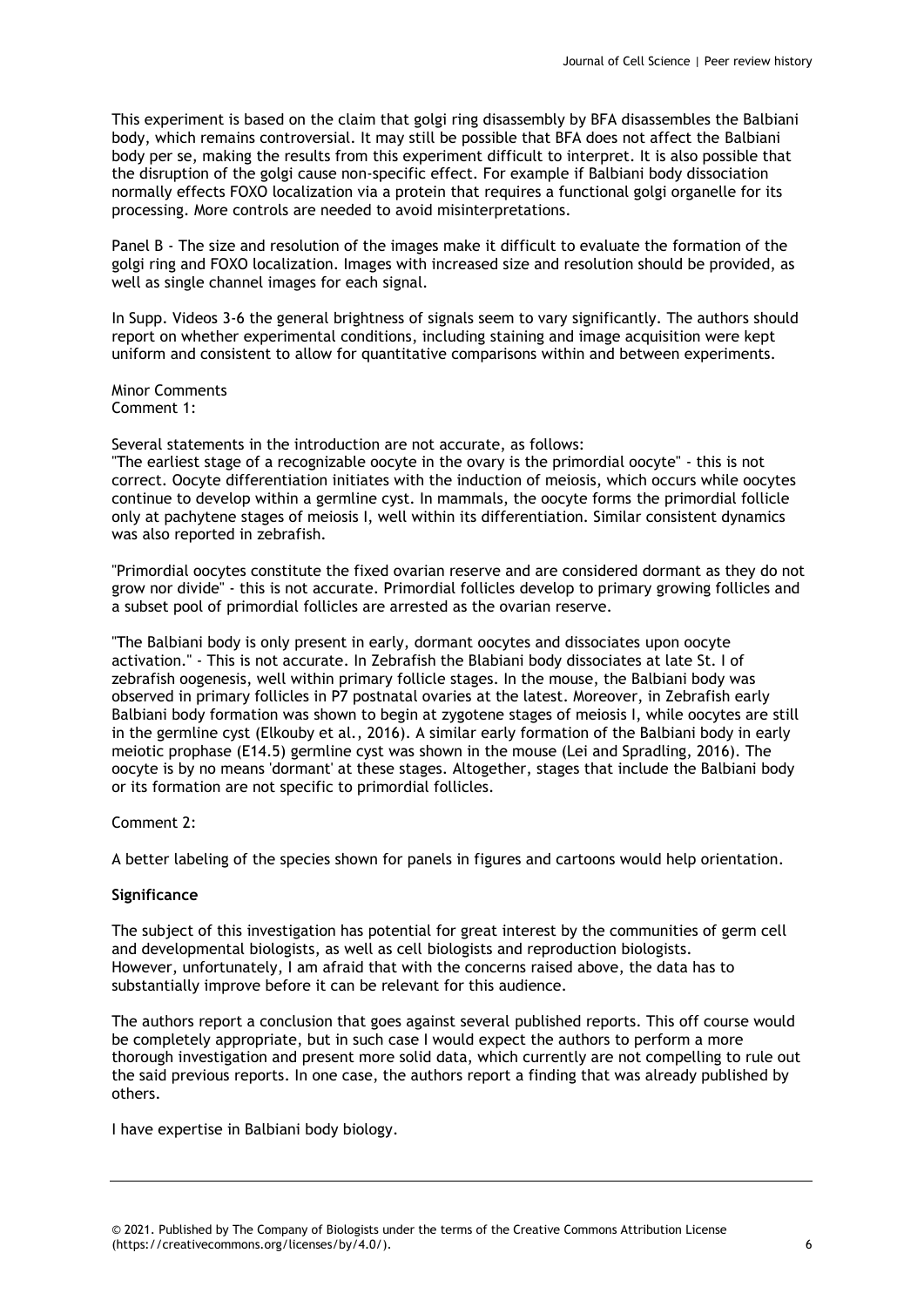This experiment is based on the claim that golgi ring disassembly by BFA disassembles the Balbiani body, which remains controversial. It may still be possible that BFA does not affect the Balbiani body per se, making the results from this experiment difficult to interpret. It is also possible that the disruption of the golgi cause non-specific effect. For example if Balbiani body dissociation normally effects FOXO localization via a protein that requires a functional golgi organelle for its processing. More controls are needed to avoid misinterpretations.

Panel B - The size and resolution of the images make it difficult to evaluate the formation of the golgi ring and FOXO localization. Images with increased size and resolution should be provided, as well as single channel images for each signal.

In Supp. Videos 3-6 the general brightness of signals seem to vary significantly. The authors should report on whether experimental conditions, including staining and image acquisition were kept uniform and consistent to allow for quantitative comparisons within and between experiments.

Minor Comments Comment 1:

Several statements in the introduction are not accurate, as follows:

"The earliest stage of a recognizable oocyte in the ovary is the primordial oocyte" - this is not correct. Oocyte differentiation initiates with the induction of meiosis, which occurs while oocytes continue to develop within a germline cyst. In mammals, the oocyte forms the primordial follicle only at pachytene stages of meiosis I, well within its differentiation. Similar consistent dynamics was also reported in zebrafish.

"Primordial oocytes constitute the fixed ovarian reserve and are considered dormant as they do not grow nor divide" - this is not accurate. Primordial follicles develop to primary growing follicles and a subset pool of primordial follicles are arrested as the ovarian reserve.

"The Balbiani body is only present in early, dormant oocytes and dissociates upon oocyte activation." - This is not accurate. In Zebrafish the Blabiani body dissociates at late St. I of zebrafish oogenesis, well within primary follicle stages. In the mouse, the Balbiani body was observed in primary follicles in P7 postnatal ovaries at the latest. Moreover, in Zebrafish early Balbiani body formation was shown to begin at zygotene stages of meiosis I, while oocytes are still in the germline cyst (Elkouby et al., 2016). A similar early formation of the Balbiani body in early meiotic prophase (E14.5) germline cyst was shown in the mouse (Lei and Spradling, 2016). The oocyte is by no means 'dormant' at these stages. Altogether, stages that include the Balbiani body or its formation are not specific to primordial follicles.

Comment 2:

A better labeling of the species shown for panels in figures and cartoons would help orientation.

# **Significance**

The subject of this investigation has potential for great interest by the communities of germ cell and developmental biologists, as well as cell biologists and reproduction biologists. However, unfortunately, I am afraid that with the concerns raised above, the data has to substantially improve before it can be relevant for this audience.

The authors report a conclusion that goes against several published reports. This off course would be completely appropriate, but in such case I would expect the authors to perform a more thorough investigation and present more solid data, which currently are not compelling to rule out the said previous reports. In one case, the authors report a finding that was already published by others.

I have expertise in Balbiani body biology.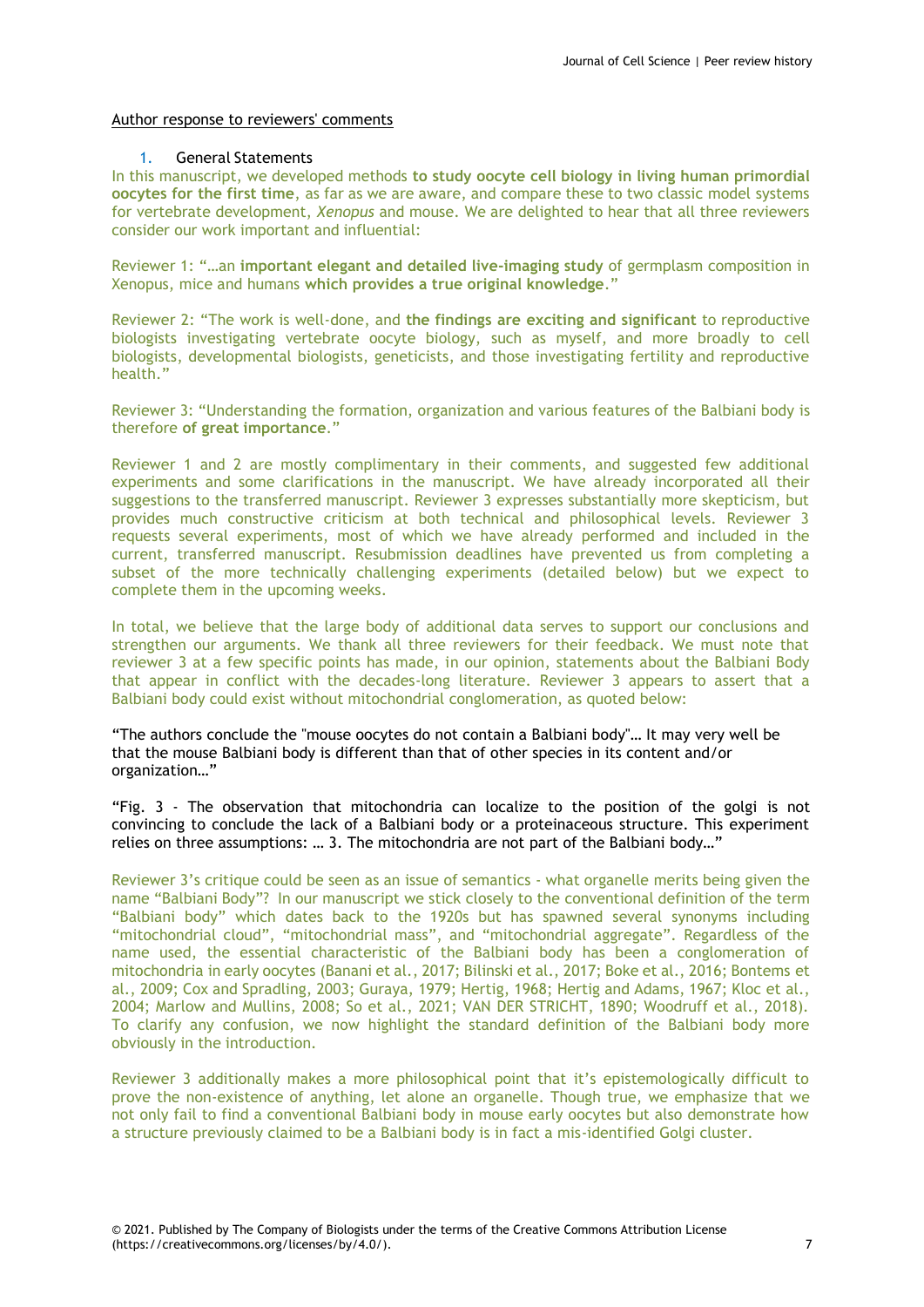### Author response to reviewers' comments

#### 1. General Statements

In this manuscript, we developed methods **to study oocyte cell biology in living human primordial oocytes for the first time**, as far as we are aware, and compare these to two classic model systems for vertebrate development, *Xenopus* and mouse. We are delighted to hear that all three reviewers consider our work important and influential:

Reviewer 1: "…an **important elegant and detailed live-imaging study** of germplasm composition in Xenopus, mice and humans **which provides a true original knowledge**."

Reviewer 2: "The work is well-done, and **the findings are exciting and significant** to reproductive biologists investigating vertebrate oocyte biology, such as myself, and more broadly to cell biologists, developmental biologists, geneticists, and those investigating fertility and reproductive health."

Reviewer 3: "Understanding the formation, organization and various features of the Balbiani body is therefore **of great importance**."

Reviewer 1 and 2 are mostly complimentary in their comments, and suggested few additional experiments and some clarifications in the manuscript. We have already incorporated all their suggestions to the transferred manuscript. Reviewer 3 expresses substantially more skepticism, but provides much constructive criticism at both technical and philosophical levels. Reviewer 3 requests several experiments, most of which we have already performed and included in the current, transferred manuscript. Resubmission deadlines have prevented us from completing a subset of the more technically challenging experiments (detailed below) but we expect to complete them in the upcoming weeks.

In total, we believe that the large body of additional data serves to support our conclusions and strengthen our arguments. We thank all three reviewers for their feedback. We must note that reviewer 3 at a few specific points has made, in our opinion, statements about the Balbiani Body that appear in conflict with the decades-long literature. Reviewer 3 appears to assert that a Balbiani body could exist without mitochondrial conglomeration, as quoted below:

"The authors conclude the "mouse oocytes do not contain a Balbiani body"… It may very well be that the mouse Balbiani body is different than that of other species in its content and/or organization…"

"Fig. 3 - The observation that mitochondria can localize to the position of the golgi is not convincing to conclude the lack of a Balbiani body or a proteinaceous structure. This experiment relies on three assumptions: … 3. The mitochondria are not part of the Balbiani body…"

Reviewer 3's critique could be seen as an issue of semantics - what organelle merits being given the name "Balbiani Body"? In our manuscript we stick closely to the conventional definition of the term "Balbiani body" which dates back to the 1920s but has spawned several synonyms including "mitochondrial cloud", "mitochondrial mass", and "mitochondrial aggregate". Regardless of the name used, the essential characteristic of the Balbiani body has been a conglomeration of mitochondria in early oocytes (Banani et al., 2017; Bilinski et al., 2017; Boke et al., 2016; Bontems et al., 2009; Cox and Spradling, 2003; Guraya, 1979; Hertig, 1968; Hertig and Adams, 1967; Kloc et al., 2004; Marlow and Mullins, 2008; So et al., 2021; VAN DER STRICHT, 1890; Woodruff et al., 2018). To clarify any confusion, we now highlight the standard definition of the Balbiani body more obviously in the introduction.

Reviewer 3 additionally makes a more philosophical point that it's epistemologically difficult to prove the non-existence of anything, let alone an organelle. Though true, we emphasize that we not only fail to find a conventional Balbiani body in mouse early oocytes but also demonstrate how a structure previously claimed to be a Balbiani body is in fact a mis-identified Golgi cluster.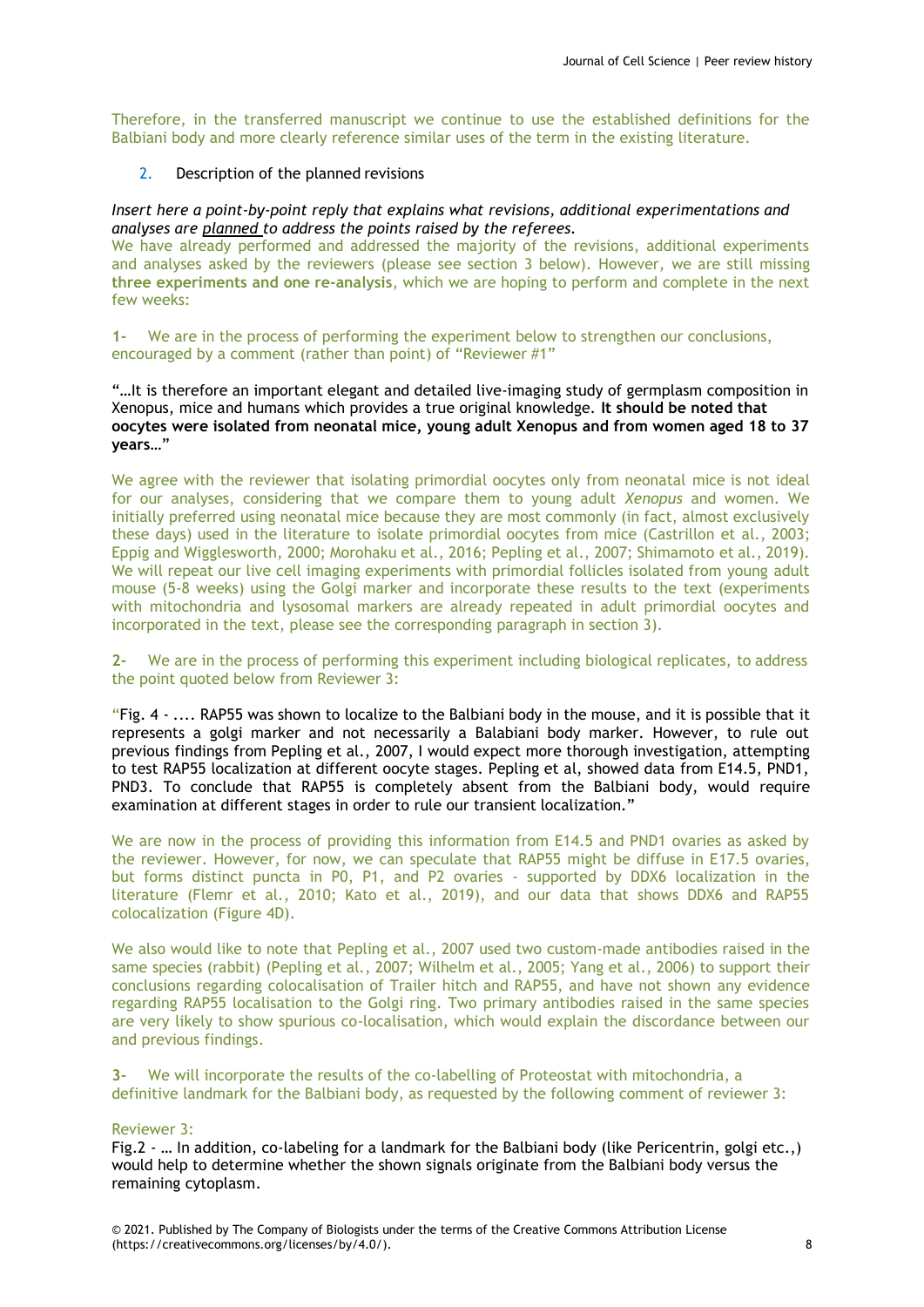Therefore, in the transferred manuscript we continue to use the established definitions for the Balbiani body and more clearly reference similar uses of the term in the existing literature.

2. Description of the planned revisions

*Insert here a point-by-point reply that explains what revisions, additional experimentations and analyses are planned to address the points raised by the referees.*

We have already performed and addressed the majority of the revisions, additional experiments and analyses asked by the reviewers (please see section 3 below). However, we are still missing **three experiments and one re-analysis**, which we are hoping to perform and complete in the next few weeks:

**1-** We are in the process of performing the experiment below to strengthen our conclusions, encouraged by a comment (rather than point) of "Reviewer #1"

"…It is therefore an important elegant and detailed live-imaging study of germplasm composition in Xenopus, mice and humans which provides a true original knowledge. **It should be noted that oocytes were isolated from neonatal mice, young adult Xenopus and from women aged 18 to 37 years**…"

We agree with the reviewer that isolating primordial oocytes only from neonatal mice is not ideal for our analyses, considering that we compare them to young adult *Xenopus* and women. We initially preferred using neonatal mice because they are most commonly (in fact, almost exclusively these days) used in the literature to isolate primordial oocytes from mice (Castrillon et al., 2003; Eppig and Wigglesworth, 2000; Morohaku et al., 2016; Pepling et al., 2007; Shimamoto et al., 2019). We will repeat our live cell imaging experiments with primordial follicles isolated from young adult mouse (5-8 weeks) using the Golgi marker and incorporate these results to the text (experiments with mitochondria and lysosomal markers are already repeated in adult primordial oocytes and incorporated in the text, please see the corresponding paragraph in section 3).

**2-** We are in the process of performing this experiment including biological replicates, to address the point quoted below from Reviewer 3:

"Fig. 4 - .... RAP55 was shown to localize to the Balbiani body in the mouse, and it is possible that it represents a golgi marker and not necessarily a Balabiani body marker. However, to rule out previous findings from Pepling et al., 2007, I would expect more thorough investigation, attempting to test RAP55 localization at different oocyte stages. Pepling et al, showed data from E14.5, PND1, PND3. To conclude that RAP55 is completely absent from the Balbiani body, would require examination at different stages in order to rule our transient localization."

We are now in the process of providing this information from E14.5 and PND1 ovaries as asked by the reviewer. However, for now, we can speculate that RAP55 might be diffuse in E17.5 ovaries, but forms distinct puncta in P0, P1, and P2 ovaries - supported by DDX6 localization in the literature (Flemr et al., 2010; Kato et al., 2019), and our data that shows DDX6 and RAP55 colocalization (Figure 4D).

We also would like to note that Pepling et al., 2007 used two custom-made antibodies raised in the same species (rabbit) (Pepling et al., 2007; Wilhelm et al., 2005; Yang et al., 2006) to support their conclusions regarding colocalisation of Trailer hitch and RAP55, and have not shown any evidence regarding RAP55 localisation to the Golgi ring. Two primary antibodies raised in the same species are very likely to show spurious co-localisation, which would explain the discordance between our and previous findings.

**3-** We will incorporate the results of the co-labelling of Proteostat with mitochondria, a definitive landmark for the Balbiani body, as requested by the following comment of reviewer 3:

#### Reviewer 3:

Fig.2 - … In addition, co-labeling for a landmark for the Balbiani body (like Pericentrin, golgi etc.,) would help to determine whether the shown signals originate from the Balbiani body versus the remaining cytoplasm.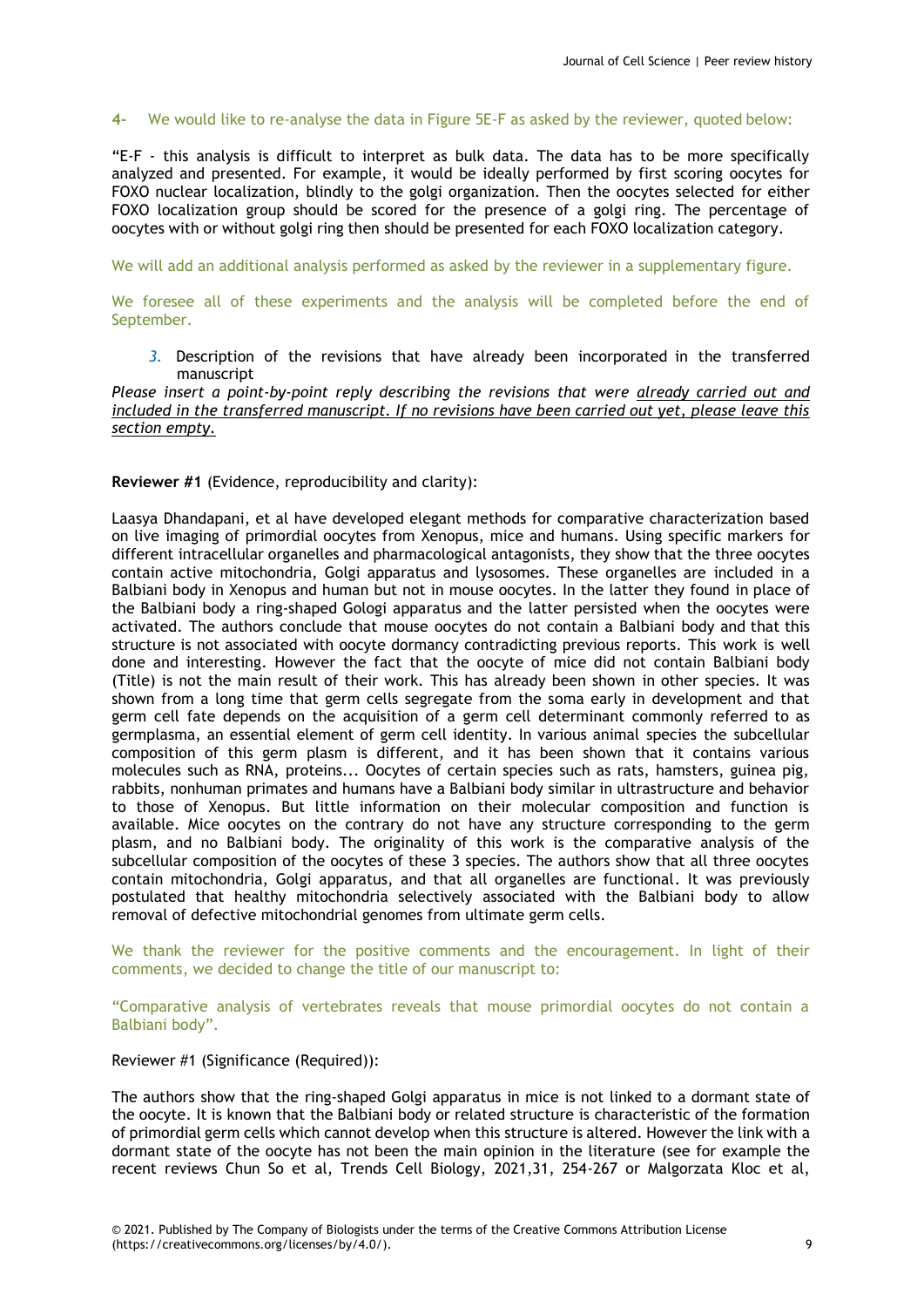# **4-** We would like to re-analyse the data in Figure 5E-F as asked by the reviewer, quoted below:

"E-F - this analysis is difficult to interpret as bulk data. The data has to be more specifically analyzed and presented. For example, it would be ideally performed by first scoring oocytes for FOXO nuclear localization, blindly to the golgi organization. Then the oocytes selected for either FOXO localization group should be scored for the presence of a golgi ring. The percentage of oocytes with or without golgi ring then should be presented for each FOXO localization category.

We will add an additional analysis performed as asked by the reviewer in a supplementary figure.

We foresee all of these experiments and the analysis will be completed before the end of September.

*3.* Description of the revisions that have already been incorporated in the transferred manuscript

# *Please insert a point-by-point reply describing the revisions that were already carried out and included in the transferred manuscript. If no revisions have been carried out yet, please leave this section empty.*

#### **Reviewer #1** (Evidence, reproducibility and clarity):

Laasya Dhandapani, et al have developed elegant methods for comparative characterization based on live imaging of primordial oocytes from Xenopus, mice and humans. Using specific markers for different intracellular organelles and pharmacological antagonists, they show that the three oocytes contain active mitochondria, Golgi apparatus and lysosomes. These organelles are included in a Balbiani body in Xenopus and human but not in mouse oocytes. In the latter they found in place of the Balbiani body a ring-shaped Gologi apparatus and the latter persisted when the oocytes were activated. The authors conclude that mouse oocytes do not contain a Balbiani body and that this structure is not associated with oocyte dormancy contradicting previous reports. This work is well done and interesting. However the fact that the oocyte of mice did not contain Balbiani body (Title) is not the main result of their work. This has already been shown in other species. It was shown from a long time that germ cells segregate from the soma early in development and that germ cell fate depends on the acquisition of a germ cell determinant commonly referred to as germplasma, an essential element of germ cell identity. In various animal species the subcellular composition of this germ plasm is different, and it has been shown that it contains various molecules such as RNA, proteins... Oocytes of certain species such as rats, hamsters, guinea pig, rabbits, nonhuman primates and humans have a Balbiani body similar in ultrastructure and behavior to those of Xenopus. But little information on their molecular composition and function is available. Mice oocytes on the contrary do not have any structure corresponding to the germ plasm, and no Balbiani body. The originality of this work is the comparative analysis of the subcellular composition of the oocytes of these 3 species. The authors show that all three oocytes contain mitochondria, Golgi apparatus, and that all organelles are functional. It was previously postulated that healthy mitochondria selectively associated with the Balbiani body to allow removal of defective mitochondrial genomes from ultimate germ cells.

We thank the reviewer for the positive comments and the encouragement. In light of their comments, we decided to change the title of our manuscript to:

"Comparative analysis of vertebrates reveals that mouse primordial oocytes do not contain a Balbiani body".

# Reviewer #1 (Significance (Required)):

The authors show that the ring-shaped Golgi apparatus in mice is not linked to a dormant state of the oocyte. It is known that the Balbiani body or related structure is characteristic of the formation of primordial germ cells which cannot develop when this structure is altered. However the link with a dormant state of the oocyte has not been the main opinion in the literature (see for example the recent reviews Chun So et al, Trends Cell Biology, 2021,31, 254-267 or Malgorzata Kloc et al,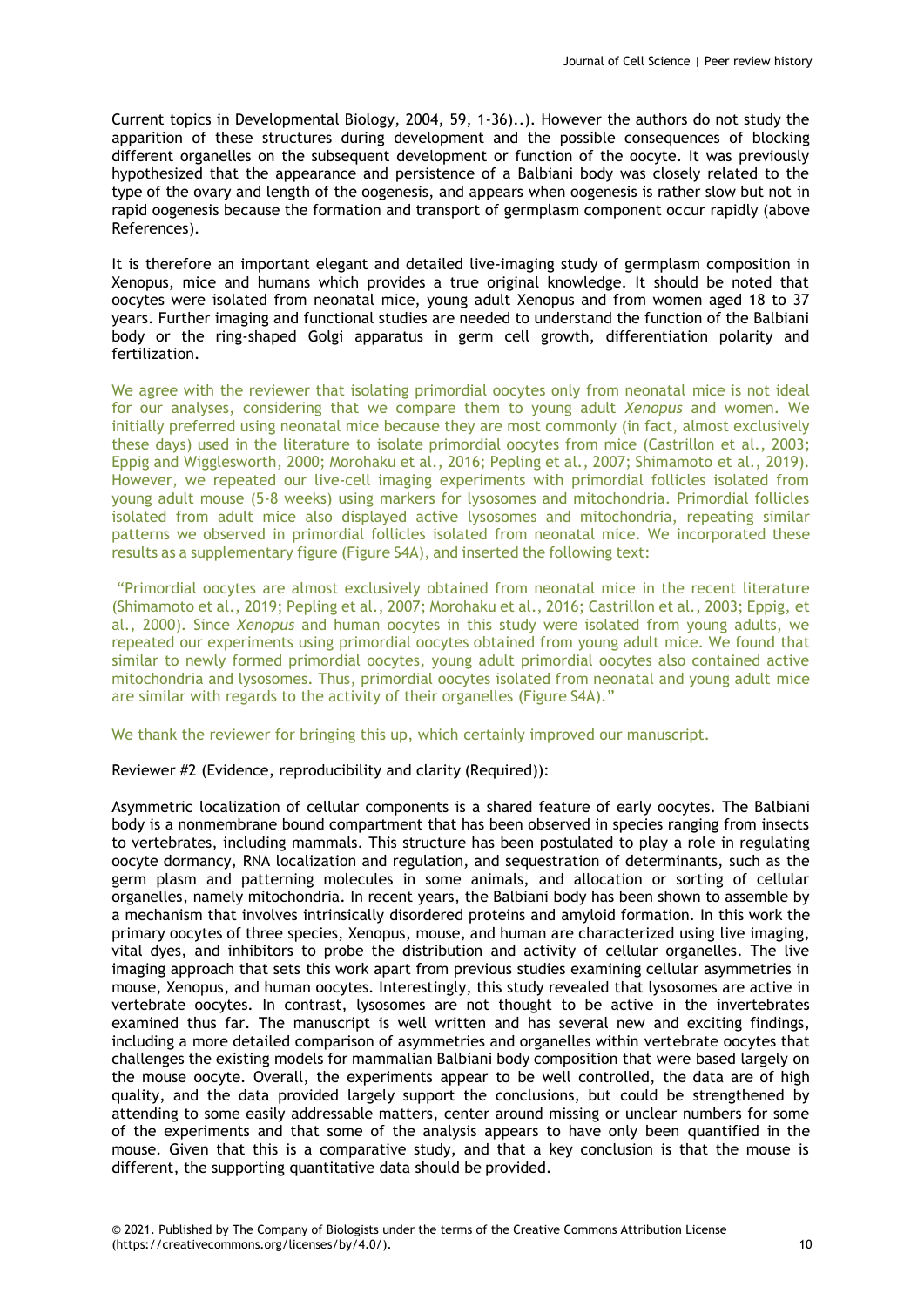Current topics in Developmental Biology, 2004, 59, 1-36)..). However the authors do not study the apparition of these structures during development and the possible consequences of blocking different organelles on the subsequent development or function of the oocyte. It was previously hypothesized that the appearance and persistence of a Balbiani body was closely related to the type of the ovary and length of the oogenesis, and appears when oogenesis is rather slow but not in rapid oogenesis because the formation and transport of germplasm component occur rapidly (above References).

It is therefore an important elegant and detailed live-imaging study of germplasm composition in Xenopus, mice and humans which provides a true original knowledge. It should be noted that oocytes were isolated from neonatal mice, young adult Xenopus and from women aged 18 to 37 years. Further imaging and functional studies are needed to understand the function of the Balbiani body or the ring-shaped Golgi apparatus in germ cell growth, differentiation polarity and fertilization.

We agree with the reviewer that isolating primordial oocytes only from neonatal mice is not ideal for our analyses, considering that we compare them to young adult *Xenopus* and women. We initially preferred using neonatal mice because they are most commonly (in fact, almost exclusively these days) used in the literature to isolate primordial oocytes from mice (Castrillon et al., 2003; Eppig and Wigglesworth, 2000; Morohaku et al., 2016; Pepling et al., 2007; Shimamoto et al., 2019). However, we repeated our live-cell imaging experiments with primordial follicles isolated from young adult mouse (5-8 weeks) using markers for lysosomes and mitochondria. Primordial follicles isolated from adult mice also displayed active lysosomes and mitochondria, repeating similar patterns we observed in primordial follicles isolated from neonatal mice. We incorporated these results as a supplementary figure (Figure S4A), and inserted the following text:

"Primordial oocytes are almost exclusively obtained from neonatal mice in the recent literature (Shimamoto et al., 2019; Pepling et al., 2007; Morohaku et al., 2016; Castrillon et al., 2003; Eppig, et al., 2000). Since *Xenopus* and human oocytes in this study were isolated from young adults, we repeated our experiments using primordial oocytes obtained from young adult mice. We found that similar to newly formed primordial oocytes, young adult primordial oocytes also contained active mitochondria and lysosomes. Thus, primordial oocytes isolated from neonatal and young adult mice are similar with regards to the activity of their organelles (Figure S4A)."

We thank the reviewer for bringing this up, which certainly improved our manuscript.

Reviewer #2 (Evidence, reproducibility and clarity (Required)):

Asymmetric localization of cellular components is a shared feature of early oocytes. The Balbiani body is a nonmembrane bound compartment that has been observed in species ranging from insects to vertebrates, including mammals. This structure has been postulated to play a role in regulating oocyte dormancy, RNA localization and regulation, and sequestration of determinants, such as the germ plasm and patterning molecules in some animals, and allocation or sorting of cellular organelles, namely mitochondria. In recent years, the Balbiani body has been shown to assemble by a mechanism that involves intrinsically disordered proteins and amyloid formation. In this work the primary oocytes of three species, Xenopus, mouse, and human are characterized using live imaging, vital dyes, and inhibitors to probe the distribution and activity of cellular organelles. The live imaging approach that sets this work apart from previous studies examining cellular asymmetries in mouse, Xenopus, and human oocytes. Interestingly, this study revealed that lysosomes are active in vertebrate oocytes. In contrast, lysosomes are not thought to be active in the invertebrates examined thus far. The manuscript is well written and has several new and exciting findings, including a more detailed comparison of asymmetries and organelles within vertebrate oocytes that challenges the existing models for mammalian Balbiani body composition that were based largely on the mouse oocyte. Overall, the experiments appear to be well controlled, the data are of high quality, and the data provided largely support the conclusions, but could be strengthened by attending to some easily addressable matters, center around missing or unclear numbers for some of the experiments and that some of the analysis appears to have only been quantified in the mouse. Given that this is a comparative study, and that a key conclusion is that the mouse is different, the supporting quantitative data should be provided.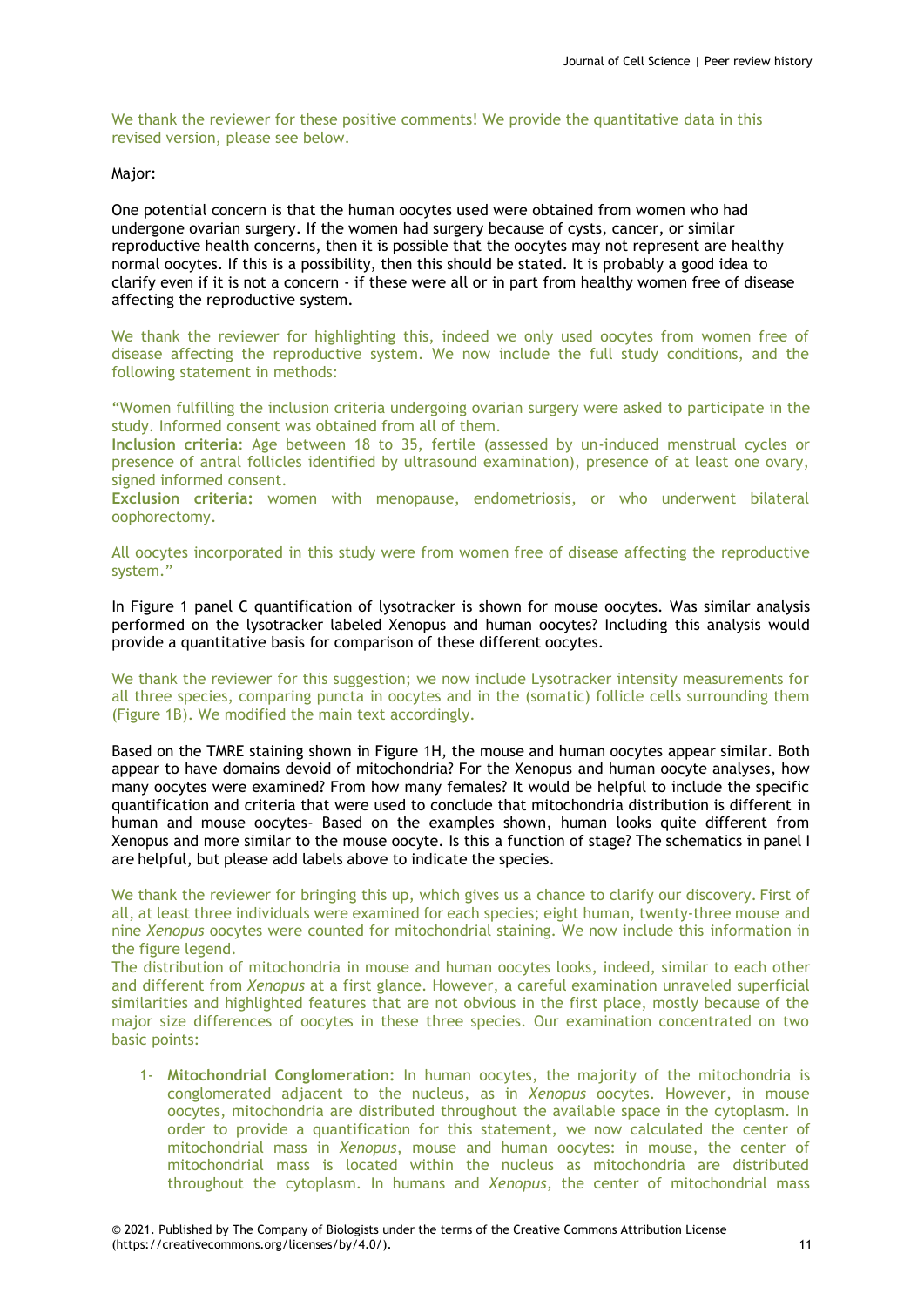We thank the reviewer for these positive comments! We provide the quantitative data in this revised version, please see below.

### Major:

One potential concern is that the human oocytes used were obtained from women who had undergone ovarian surgery. If the women had surgery because of cysts, cancer, or similar reproductive health concerns, then it is possible that the oocytes may not represent are healthy normal oocytes. If this is a possibility, then this should be stated. It is probably a good idea to clarify even if it is not a concern - if these were all or in part from healthy women free of disease affecting the reproductive system.

We thank the reviewer for highlighting this, indeed we only used oocytes from women free of disease affecting the reproductive system. We now include the full study conditions, and the following statement in methods:

"Women fulfilling the inclusion criteria undergoing ovarian surgery were asked to participate in the study. Informed consent was obtained from all of them.

**Inclusion criteria**: Age between 18 to 35, fertile (assessed by un-induced menstrual cycles or presence of antral follicles identified by ultrasound examination), presence of at least one ovary, signed informed consent.

**Exclusion criteria:** women with menopause, endometriosis, or who underwent bilateral oophorectomy.

All oocytes incorporated in this study were from women free of disease affecting the reproductive system."

In Figure 1 panel C quantification of lysotracker is shown for mouse oocytes. Was similar analysis performed on the lysotracker labeled Xenopus and human oocytes? Including this analysis would provide a quantitative basis for comparison of these different oocytes.

We thank the reviewer for this suggestion; we now include Lysotracker intensity measurements for all three species, comparing puncta in oocytes and in the (somatic) follicle cells surrounding them (Figure 1B). We modified the main text accordingly.

Based on the TMRE staining shown in Figure 1H, the mouse and human oocytes appear similar. Both appear to have domains devoid of mitochondria? For the Xenopus and human oocyte analyses, how many oocytes were examined? From how many females? It would be helpful to include the specific quantification and criteria that were used to conclude that mitochondria distribution is different in human and mouse oocytes- Based on the examples shown, human looks quite different from Xenopus and more similar to the mouse oocyte. Is this a function of stage? The schematics in panel I are helpful, but please add labels above to indicate the species.

We thank the reviewer for bringing this up, which gives us a chance to clarify our discovery. First of all, at least three individuals were examined for each species; eight human, twenty-three mouse and nine *Xenopus* oocytes were counted for mitochondrial staining. We now include this information in the figure legend.

The distribution of mitochondria in mouse and human oocytes looks, indeed, similar to each other and different from *Xenopus* at a first glance. However, a careful examination unraveled superficial similarities and highlighted features that are not obvious in the first place, mostly because of the major size differences of oocytes in these three species. Our examination concentrated on two basic points:

1- **Mitochondrial Conglomeration:** In human oocytes, the majority of the mitochondria is conglomerated adjacent to the nucleus, as in *Xenopus* oocytes. However, in mouse oocytes, mitochondria are distributed throughout the available space in the cytoplasm. In order to provide a quantification for this statement, we now calculated the center of mitochondrial mass in *Xenopus*, mouse and human oocytes: in mouse, the center of mitochondrial mass is located within the nucleus as mitochondria are distributed throughout the cytoplasm. In humans and *Xenopus*, the center of mitochondrial mass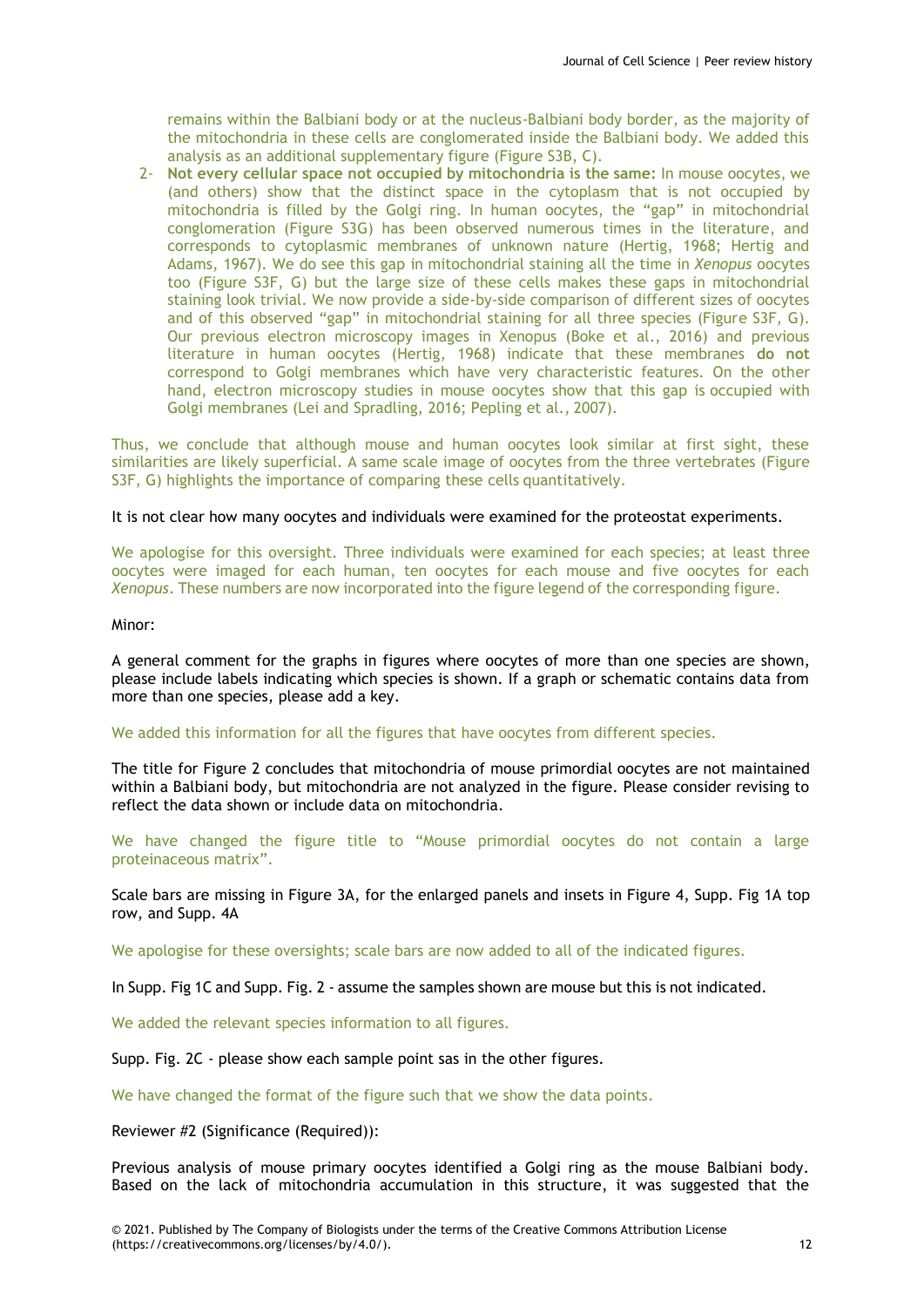remains within the Balbiani body or at the nucleus-Balbiani body border, as the majority of the mitochondria in these cells are conglomerated inside the Balbiani body. We added this analysis as an additional supplementary figure (Figure S3B, C).

2- **Not every cellular space not occupied by mitochondria is the same:** In mouse oocytes, we (and others) show that the distinct space in the cytoplasm that is not occupied by mitochondria is filled by the Golgi ring. In human oocytes, the "gap" in mitochondrial conglomeration (Figure S3G) has been observed numerous times in the literature, and corresponds to cytoplasmic membranes of unknown nature (Hertig, 1968; Hertig and Adams, 1967). We do see this gap in mitochondrial staining all the time in *Xenopus* oocytes too (Figure S3F, G) but the large size of these cells makes these gaps in mitochondrial staining look trivial. We now provide a side-by-side comparison of different sizes of oocytes and of this observed "gap" in mitochondrial staining for all three species (Figure S3F, G). Our previous electron microscopy images in Xenopus (Boke et al., 2016) and previous literature in human oocytes (Hertig, 1968) indicate that these membranes **do not**  correspond to Golgi membranes which have very characteristic features. On the other hand, electron microscopy studies in mouse oocytes show that this gap is occupied with Golgi membranes (Lei and Spradling, 2016; Pepling et al., 2007).

Thus, we conclude that although mouse and human oocytes look similar at first sight, these similarities are likely superficial. A same scale image of oocytes from the three vertebrates (Figure S3F, G) highlights the importance of comparing these cells quantitatively.

#### It is not clear how many oocytes and individuals were examined for the proteostat experiments.

We apologise for this oversight. Three individuals were examined for each species; at least three oocytes were imaged for each human, ten oocytes for each mouse and five oocytes for each *Xenopus*. These numbers are now incorporated into the figure legend of the corresponding figure.

#### Minor:

A general comment for the graphs in figures where oocytes of more than one species are shown, please include labels indicating which species is shown. If a graph or schematic contains data from more than one species, please add a key.

### We added this information for all the figures that have oocytes from different species.

The title for Figure 2 concludes that mitochondria of mouse primordial oocytes are not maintained within a Balbiani body, but mitochondria are not analyzed in the figure. Please consider revising to reflect the data shown or include data on mitochondria.

We have changed the figure title to "Mouse primordial oocytes do not contain a large proteinaceous matrix".

Scale bars are missing in Figure 3A, for the enlarged panels and insets in Figure 4, Supp. Fig 1A top row, and Supp. 4A

We apologise for these oversights; scale bars are now added to all of the indicated figures.

In Supp. Fig 1C and Supp. Fig. 2 - assume the samples shown are mouse but this is not indicated.

We added the relevant species information to all figures.

Supp. Fig. 2C - please show each sample point sas in the other figures.

We have changed the format of the figure such that we show the data points.

Reviewer #2 (Significance (Required)):

Previous analysis of mouse primary oocytes identified a Golgi ring as the mouse Balbiani body. Based on the lack of mitochondria accumulation in this structure, it was suggested that the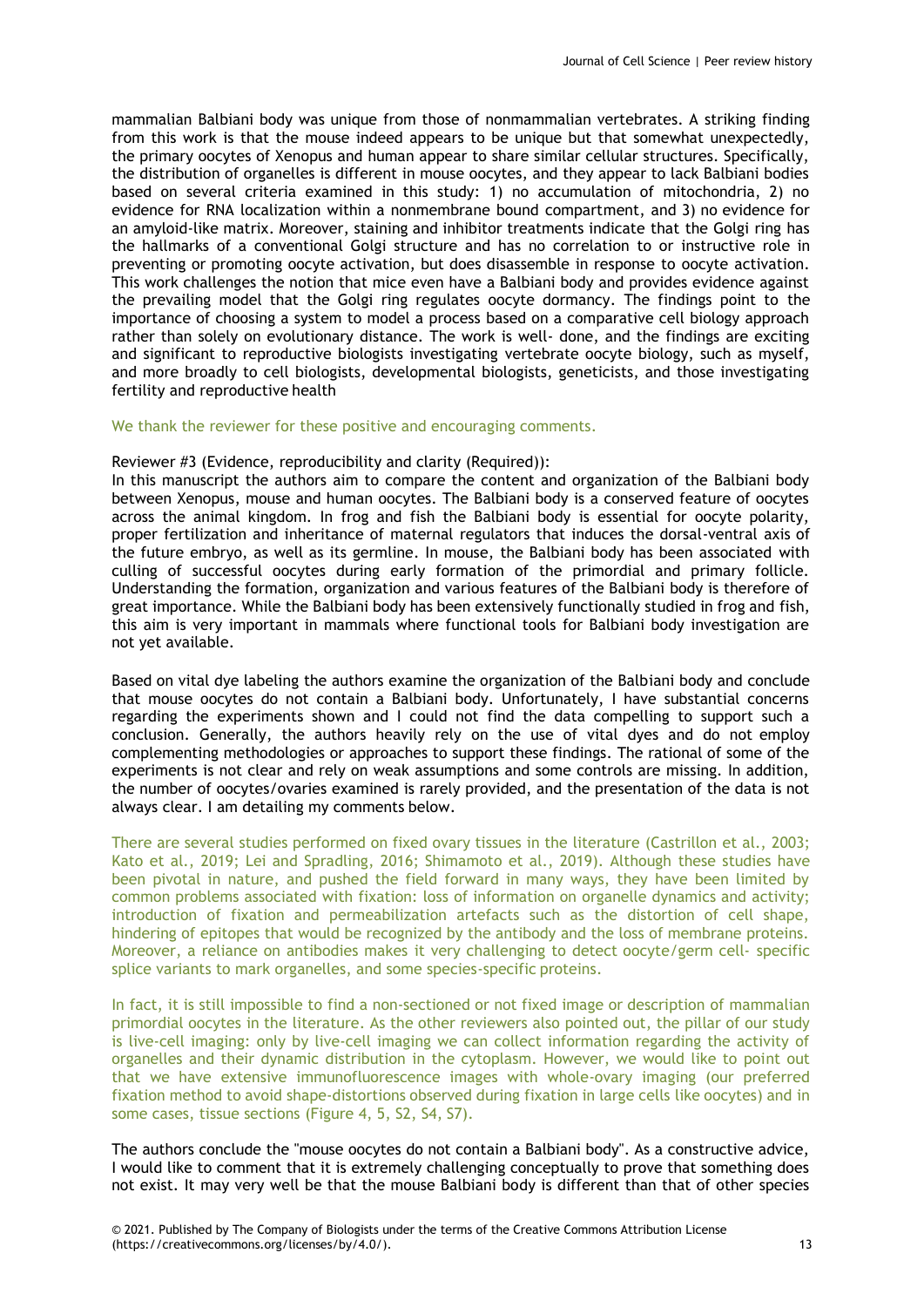mammalian Balbiani body was unique from those of nonmammalian vertebrates. A striking finding from this work is that the mouse indeed appears to be unique but that somewhat unexpectedly, the primary oocytes of Xenopus and human appear to share similar cellular structures. Specifically, the distribution of organelles is different in mouse oocytes, and they appear to lack Balbiani bodies based on several criteria examined in this study: 1) no accumulation of mitochondria, 2) no evidence for RNA localization within a nonmembrane bound compartment, and 3) no evidence for an amyloid-like matrix. Moreover, staining and inhibitor treatments indicate that the Golgi ring has the hallmarks of a conventional Golgi structure and has no correlation to or instructive role in preventing or promoting oocyte activation, but does disassemble in response to oocyte activation. This work challenges the notion that mice even have a Balbiani body and provides evidence against the prevailing model that the Golgi ring regulates oocyte dormancy. The findings point to the importance of choosing a system to model a process based on a comparative cell biology approach rather than solely on evolutionary distance. The work is well- done, and the findings are exciting and significant to reproductive biologists investigating vertebrate oocyte biology, such as myself, and more broadly to cell biologists, developmental biologists, geneticists, and those investigating fertility and reproductive health

#### We thank the reviewer for these positive and encouraging comments.

#### Reviewer #3 (Evidence, reproducibility and clarity (Required)):

In this manuscript the authors aim to compare the content and organization of the Balbiani body between Xenopus, mouse and human oocytes. The Balbiani body is a conserved feature of oocytes across the animal kingdom. In frog and fish the Balbiani body is essential for oocyte polarity, proper fertilization and inheritance of maternal regulators that induces the dorsal-ventral axis of the future embryo, as well as its germline. In mouse, the Balbiani body has been associated with culling of successful oocytes during early formation of the primordial and primary follicle. Understanding the formation, organization and various features of the Balbiani body is therefore of great importance. While the Balbiani body has been extensively functionally studied in frog and fish, this aim is very important in mammals where functional tools for Balbiani body investigation are not yet available.

Based on vital dye labeling the authors examine the organization of the Balbiani body and conclude that mouse oocytes do not contain a Balbiani body. Unfortunately, I have substantial concerns regarding the experiments shown and I could not find the data compelling to support such a conclusion. Generally, the authors heavily rely on the use of vital dyes and do not employ complementing methodologies or approaches to support these findings. The rational of some of the experiments is not clear and rely on weak assumptions and some controls are missing. In addition, the number of oocytes/ovaries examined is rarely provided, and the presentation of the data is not always clear. I am detailing my comments below.

There are several studies performed on fixed ovary tissues in the literature (Castrillon et al., 2003; Kato et al., 2019; Lei and Spradling, 2016; Shimamoto et al., 2019). Although these studies have been pivotal in nature, and pushed the field forward in many ways, they have been limited by common problems associated with fixation: loss of information on organelle dynamics and activity; introduction of fixation and permeabilization artefacts such as the distortion of cell shape, hindering of epitopes that would be recognized by the antibody and the loss of membrane proteins. Moreover, a reliance on antibodies makes it very challenging to detect oocyte/germ cell- specific splice variants to mark organelles, and some species-specific proteins.

In fact, it is still impossible to find a non-sectioned or not fixed image or description of mammalian primordial oocytes in the literature. As the other reviewers also pointed out, the pillar of our study is live-cell imaging: only by live-cell imaging we can collect information regarding the activity of organelles and their dynamic distribution in the cytoplasm. However, we would like to point out that we have extensive immunofluorescence images with whole-ovary imaging (our preferred fixation method to avoid shape-distortions observed during fixation in large cells like oocytes) and in some cases, tissue sections (Figure 4, 5, S2, S4, S7).

The authors conclude the "mouse oocytes do not contain a Balbiani body". As a constructive advice, I would like to comment that it is extremely challenging conceptually to prove that something does not exist. It may very well be that the mouse Balbiani body is different than that of other species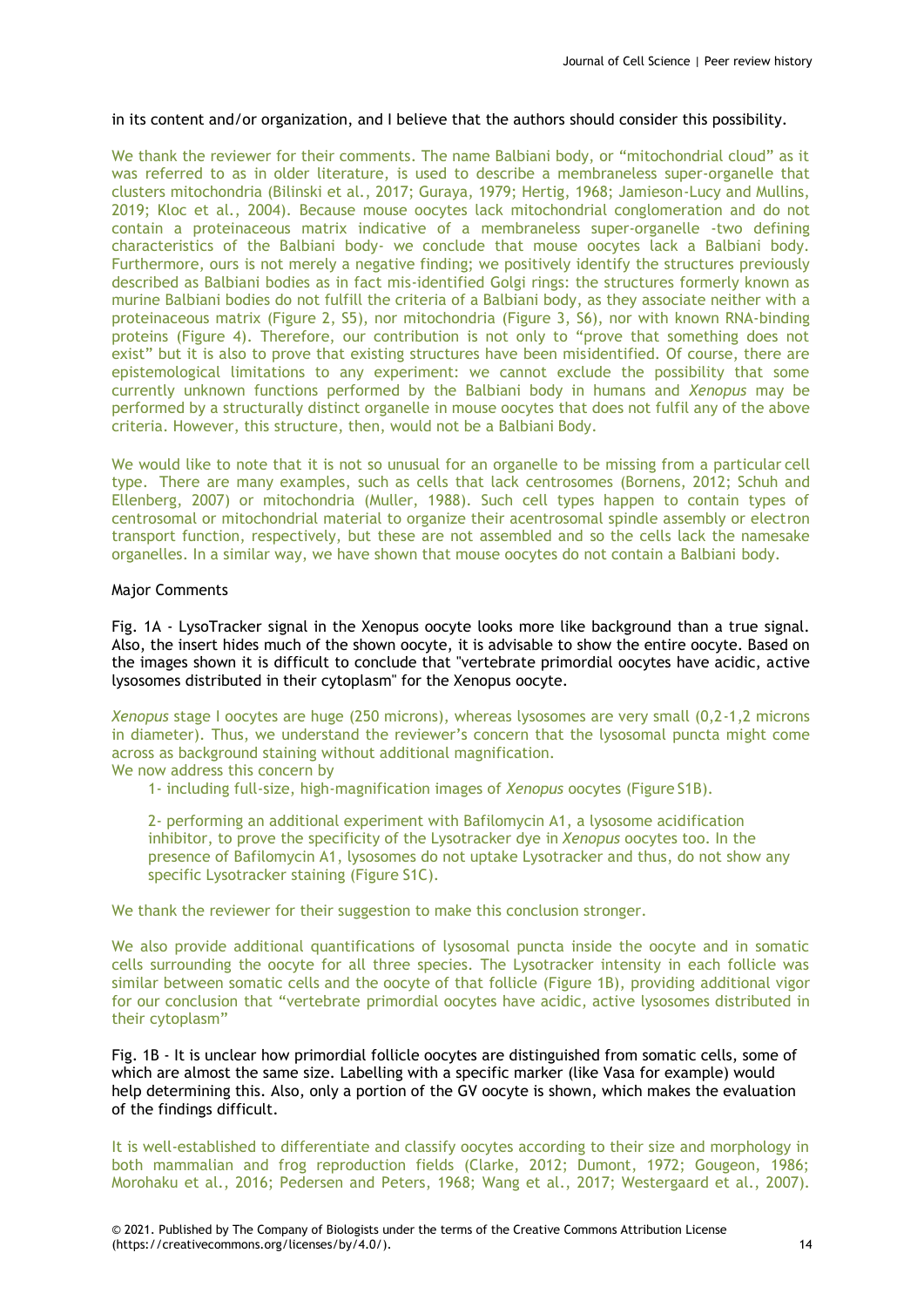# in its content and/or organization, and I believe that the authors should consider this possibility.

We thank the reviewer for their comments. The name Balbiani body, or "mitochondrial cloud" as it was referred to as in older literature, is used to describe a membraneless super-organelle that clusters mitochondria (Bilinski et al., 2017; Guraya, 1979; Hertig, 1968; Jamieson-Lucy and Mullins, 2019; Kloc et al., 2004). Because mouse oocytes lack mitochondrial conglomeration and do not contain a proteinaceous matrix indicative of a membraneless super-organelle -two defining characteristics of the Balbiani body- we conclude that mouse oocytes lack a Balbiani body. Furthermore, ours is not merely a negative finding; we positively identify the structures previously described as Balbiani bodies as in fact mis-identified Golgi rings: the structures formerly known as murine Balbiani bodies do not fulfill the criteria of a Balbiani body, as they associate neither with a proteinaceous matrix (Figure 2, S5), nor mitochondria (Figure 3, S6), nor with known RNA-binding proteins (Figure 4). Therefore, our contribution is not only to "prove that something does not exist" but it is also to prove that existing structures have been misidentified. Of course, there are epistemological limitations to any experiment: we cannot exclude the possibility that some currently unknown functions performed by the Balbiani body in humans and *Xenopus* may be performed by a structurally distinct organelle in mouse oocytes that does not fulfil any of the above criteria. However, this structure, then, would not be a Balbiani Body.

We would like to note that it is not so unusual for an organelle to be missing from a particular cell type. There are many examples, such as cells that lack centrosomes (Bornens, 2012; Schuh and Ellenberg, 2007) or mitochondria (Muller, 1988). Such cell types happen to contain types of centrosomal or mitochondrial material to organize their acentrosomal spindle assembly or electron transport function, respectively, but these are not assembled and so the cells lack the namesake organelles. In a similar way, we have shown that mouse oocytes do not contain a Balbiani body.

# Major Comments

Fig. 1A - LysoTracker signal in the Xenopus oocyte looks more like background than a true signal. Also, the insert hides much of the shown oocyte, it is advisable to show the entire oocyte. Based on the images shown it is difficult to conclude that "vertebrate primordial oocytes have acidic, active lysosomes distributed in their cytoplasm" for the Xenopus oocyte.

*Xenopus* stage I oocytes are huge (250 microns), whereas lysosomes are very small (0,2-1,2 microns in diameter). Thus, we understand the reviewer's concern that the lysosomal puncta might come across as background staining without additional magnification.

We now address this concern by

1- including full-size, high-magnification images of *Xenopus* oocytes (Figure S1B).

2- performing an additional experiment with Bafilomycin A1, a lysosome acidification inhibitor, to prove the specificity of the Lysotracker dye in *Xenopus* oocytes too. In the presence of Bafilomycin A1, lysosomes do not uptake Lysotracker and thus, do not show any specific Lysotracker staining (Figure S1C).

We thank the reviewer for their suggestion to make this conclusion stronger.

We also provide additional quantifications of lysosomal puncta inside the oocyte and in somatic cells surrounding the oocyte for all three species. The Lysotracker intensity in each follicle was similar between somatic cells and the oocyte of that follicle (Figure 1B), providing additional vigor for our conclusion that "vertebrate primordial oocytes have acidic, active lysosomes distributed in their cytoplasm"

Fig. 1B - It is unclear how primordial follicle oocytes are distinguished from somatic cells, some of which are almost the same size. Labelling with a specific marker (like Vasa for example) would help determining this. Also, only a portion of the GV oocyte is shown, which makes the evaluation of the findings difficult.

It is well-established to differentiate and classify oocytes according to their size and morphology in both mammalian and frog reproduction fields (Clarke, 2012; Dumont, 1972; Gougeon, 1986; Morohaku et al., 2016; Pedersen and Peters, 1968; Wang et al., 2017; Westergaard et al., 2007).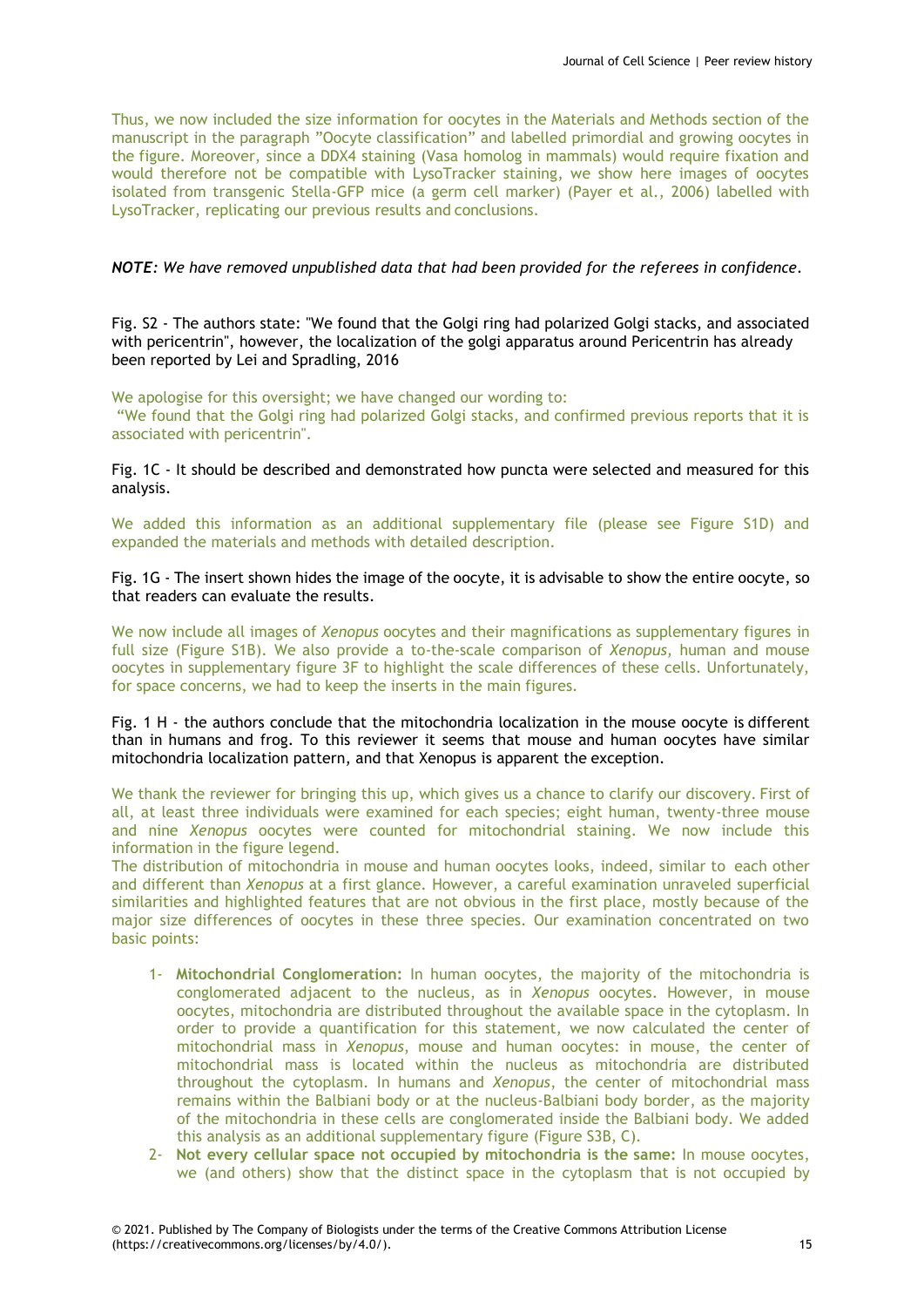Thus, we now included the size information for oocytes in the Materials and Methods section of the manuscript in the paragraph "Oocyte classification" and labelled primordial and growing oocytes in the figure. Moreover, since a DDX4 staining (Vasa homolog in mammals) would require fixation and would therefore not be compatible with LysoTracker staining, we show here images of oocytes isolated from transgenic Stella-GFP mice (a germ cell marker) (Payer et al., 2006) labelled with LysoTracker, replicating our previous results and conclusions.

# *NOTE: We have removed unpublished data that had been provided for the referees in confidence.*

Fig. S2 - The authors state: "We found that the Golgi ring had polarized Golgi stacks, and associated with pericentrin", however, the localization of the golgi apparatus around Pericentrin has already been reported by Lei and Spradling, 2016

We apologise for this oversight; we have changed our wording to: "We found that the Golgi ring had polarized Golgi stacks, and confirmed previous reports that it is associated with pericentrin".

Fig. 1C - It should be described and demonstrated how puncta were selected and measured for this analysis.

We added this information as an additional supplementary file (please see Figure S1D) and expanded the materials and methods with detailed description.

Fig. 1G - The insert shown hides the image of the oocyte, it is advisable to show the entire oocyte, so that readers can evaluate the results.

We now include all images of *Xenopus* oocytes and their magnifications as supplementary figures in full size (Figure S1B). We also provide a to-the-scale comparison of *Xenopus,* human and mouse oocytes in supplementary figure 3F to highlight the scale differences of these cells. Unfortunately, for space concerns, we had to keep the inserts in the main figures.

Fig. 1 H - the authors conclude that the mitochondria localization in the mouse oocyte is different than in humans and frog. To this reviewer it seems that mouse and human oocytes have similar mitochondria localization pattern, and that Xenopus is apparent the exception.

We thank the reviewer for bringing this up, which gives us a chance to clarify our discovery. First of all, at least three individuals were examined for each species; eight human, twenty-three mouse and nine *Xenopus* oocytes were counted for mitochondrial staining. We now include this information in the figure legend.

The distribution of mitochondria in mouse and human oocytes looks, indeed, similar to each other and different than *Xenopus* at a first glance. However, a careful examination unraveled superficial similarities and highlighted features that are not obvious in the first place, mostly because of the major size differences of oocytes in these three species. Our examination concentrated on two basic points:

- 1- **Mitochondrial Conglomeration:** In human oocytes, the majority of the mitochondria is conglomerated adjacent to the nucleus, as in *Xenopus* oocytes. However, in mouse oocytes, mitochondria are distributed throughout the available space in the cytoplasm. In order to provide a quantification for this statement, we now calculated the center of mitochondrial mass in *Xenopus*, mouse and human oocytes: in mouse, the center of mitochondrial mass is located within the nucleus as mitochondria are distributed throughout the cytoplasm. In humans and *Xenopus*, the center of mitochondrial mass remains within the Balbiani body or at the nucleus-Balbiani body border, as the majority of the mitochondria in these cells are conglomerated inside the Balbiani body. We added this analysis as an additional supplementary figure (Figure S3B, C).
- 2- **Not every cellular space not occupied by mitochondria is the same:** In mouse oocytes, we (and others) show that the distinct space in the cytoplasm that is not occupied by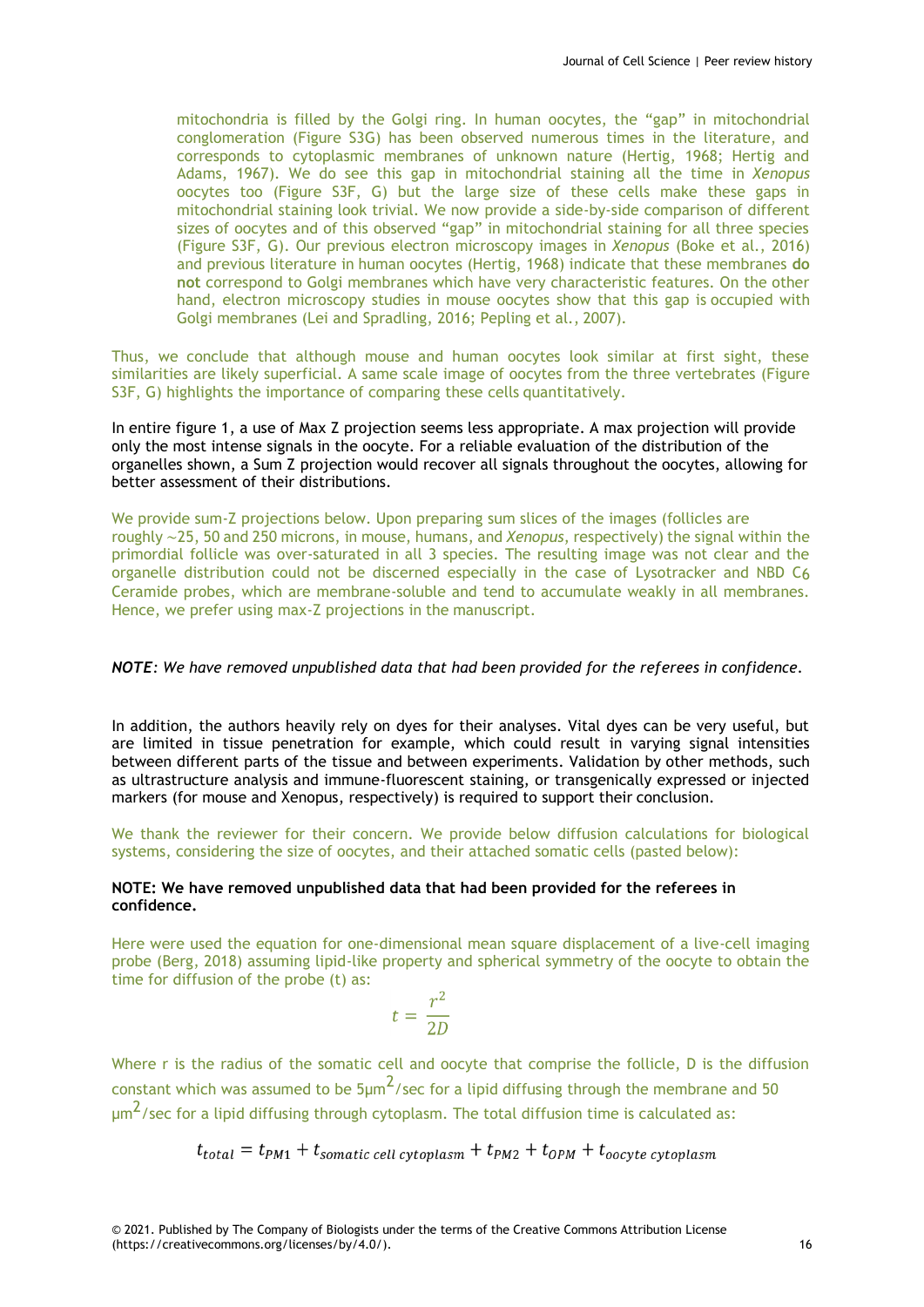mitochondria is filled by the Golgi ring. In human oocytes, the "gap" in mitochondrial conglomeration (Figure S3G) has been observed numerous times in the literature, and corresponds to cytoplasmic membranes of unknown nature (Hertig, 1968; Hertig and Adams, 1967). We do see this gap in mitochondrial staining all the time in *Xenopus*  oocytes too (Figure S3F, G) but the large size of these cells make these gaps in mitochondrial staining look trivial. We now provide a side-by-side comparison of different sizes of oocytes and of this observed "gap" in mitochondrial staining for all three species (Figure S3F, G). Our previous electron microscopy images in *Xenopus* (Boke et al., 2016) and previous literature in human oocytes (Hertig, 1968) indicate that these membranes **do not** correspond to Golgi membranes which have very characteristic features. On the other hand, electron microscopy studies in mouse oocytes show that this gap is occupied with Golgi membranes (Lei and Spradling, 2016; Pepling et al., 2007).

Thus, we conclude that although mouse and human oocytes look similar at first sight, these similarities are likely superficial. A same scale image of oocytes from the three vertebrates (Figure S3F, G) highlights the importance of comparing these cells quantitatively.

In entire figure 1, a use of Max Z projection seems less appropriate. A max projection will provide only the most intense signals in the oocyte. For a reliable evaluation of the distribution of the organelles shown, a Sum Z projection would recover all signals throughout the oocytes, allowing for better assessment of their distributions.

We provide sum-Z projections below. Upon preparing sum slices of the images (follicles are roughly ∼25, 50 and 250 microns, in mouse, humans, and *Xenopus*, respectively) the signal within the primordial follicle was over-saturated in all 3 species. The resulting image was not clear and the organelle distribution could not be discerned especially in the case of Lysotracker and NBD C6 Ceramide probes, which are membrane-soluble and tend to accumulate weakly in all membranes. Hence, we prefer using max-Z projections in the manuscript.

#### *NOTE: We have removed unpublished data that had been provided for the referees in confidence.*

In addition, the authors heavily rely on dyes for their analyses. Vital dyes can be very useful, but are limited in tissue penetration for example, which could result in varying signal intensities between different parts of the tissue and between experiments. Validation by other methods, such as ultrastructure analysis and immune-fluorescent staining, or transgenically expressed or injected markers (for mouse and Xenopus, respectively) is required to support their conclusion.

We thank the reviewer for their concern. We provide below diffusion calculations for biological systems, considering the size of oocytes, and their attached somatic cells (pasted below):

### **NOTE: We have removed unpublished data that had been provided for the referees in confidence.**

Here were used the equation for one-dimensional mean square displacement of a live-cell imaging probe (Berg, 2018) assuming lipid-like property and spherical symmetry of the oocyte to obtain the time for diffusion of the probe (t) as:

$$
t = \frac{r^2}{2D}
$$

Where r is the radius of the somatic cell and oocyte that comprise the follicle, D is the diffusion constant which was assumed to be  $5\mu m^2$ /sec for a lipid diffusing through the membrane and 50  $\mu$ m $^2$ /sec for a lipid diffusing through cytoplasm. The total diffusion time is calculated as:

$$
t_{total} = t_{PM1} + t_{somatic\ cell\ cytoplasm} + t_{PM2} + t_{OPM} + t_{ocycle\ cytoplasm}
$$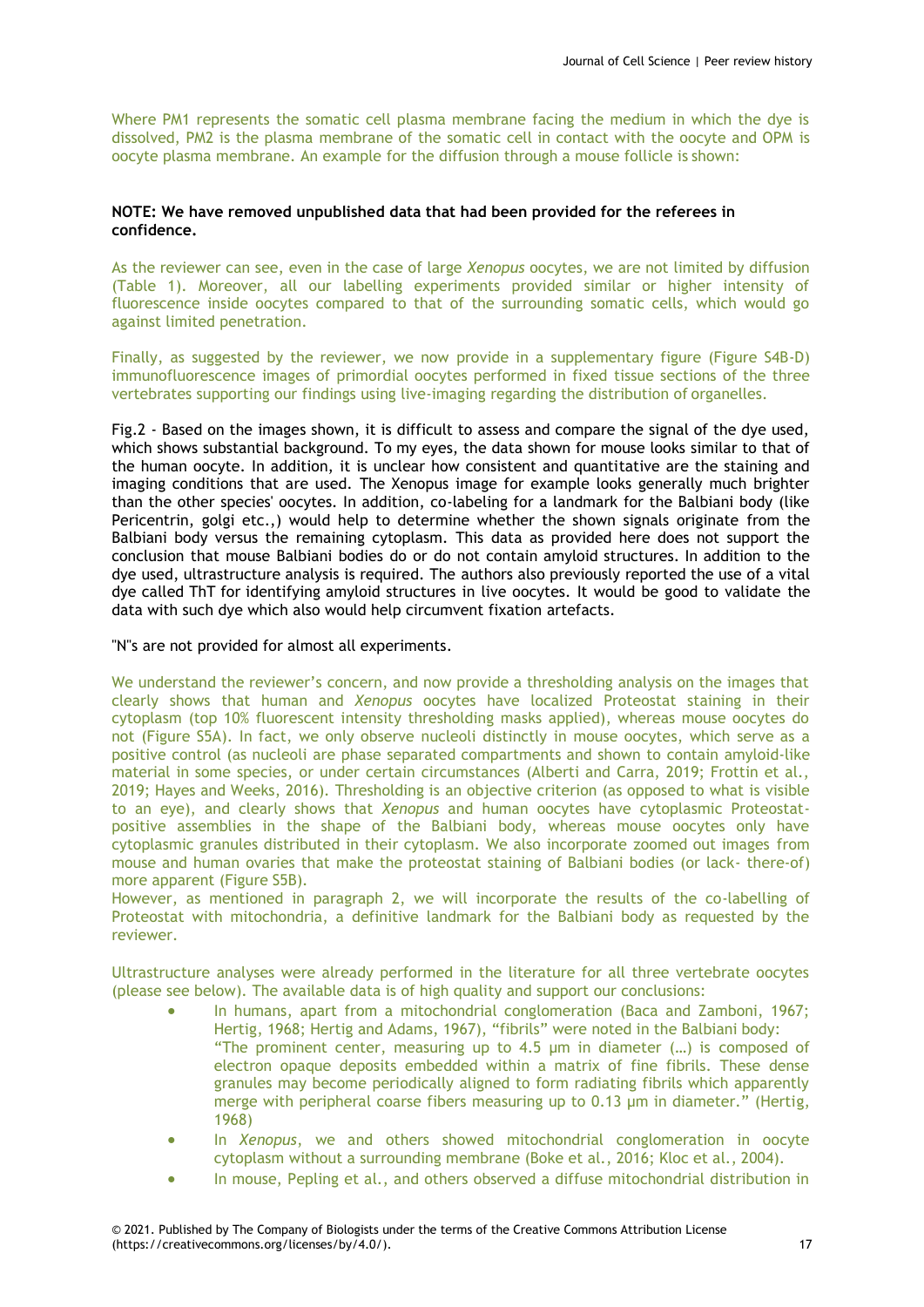Where PM1 represents the somatic cell plasma membrane facing the medium in which the dye is dissolved, PM2 is the plasma membrane of the somatic cell in contact with the oocyte and OPM is oocyte plasma membrane. An example for the diffusion through a mouse follicle is shown:

# **NOTE: We have removed unpublished data that had been provided for the referees in confidence.**

As the reviewer can see, even in the case of large *Xenopus* oocytes, we are not limited by diffusion (Table 1). Moreover, all our labelling experiments provided similar or higher intensity of fluorescence inside oocytes compared to that of the surrounding somatic cells, which would go against limited penetration.

Finally, as suggested by the reviewer, we now provide in a supplementary figure (Figure S4B-D) immunofluorescence images of primordial oocytes performed in fixed tissue sections of the three vertebrates supporting our findings using live-imaging regarding the distribution of organelles.

Fig.2 - Based on the images shown, it is difficult to assess and compare the signal of the dye used, which shows substantial background. To my eyes, the data shown for mouse looks similar to that of the human oocyte. In addition, it is unclear how consistent and quantitative are the staining and imaging conditions that are used. The Xenopus image for example looks generally much brighter than the other species' oocytes. In addition, co-labeling for a landmark for the Balbiani body (like Pericentrin, golgi etc.,) would help to determine whether the shown signals originate from the Balbiani body versus the remaining cytoplasm. This data as provided here does not support the conclusion that mouse Balbiani bodies do or do not contain amyloid structures. In addition to the dye used, ultrastructure analysis is required. The authors also previously reported the use of a vital dye called ThT for identifying amyloid structures in live oocytes. It would be good to validate the data with such dye which also would help circumvent fixation artefacts.

"N"s are not provided for almost all experiments.

We understand the reviewer's concern, and now provide a thresholding analysis on the images that clearly shows that human and *Xenopus* oocytes have localized Proteostat staining in their cytoplasm (top 10% fluorescent intensity thresholding masks applied), whereas mouse oocytes do not (Figure S5A). In fact, we only observe nucleoli distinctly in mouse oocytes, which serve as a positive control (as nucleoli are phase separated compartments and shown to contain amyloid-like material in some species, or under certain circumstances (Alberti and Carra, 2019; Frottin et al., 2019; Hayes and Weeks, 2016). Thresholding is an objective criterion (as opposed to what is visible to an eye), and clearly shows that *Xenopus* and human oocytes have cytoplasmic Proteostatpositive assemblies in the shape of the Balbiani body, whereas mouse oocytes only have cytoplasmic granules distributed in their cytoplasm. We also incorporate zoomed out images from mouse and human ovaries that make the proteostat staining of Balbiani bodies (or lack- there-of) more apparent (Figure S5B).

However, as mentioned in paragraph 2, we will incorporate the results of the co-labelling of Proteostat with mitochondria, a definitive landmark for the Balbiani body as requested by the reviewer.

Ultrastructure analyses were already performed in the literature for all three vertebrate oocytes (please see below). The available data is of high quality and support our conclusions:

- In humans, apart from a mitochondrial conglomeration (Baca and Zamboni, 1967; Hertig, 1968; Hertig and Adams, 1967), "fibrils" were noted in the Balbiani body: "The prominent center, measuring up to 4.5 µm in diameter (…) is composed of electron opaque deposits embedded within a matrix of fine fibrils. These dense granules may become periodically aligned to form radiating fibrils which apparently merge with peripheral coarse fibers measuring up to 0.13 µm in diameter." (Hertig, 1968)
- In *Xenopus*, we and others showed mitochondrial conglomeration in oocyte cytoplasm without a surrounding membrane (Boke et al., 2016; Kloc et al., 2004).
- In mouse, Pepling et al., and others observed a diffuse mitochondrial distribution in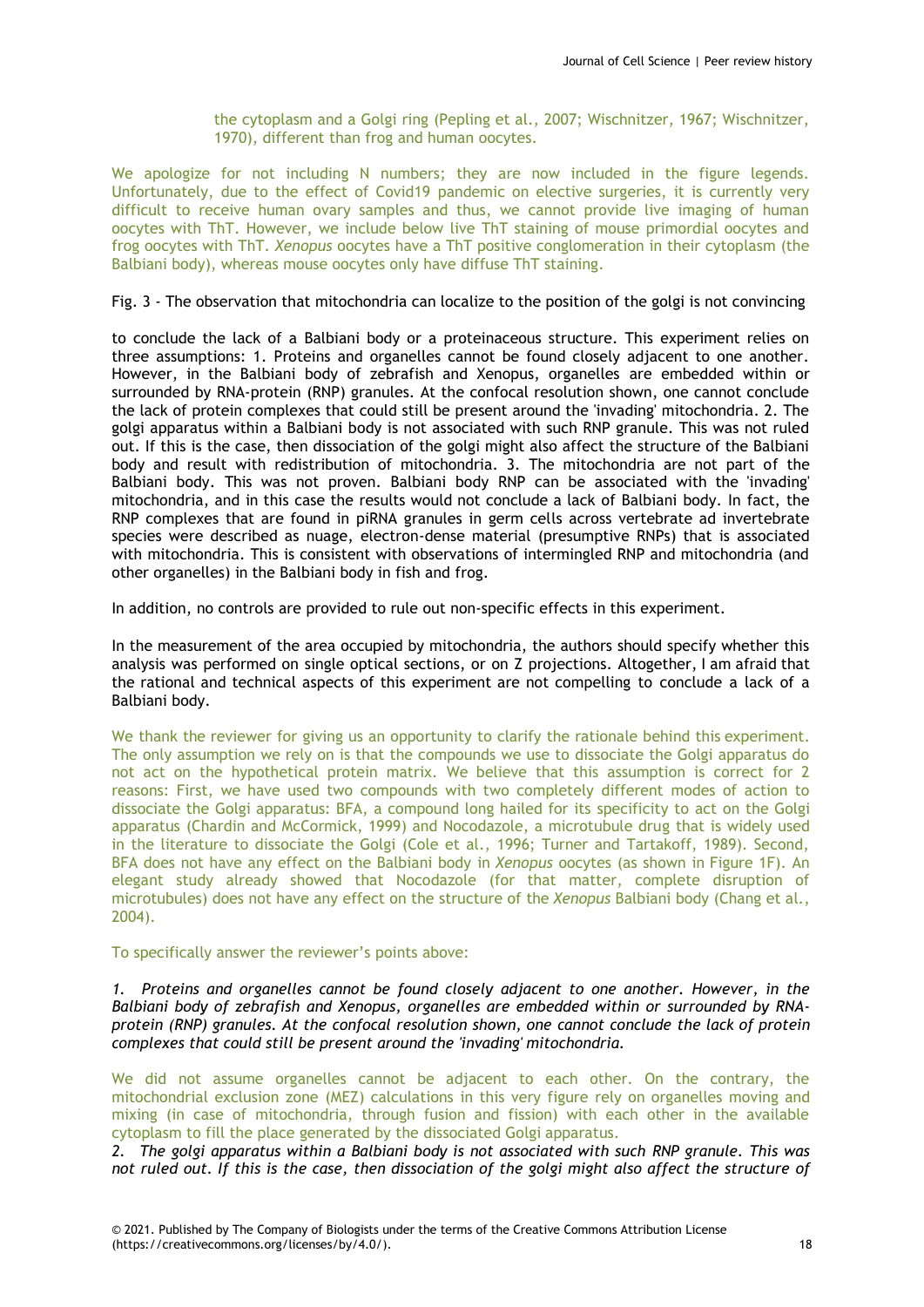the cytoplasm and a Golgi ring (Pepling et al., 2007; Wischnitzer, 1967; Wischnitzer, 1970), different than frog and human oocytes.

We apologize for not including N numbers; they are now included in the figure legends. Unfortunately, due to the effect of Covid19 pandemic on elective surgeries, it is currently very difficult to receive human ovary samples and thus, we cannot provide live imaging of human oocytes with ThT. However, we include below live ThT staining of mouse primordial oocytes and frog oocytes with ThT. *Xenopus* oocytes have a ThT positive conglomeration in their cytoplasm (the Balbiani body), whereas mouse oocytes only have diffuse ThT staining.

Fig. 3 - The observation that mitochondria can localize to the position of the golgi is not convincing

to conclude the lack of a Balbiani body or a proteinaceous structure. This experiment relies on three assumptions: 1. Proteins and organelles cannot be found closely adjacent to one another. However, in the Balbiani body of zebrafish and Xenopus, organelles are embedded within or surrounded by RNA-protein (RNP) granules. At the confocal resolution shown, one cannot conclude the lack of protein complexes that could still be present around the 'invading' mitochondria. 2. The golgi apparatus within a Balbiani body is not associated with such RNP granule. This was not ruled out. If this is the case, then dissociation of the golgi might also affect the structure of the Balbiani body and result with redistribution of mitochondria. 3. The mitochondria are not part of the Balbiani body. This was not proven. Balbiani body RNP can be associated with the 'invading' mitochondria, and in this case the results would not conclude a lack of Balbiani body. In fact, the RNP complexes that are found in piRNA granules in germ cells across vertebrate ad invertebrate species were described as nuage, electron-dense material (presumptive RNPs) that is associated with mitochondria. This is consistent with observations of intermingled RNP and mitochondria (and other organelles) in the Balbiani body in fish and frog.

In addition, no controls are provided to rule out non-specific effects in this experiment.

In the measurement of the area occupied by mitochondria, the authors should specify whether this analysis was performed on single optical sections, or on Z projections. Altogether, I am afraid that the rational and technical aspects of this experiment are not compelling to conclude a lack of a Balbiani body.

We thank the reviewer for giving us an opportunity to clarify the rationale behind this experiment. The only assumption we rely on is that the compounds we use to dissociate the Golgi apparatus do not act on the hypothetical protein matrix. We believe that this assumption is correct for 2 reasons: First, we have used two compounds with two completely different modes of action to dissociate the Golgi apparatus: BFA, a compound long hailed for its specificity to act on the Golgi apparatus (Chardin and McCormick, 1999) and Nocodazole, a microtubule drug that is widely used in the literature to dissociate the Golgi (Cole et al., 1996; Turner and Tartakoff, 1989). Second, BFA does not have any effect on the Balbiani body in *Xenopus* oocytes (as shown in Figure 1F). An elegant study already showed that Nocodazole (for that matter, complete disruption of microtubules) does not have any effect on the structure of the *Xenopus* Balbiani body (Chang et al., 2004).

To specifically answer the reviewer's points above:

*1. Proteins and organelles cannot be found closely adjacent to one another. However, in the Balbiani body of zebrafish and Xenopus, organelles are embedded within or surrounded by RNAprotein (RNP) granules. At the confocal resolution shown, one cannot conclude the lack of protein complexes that could still be present around the 'invading' mitochondria.*

We did not assume organelles cannot be adjacent to each other. On the contrary, the mitochondrial exclusion zone (MEZ) calculations in this very figure rely on organelles moving and mixing (in case of mitochondria, through fusion and fission) with each other in the available cytoplasm to fill the place generated by the dissociated Golgi apparatus.

*2. The golgi apparatus within a Balbiani body is not associated with such RNP granule. This was*  not ruled out. If this is the case, then dissociation of the golgi might also affect the structure of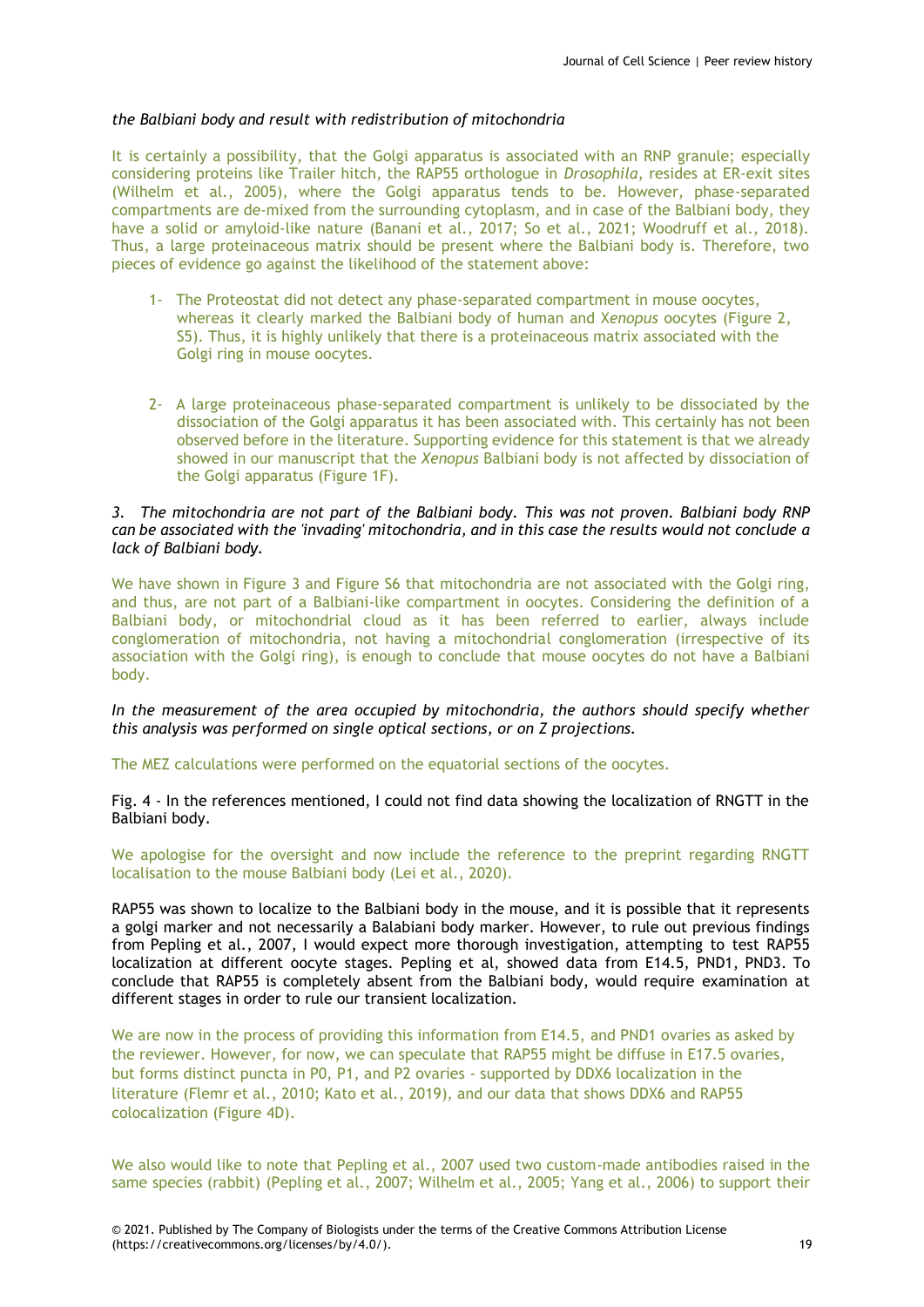# *the Balbiani body and result with redistribution of mitochondria*

It is certainly a possibility, that the Golgi apparatus is associated with an RNP granule; especially considering proteins like Trailer hitch, the RAP55 orthologue in *Drosophila*, resides at ER-exit sites (Wilhelm et al., 2005), where the Golgi apparatus tends to be. However, phase-separated compartments are de-mixed from the surrounding cytoplasm, and in case of the Balbiani body, they have a solid or amyloid-like nature (Banani et al., 2017; So et al., 2021; Woodruff et al., 2018). Thus, a large proteinaceous matrix should be present where the Balbiani body is. Therefore, two pieces of evidence go against the likelihood of the statement above:

- 1- The Proteostat did not detect any phase-separated compartment in mouse oocytes, whereas it clearly marked the Balbiani body of human and X*enopus* oocytes (Figure 2, S5). Thus, it is highly unlikely that there is a proteinaceous matrix associated with the Golgi ring in mouse oocytes.
- 2- A large proteinaceous phase-separated compartment is unlikely to be dissociated by the dissociation of the Golgi apparatus it has been associated with. This certainly has not been observed before in the literature. Supporting evidence for this statement is that we already showed in our manuscript that the *Xenopus* Balbiani body is not affected by dissociation of the Golgi apparatus (Figure 1F).

# *3. The mitochondria are not part of the Balbiani body. This was not proven. Balbiani body RNP can be associated with the 'invading' mitochondria, and in this case the results would not conclude a lack of Balbiani body.*

We have shown in Figure 3 and Figure S6 that mitochondria are not associated with the Golgi ring, and thus, are not part of a Balbiani-like compartment in oocytes. Considering the definition of a Balbiani body, or mitochondrial cloud as it has been referred to earlier, always include conglomeration of mitochondria, not having a mitochondrial conglomeration (irrespective of its association with the Golgi ring), is enough to conclude that mouse oocytes do not have a Balbiani body.

*In the measurement of the area occupied by mitochondria, the authors should specify whether this analysis was performed on single optical sections, or on Z projections.*

The MEZ calculations were performed on the equatorial sections of the oocytes.

Fig. 4 - In the references mentioned, I could not find data showing the localization of RNGTT in the Balbiani body.

We apologise for the oversight and now include the reference to the preprint regarding RNGTT localisation to the mouse Balbiani body (Lei et al., 2020).

RAP55 was shown to localize to the Balbiani body in the mouse, and it is possible that it represents a golgi marker and not necessarily a Balabiani body marker. However, to rule out previous findings from Pepling et al., 2007, I would expect more thorough investigation, attempting to test RAP55 localization at different oocyte stages. Pepling et al, showed data from E14.5, PND1, PND3. To conclude that RAP55 is completely absent from the Balbiani body, would require examination at different stages in order to rule our transient localization.

We are now in the process of providing this information from E14.5, and PND1 ovaries as asked by the reviewer. However, for now, we can speculate that RAP55 might be diffuse in E17.5 ovaries, but forms distinct puncta in P0, P1, and P2 ovaries - supported by DDX6 localization in the literature (Flemr et al., 2010; Kato et al., 2019), and our data that shows DDX6 and RAP55 colocalization (Figure 4D).

We also would like to note that Pepling et al., 2007 used two custom-made antibodies raised in the same species (rabbit) (Pepling et al., 2007; Wilhelm et al., 2005; Yang et al., 2006) to support their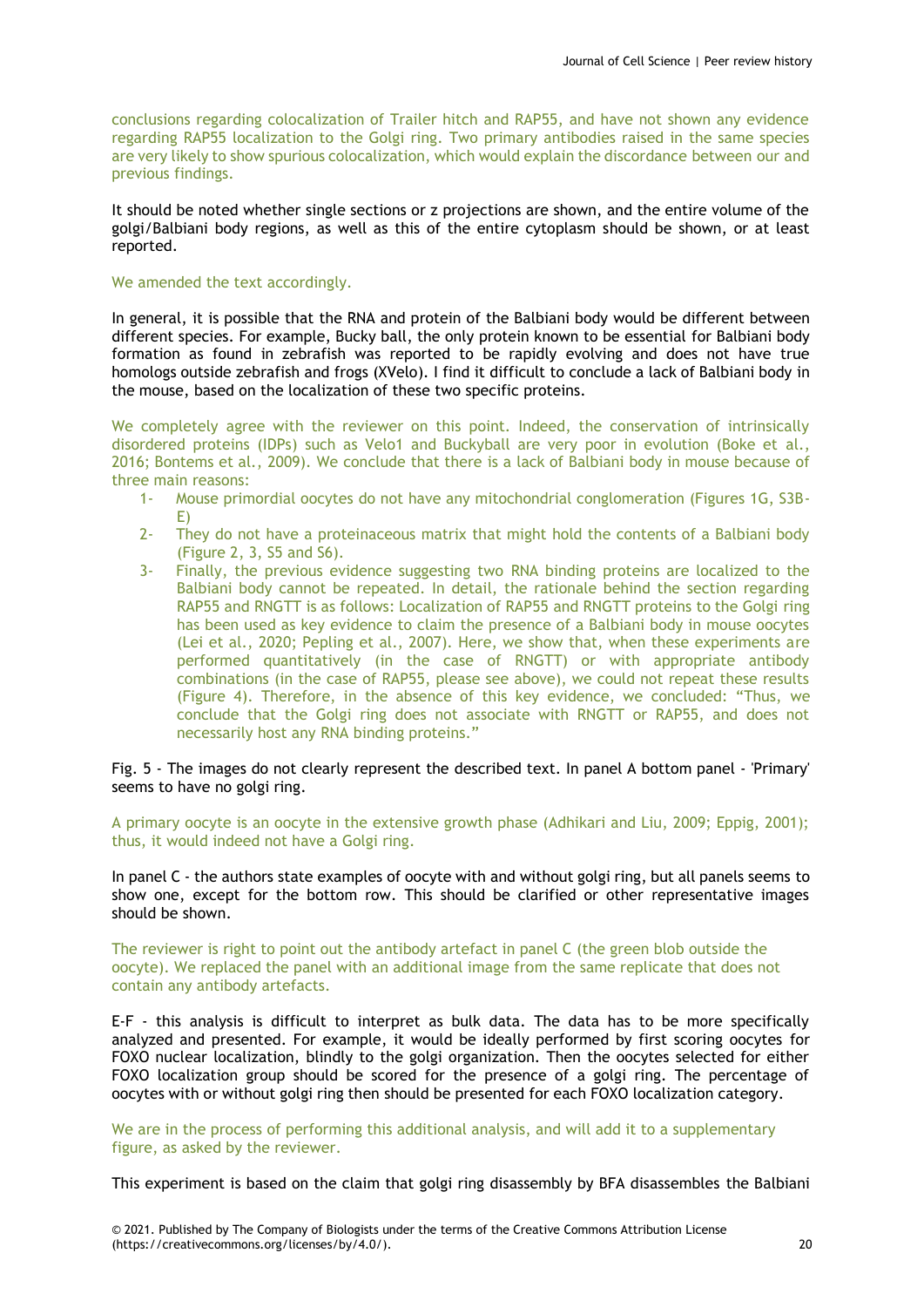conclusions regarding colocalization of Trailer hitch and RAP55, and have not shown any evidence regarding RAP55 localization to the Golgi ring. Two primary antibodies raised in the same species are very likely to show spurious colocalization, which would explain the discordance between our and previous findings.

It should be noted whether single sections or z projections are shown, and the entire volume of the golgi/Balbiani body regions, as well as this of the entire cytoplasm should be shown, or at least reported.

### We amended the text accordingly.

In general, it is possible that the RNA and protein of the Balbiani body would be different between different species. For example, Bucky ball, the only protein known to be essential for Balbiani body formation as found in zebrafish was reported to be rapidly evolving and does not have true homologs outside zebrafish and frogs (XVelo). I find it difficult to conclude a lack of Balbiani body in the mouse, based on the localization of these two specific proteins.

We completely agree with the reviewer on this point. Indeed, the conservation of intrinsically disordered proteins (IDPs) such as Velo1 and Buckyball are very poor in evolution (Boke et al., 2016; Bontems et al., 2009). We conclude that there is a lack of Balbiani body in mouse because of three main reasons:

- 1- Mouse primordial oocytes do not have any mitochondrial conglomeration (Figures 1G, S3B-E)
- 2- They do not have a proteinaceous matrix that might hold the contents of a Balbiani body (Figure 2, 3, S5 and S6).
- 3- Finally, the previous evidence suggesting two RNA binding proteins are localized to the Balbiani body cannot be repeated. In detail, the rationale behind the section regarding RAP55 and RNGTT is as follows: Localization of RAP55 and RNGTT proteins to the Golgi ring has been used as key evidence to claim the presence of a Balbiani body in mouse oocytes (Lei et al., 2020; Pepling et al., 2007). Here, we show that, when these experiments are performed quantitatively (in the case of RNGTT) or with appropriate antibody combinations (in the case of RAP55, please see above), we could not repeat these results (Figure 4). Therefore, in the absence of this key evidence, we concluded: "Thus, we conclude that the Golgi ring does not associate with RNGTT or RAP55, and does not necessarily host any RNA binding proteins."

Fig. 5 - The images do not clearly represent the described text. In panel A bottom panel - 'Primary' seems to have no golgi ring.

A primary oocyte is an oocyte in the extensive growth phase (Adhikari and Liu, 2009; Eppig, 2001); thus, it would indeed not have a Golgi ring.

In panel C - the authors state examples of oocyte with and without golgi ring, but all panels seems to show one, except for the bottom row. This should be clarified or other representative images should be shown.

The reviewer is right to point out the antibody artefact in panel C (the green blob outside the oocyte). We replaced the panel with an additional image from the same replicate that does not contain any antibody artefacts.

E-F - this analysis is difficult to interpret as bulk data. The data has to be more specifically analyzed and presented. For example, it would be ideally performed by first scoring oocytes for FOXO nuclear localization, blindly to the golgi organization. Then the oocytes selected for either FOXO localization group should be scored for the presence of a golgi ring. The percentage of oocytes with or without golgi ring then should be presented for each FOXO localization category.

We are in the process of performing this additional analysis, and will add it to a supplementary figure, as asked by the reviewer.

This experiment is based on the claim that golgi ring disassembly by BFA disassembles the Balbiani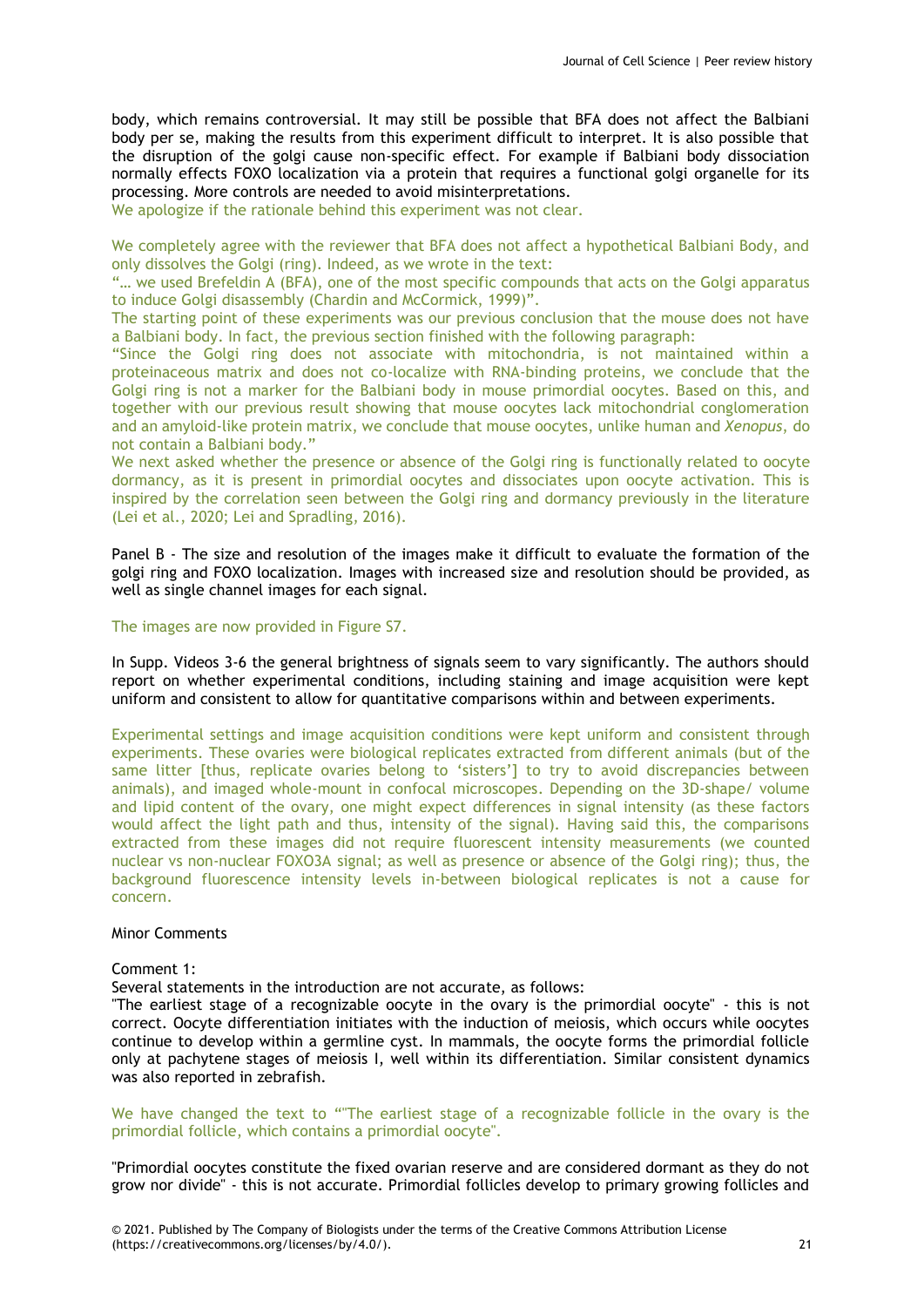body, which remains controversial. It may still be possible that BFA does not affect the Balbiani body per se, making the results from this experiment difficult to interpret. It is also possible that the disruption of the golgi cause non-specific effect. For example if Balbiani body dissociation normally effects FOXO localization via a protein that requires a functional golgi organelle for its processing. More controls are needed to avoid misinterpretations.

We apologize if the rationale behind this experiment was not clear.

We completely agree with the reviewer that BFA does not affect a hypothetical Balbiani Body, and only dissolves the Golgi (ring). Indeed, as we wrote in the text:

"… we used Brefeldin A (BFA), one of the most specific compounds that acts on the Golgi apparatus to induce Golgi disassembly (Chardin and McCormick, 1999)".

The starting point of these experiments was our previous conclusion that the mouse does not have a Balbiani body. In fact, the previous section finished with the following paragraph:

"Since the Golgi ring does not associate with mitochondria, is not maintained within a proteinaceous matrix and does not co-localize with RNA-binding proteins, we conclude that the Golgi ring is not a marker for the Balbiani body in mouse primordial oocytes. Based on this, and together with our previous result showing that mouse oocytes lack mitochondrial conglomeration and an amyloid-like protein matrix, we conclude that mouse oocytes, unlike human and *Xenopus*, do not contain a Balbiani body."

We next asked whether the presence or absence of the Golgi ring is functionally related to oocyte dormancy, as it is present in primordial oocytes and dissociates upon oocyte activation. This is inspired by the correlation seen between the Golgi ring and dormancy previously in the literature (Lei et al., 2020; Lei and Spradling, 2016).

Panel B - The size and resolution of the images make it difficult to evaluate the formation of the golgi ring and FOXO localization. Images with increased size and resolution should be provided, as well as single channel images for each signal.

#### The images are now provided in Figure S7.

In Supp. Videos 3-6 the general brightness of signals seem to vary significantly. The authors should report on whether experimental conditions, including staining and image acquisition were kept uniform and consistent to allow for quantitative comparisons within and between experiments.

Experimental settings and image acquisition conditions were kept uniform and consistent through experiments. These ovaries were biological replicates extracted from different animals (but of the same litter [thus, replicate ovaries belong to 'sisters'] to try to avoid discrepancies between animals), and imaged whole-mount in confocal microscopes. Depending on the 3D-shape/ volume and lipid content of the ovary, one might expect differences in signal intensity (as these factors would affect the light path and thus, intensity of the signal). Having said this, the comparisons extracted from these images did not require fluorescent intensity measurements (we counted nuclear vs non-nuclear FOXO3A signal; as well as presence or absence of the Golgi ring); thus, the background fluorescence intensity levels in-between biological replicates is not a cause for concern.

# Minor Comments

#### Comment 1:

Several statements in the introduction are not accurate, as follows:

"The earliest stage of a recognizable oocyte in the ovary is the primordial oocyte" - this is not correct. Oocyte differentiation initiates with the induction of meiosis, which occurs while oocytes continue to develop within a germline cyst. In mammals, the oocyte forms the primordial follicle only at pachytene stages of meiosis I, well within its differentiation. Similar consistent dynamics was also reported in zebrafish.

We have changed the text to "The earliest stage of a recognizable follicle in the ovary is the primordial follicle, which contains a primordial oocyte".

"Primordial oocytes constitute the fixed ovarian reserve and are considered dormant as they do not grow nor divide" - this is not accurate. Primordial follicles develop to primary growing follicles and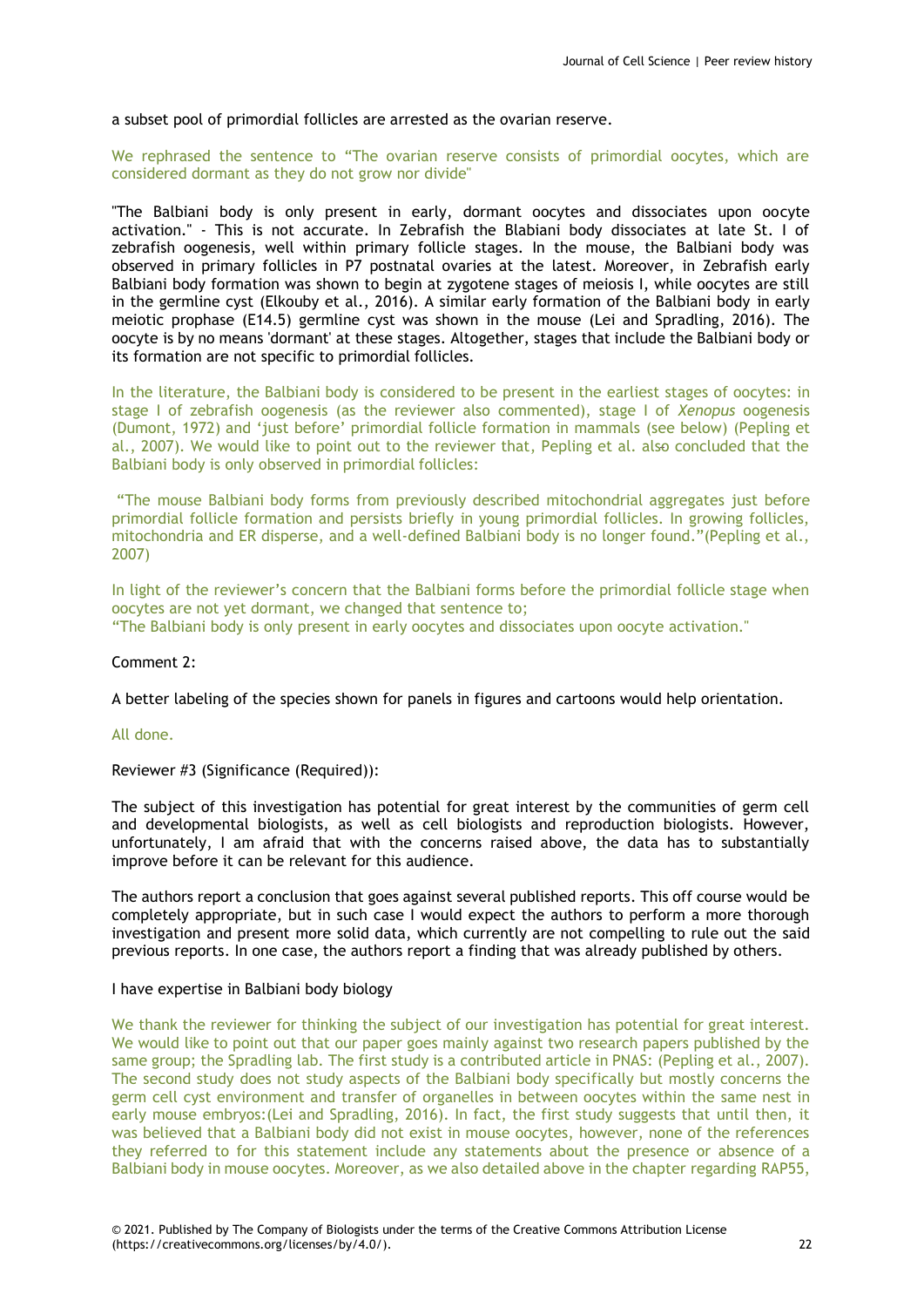a subset pool of primordial follicles are arrested as the ovarian reserve.

We rephrased the sentence to "The ovarian reserve consists of primordial oocytes, which are considered dormant as they do not grow nor divide"

"The Balbiani body is only present in early, dormant oocytes and dissociates upon oocyte activation." - This is not accurate. In Zebrafish the Blabiani body dissociates at late St. I of zebrafish oogenesis, well within primary follicle stages. In the mouse, the Balbiani body was observed in primary follicles in P7 postnatal ovaries at the latest. Moreover, in Zebrafish early Balbiani body formation was shown to begin at zygotene stages of meiosis I, while oocytes are still in the germline cyst (Elkouby et al., 2016). A similar early formation of the Balbiani body in early meiotic prophase (E14.5) germline cyst was shown in the mouse (Lei and Spradling, 2016). The oocyte is by no means 'dormant' at these stages. Altogether, stages that include the Balbiani body or its formation are not specific to primordial follicles.

In the literature, the Balbiani body is considered to be present in the earliest stages of oocytes: in stage I of zebrafish oogenesis (as the reviewer also commented), stage I of *Xenopus* oogenesis (Dumont, 1972) and 'just before' primordial follicle formation in mammals (see below) (Pepling et al., 2007). We would like to point out to the reviewer that, Pepling et al. also concluded that the Balbiani body is only observed in primordial follicles:

"The mouse Balbiani body forms from previously described mitochondrial aggregates just before primordial follicle formation and persists briefly in young primordial follicles. In growing follicles, mitochondria and ER disperse, and a well-defined Balbiani body is no longer found."(Pepling et al., 2007)

In light of the reviewer's concern that the Balbiani forms before the primordial follicle stage when oocytes are not yet dormant, we changed that sentence to;

"The Balbiani body is only present in early oocytes and dissociates upon oocyte activation."

#### Comment 2:

A better labeling of the species shown for panels in figures and cartoons would help orientation.

#### All done.

Reviewer #3 (Significance (Required)):

The subject of this investigation has potential for great interest by the communities of germ cell and developmental biologists, as well as cell biologists and reproduction biologists. However, unfortunately, I am afraid that with the concerns raised above, the data has to substantially improve before it can be relevant for this audience.

The authors report a conclusion that goes against several published reports. This off course would be completely appropriate, but in such case I would expect the authors to perform a more thorough investigation and present more solid data, which currently are not compelling to rule out the said previous reports. In one case, the authors report a finding that was already published by others.

#### I have expertise in Balbiani body biology

We thank the reviewer for thinking the subject of our investigation has potential for great interest. We would like to point out that our paper goes mainly against two research papers published by the same group; the Spradling lab. The first study is a contributed article in PNAS: (Pepling et al., 2007). The second study does not study aspects of the Balbiani body specifically but mostly concerns the germ cell cyst environment and transfer of organelles in between oocytes within the same nest in early mouse embryos:(Lei and Spradling, 2016). In fact, the first study suggests that until then, it was believed that a Balbiani body did not exist in mouse oocytes, however, none of the references they referred to for this statement include any statements about the presence or absence of a Balbiani body in mouse oocytes. Moreover, as we also detailed above in the chapter regarding RAP55,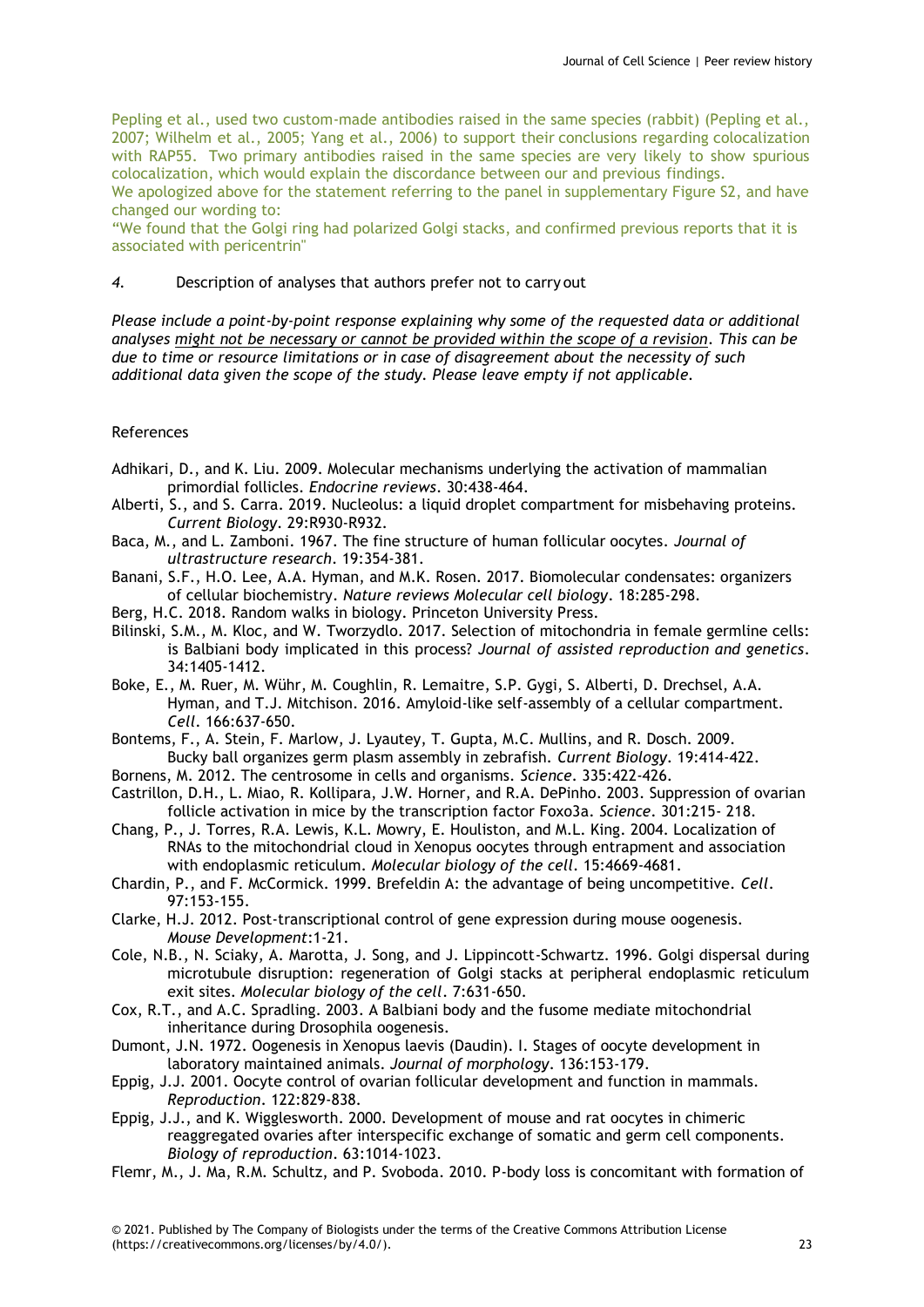Pepling et al., used two custom-made antibodies raised in the same species (rabbit) (Pepling et al., 2007; Wilhelm et al., 2005; Yang et al., 2006) to support their conclusions regarding colocalization with RAP55. Two primary antibodies raised in the same species are very likely to show spurious colocalization, which would explain the discordance between our and previous findings.

We apologized above for the statement referring to the panel in supplementary Figure S2, and have changed our wording to:

"We found that the Golgi ring had polarized Golgi stacks, and confirmed previous reports that it is associated with pericentrin"

### *4.* Description of analyses that authors prefer not to carry out

*Please include a point-by-point response explaining why some of the requested data or additional analyses might not be necessary or cannot be provided within the scope of a revision. This can be due to time or resource limitations or in case of disagreement about the necessity of such additional data given the scope of the study. Please leave empty if not applicable.*

# References

- Adhikari, D., and K. Liu. 2009. Molecular mechanisms underlying the activation of mammalian primordial follicles. *Endocrine reviews*. 30:438-464.
- Alberti, S., and S. Carra. 2019. Nucleolus: a liquid droplet compartment for misbehaving proteins. *Current Biology*. 29:R930-R932.
- Baca, M., and L. Zamboni. 1967. The fine structure of human follicular oocytes. *Journal of ultrastructure research*. 19:354-381.
- Banani, S.F., H.O. Lee, A.A. Hyman, and M.K. Rosen. 2017. Biomolecular condensates: organizers of cellular biochemistry. *Nature reviews Molecular cell biology*. 18:285-298.
- Berg, H.C. 2018. Random walks in biology. Princeton University Press.
- Bilinski, S.M., M. Kloc, and W. Tworzydlo. 2017. Selection of mitochondria in female germline cells: is Balbiani body implicated in this process? *Journal of assisted reproduction and genetics*. 34:1405-1412.
- Boke, E., M. Ruer, M. Wühr, M. Coughlin, R. Lemaitre, S.P. Gygi, S. Alberti, D. Drechsel, A.A. Hyman, and T.J. Mitchison. 2016. Amyloid-like self-assembly of a cellular compartment. *Cell*. 166:637-650.
- Bontems, F., A. Stein, F. Marlow, J. Lyautey, T. Gupta, M.C. Mullins, and R. Dosch. 2009. Bucky ball organizes germ plasm assembly in zebrafish. *Current Biology*. 19:414-422.
- Bornens, M. 2012. The centrosome in cells and organisms. *Science*. 335:422-426.
- Castrillon, D.H., L. Miao, R. Kollipara, J.W. Horner, and R.A. DePinho. 2003. Suppression of ovarian follicle activation in mice by the transcription factor Foxo3a. *Science*. 301:215- 218.
- Chang, P., J. Torres, R.A. Lewis, K.L. Mowry, E. Houliston, and M.L. King. 2004. Localization of RNAs to the mitochondrial cloud in Xenopus oocytes through entrapment and association with endoplasmic reticulum. *Molecular biology of the cell*. 15:4669-4681.
- Chardin, P., and F. McCormick. 1999. Brefeldin A: the advantage of being uncompetitive. *Cell*. 97:153-155.
- Clarke, H.J. 2012. Post-transcriptional control of gene expression during mouse oogenesis. *Mouse Development*:1-21.
- Cole, N.B., N. Sciaky, A. Marotta, J. Song, and J. Lippincott-Schwartz. 1996. Golgi dispersal during microtubule disruption: regeneration of Golgi stacks at peripheral endoplasmic reticulum exit sites. *Molecular biology of the cell*. 7:631-650.
- Cox, R.T., and A.C. Spradling. 2003. A Balbiani body and the fusome mediate mitochondrial inheritance during Drosophila oogenesis.
- Dumont, J.N. 1972. Oogenesis in Xenopus laevis (Daudin). I. Stages of oocyte development in laboratory maintained animals. *Journal of morphology*. 136:153-179.
- Eppig, J.J. 2001. Oocyte control of ovarian follicular development and function in mammals. *Reproduction*. 122:829-838.
- Eppig, J.J., and K. Wigglesworth. 2000. Development of mouse and rat oocytes in chimeric reaggregated ovaries after interspecific exchange of somatic and germ cell components. *Biology of reproduction*. 63:1014-1023.
- Flemr, M., J. Ma, R.M. Schultz, and P. Svoboda. 2010. P-body loss is concomitant with formation of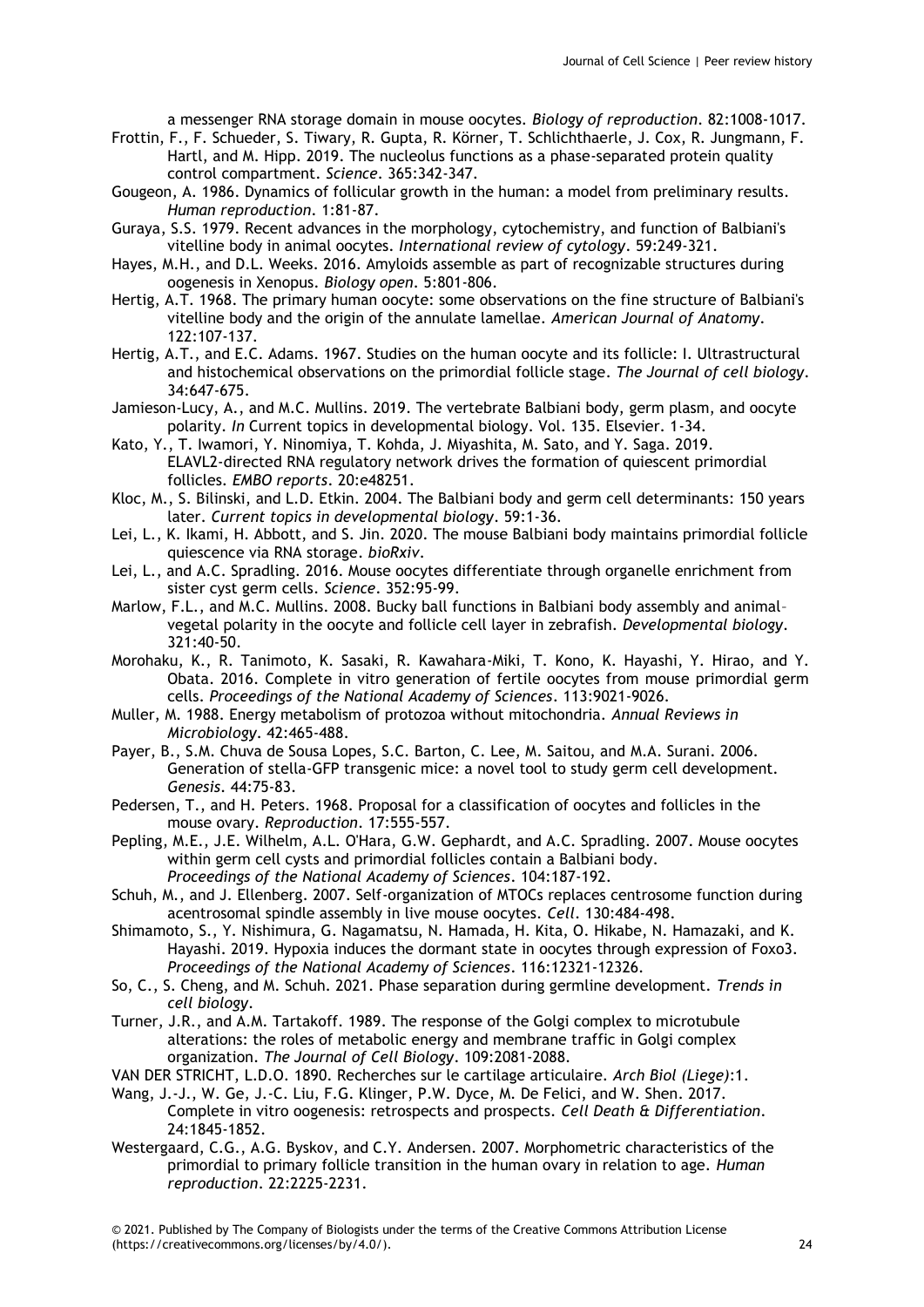a messenger RNA storage domain in mouse oocytes. *Biology of reproduction*. 82:1008-1017.

- Frottin, F., F. Schueder, S. Tiwary, R. Gupta, R. Körner, T. Schlichthaerle, J. Cox, R. Jungmann, F. Hartl, and M. Hipp. 2019. The nucleolus functions as a phase-separated protein quality control compartment. *Science*. 365:342-347.
- Gougeon, A. 1986. Dynamics of follicular growth in the human: a model from preliminary results. *Human reproduction*. 1:81-87.
- Guraya, S.S. 1979. Recent advances in the morphology, cytochemistry, and function of Balbiani's vitelline body in animal oocytes. *International review of cytology*. 59:249-321.
- Hayes, M.H., and D.L. Weeks. 2016. Amyloids assemble as part of recognizable structures during oogenesis in Xenopus. *Biology open*. 5:801-806.
- Hertig, A.T. 1968. The primary human oocyte: some observations on the fine structure of Balbiani's vitelline body and the origin of the annulate lamellae. *American Journal of Anatomy*. 122:107-137.
- Hertig, A.T., and E.C. Adams. 1967. Studies on the human oocyte and its follicle: I. Ultrastructural and histochemical observations on the primordial follicle stage. *The Journal of cell biology*. 34:647-675.
- Jamieson-Lucy, A., and M.C. Mullins. 2019. The vertebrate Balbiani body, germ plasm, and oocyte polarity. *In* Current topics in developmental biology. Vol. 135. Elsevier. 1-34.
- Kato, Y., T. Iwamori, Y. Ninomiya, T. Kohda, J. Miyashita, M. Sato, and Y. Saga. 2019. ELAVL2-directed RNA regulatory network drives the formation of quiescent primordial follicles. *EMBO reports*. 20:e48251.
- Kloc, M., S. Bilinski, and L.D. Etkin. 2004. The Balbiani body and germ cell determinants: 150 years later. *Current topics in developmental biology*. 59:1-36.
- Lei, L., K. Ikami, H. Abbott, and S. Jin. 2020. The mouse Balbiani body maintains primordial follicle quiescence via RNA storage. *bioRxiv*.
- Lei, L., and A.C. Spradling. 2016. Mouse oocytes differentiate through organelle enrichment from sister cyst germ cells. *Science*. 352:95-99.
- Marlow, F.L., and M.C. Mullins. 2008. Bucky ball functions in Balbiani body assembly and animal– vegetal polarity in the oocyte and follicle cell layer in zebrafish. *Developmental biology*. 321:40-50.
- Morohaku, K., R. Tanimoto, K. Sasaki, R. Kawahara-Miki, T. Kono, K. Hayashi, Y. Hirao, and Y. Obata. 2016. Complete in vitro generation of fertile oocytes from mouse primordial germ cells. *Proceedings of the National Academy of Sciences*. 113:9021-9026.
- Muller, M. 1988. Energy metabolism of protozoa without mitochondria. *Annual Reviews in Microbiology*. 42:465-488.
- Payer, B., S.M. Chuva de Sousa Lopes, S.C. Barton, C. Lee, M. Saitou, and M.A. Surani. 2006. Generation of stella-GFP transgenic mice: a novel tool to study germ cell development. *Genesis*. 44:75-83.
- Pedersen, T., and H. Peters. 1968. Proposal for a classification of oocytes and follicles in the mouse ovary. *Reproduction*. 17:555-557.
- Pepling, M.E., J.E. Wilhelm, A.L. O'Hara, G.W. Gephardt, and A.C. Spradling. 2007. Mouse oocytes within germ cell cysts and primordial follicles contain a Balbiani body. *Proceedings of the National Academy of Sciences*. 104:187-192.
- Schuh, M., and J. Ellenberg. 2007. Self-organization of MTOCs replaces centrosome function during acentrosomal spindle assembly in live mouse oocytes. *Cell*. 130:484-498.
- Shimamoto, S., Y. Nishimura, G. Nagamatsu, N. Hamada, H. Kita, O. Hikabe, N. Hamazaki, and K. Hayashi. 2019. Hypoxia induces the dormant state in oocytes through expression of Foxo3. *Proceedings of the National Academy of Sciences*. 116:12321-12326.
- So, C., S. Cheng, and M. Schuh. 2021. Phase separation during germline development. *Trends in cell biology*.
- Turner, J.R., and A.M. Tartakoff. 1989. The response of the Golgi complex to microtubule alterations: the roles of metabolic energy and membrane traffic in Golgi complex organization. *The Journal of Cell Biology*. 109:2081-2088.
- VAN DER STRICHT, L.D.O. 1890. Recherches sur le cartilage articulaire. *Arch Biol (Liege)*:1.
- Wang, J.-J., W. Ge, J.-C. Liu, F.G. Klinger, P.W. Dyce, M. De Felici, and W. Shen. 2017. Complete in vitro oogenesis: retrospects and prospects. *Cell Death & Differentiation*. 24:1845-1852.
- Westergaard, C.G., A.G. Byskov, and C.Y. Andersen. 2007. Morphometric characteristics of the primordial to primary follicle transition in the human ovary in relation to age. *Human reproduction*. 22:2225-2231.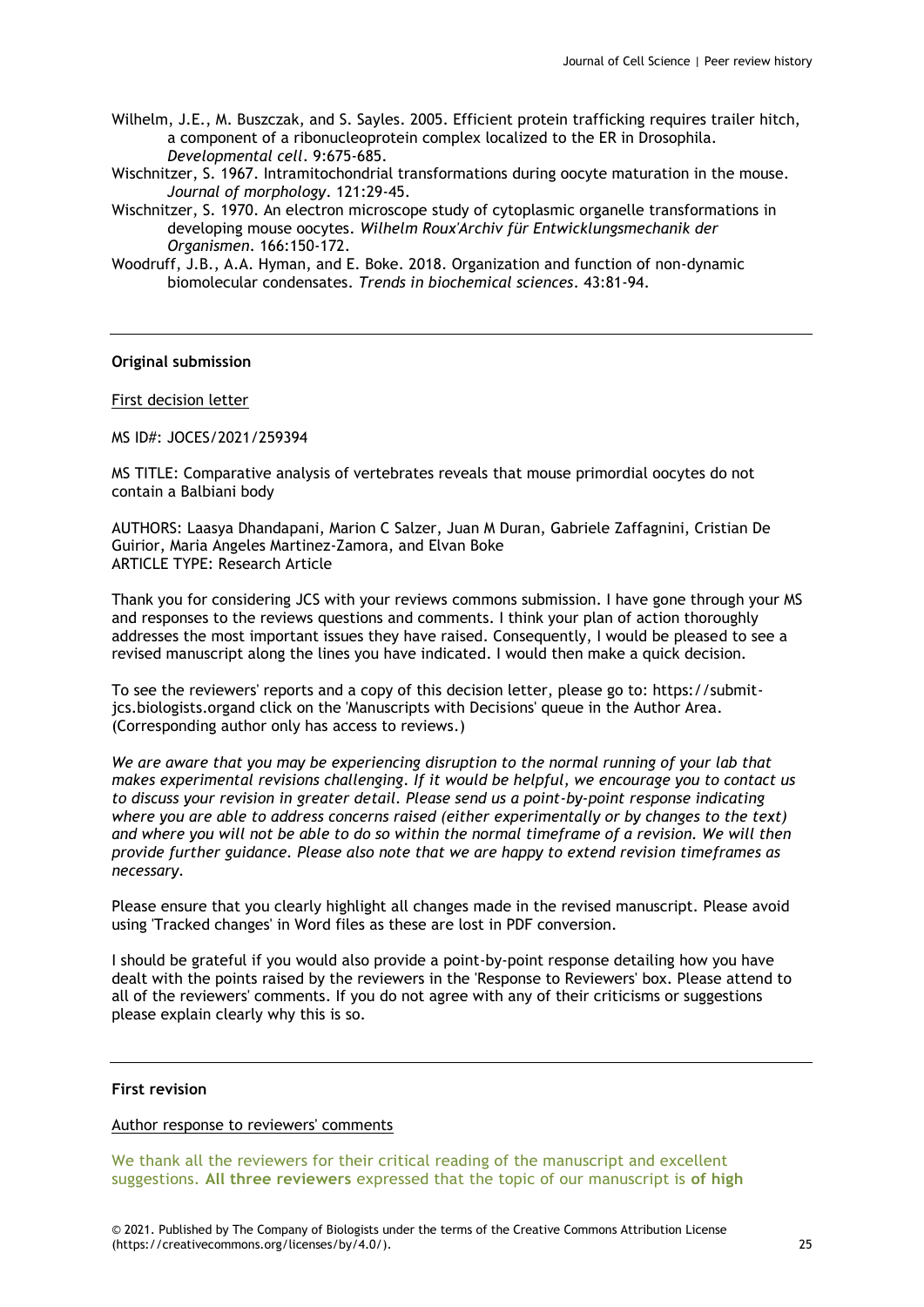- Wilhelm, J.E., M. Buszczak, and S. Sayles. 2005. Efficient protein trafficking requires trailer hitch, a component of a ribonucleoprotein complex localized to the ER in Drosophila. *Developmental cell*. 9:675-685.
- Wischnitzer, S. 1967. Intramitochondrial transformations during oocyte maturation in the mouse. *Journal of morphology*. 121:29-45.
- Wischnitzer, S. 1970. An electron microscope study of cytoplasmic organelle transformations in developing mouse oocytes. *Wilhelm Roux'Archiv für Entwicklungsmechanik der Organismen*. 166:150-172.
- Woodruff, J.B., A.A. Hyman, and E. Boke. 2018. Organization and function of non-dynamic biomolecular condensates. *Trends in biochemical sciences*. 43:81-94.

# **Original submission**

### First decision letter

MS ID#: JOCES/2021/259394

MS TITLE: Comparative analysis of vertebrates reveals that mouse primordial oocytes do not contain a Balbiani body

AUTHORS: Laasya Dhandapani, Marion C Salzer, Juan M Duran, Gabriele Zaffagnini, Cristian De Guirior, Maria Angeles Martinez-Zamora, and Elvan Boke ARTICLE TYPE: Research Article

Thank you for considering JCS with your reviews commons submission. I have gone through your MS and responses to the reviews questions and comments. I think your plan of action thoroughly addresses the most important issues they have raised. Consequently, I would be pleased to see a revised manuscript along the lines you have indicated. I would then make a quick decision.

To see the reviewers' reports and a copy of this decision letter, please go to: https://submitjcs.biologists.organd click on the 'Manuscripts with Decisions' queue in the Author Area. (Corresponding author only has access to reviews.)

*We are aware that you may be experiencing disruption to the normal running of your lab that makes experimental revisions challenging. If it would be helpful, we encourage you to contact us to discuss your revision in greater detail. Please send us a point-by-point response indicating where you are able to address concerns raised (either experimentally or by changes to the text) and where you will not be able to do so within the normal timeframe of a revision. We will then provide further guidance. Please also note that we are happy to extend revision timeframes as necessary.*

Please ensure that you clearly highlight all changes made in the revised manuscript. Please avoid using 'Tracked changes' in Word files as these are lost in PDF conversion.

I should be grateful if you would also provide a point-by-point response detailing how you have dealt with the points raised by the reviewers in the 'Response to Reviewers' box. Please attend to all of the reviewers' comments. If you do not agree with any of their criticisms or suggestions please explain clearly why this is so.

#### **First revision**

#### Author response to reviewers' comments

We thank all the reviewers for their critical reading of the manuscript and excellent suggestions. **All three reviewers** expressed that the topic of our manuscript is **of high**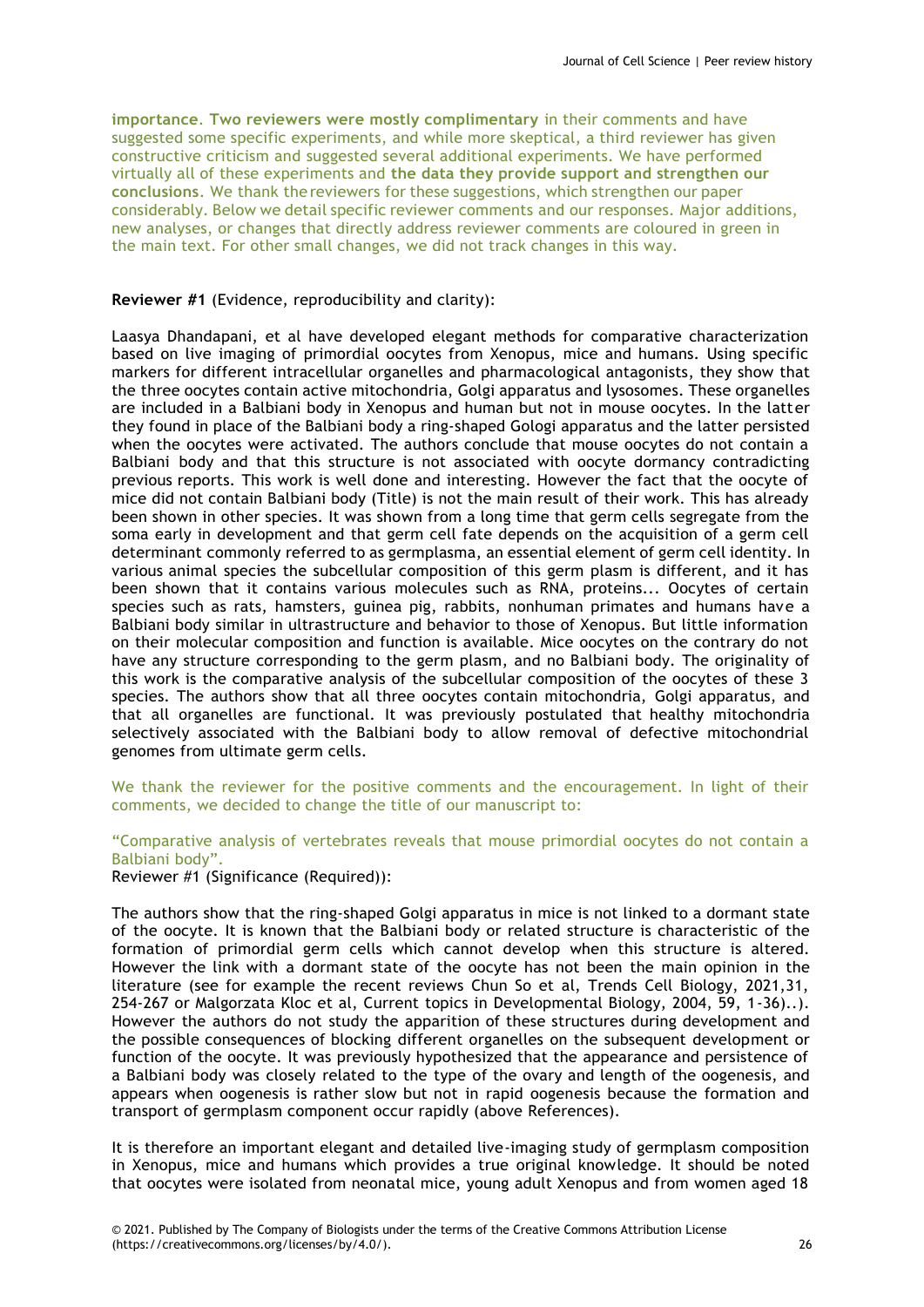**importance**. **Two reviewers were mostly complimentary** in their comments and have suggested some specific experiments, and while more skeptical, a third reviewer has given constructive criticism and suggested several additional experiments. We have performed virtually all of these experiments and **the data they provide support and strengthen our conclusions**. We thank the reviewers for these suggestions, which strengthen our paper considerably. Below we detail specific reviewer comments and our responses. Major additions, new analyses, or changes that directly address reviewer comments are coloured in green in the main text. For other small changes, we did not track changes in this way.

### **Reviewer #1** (Evidence, reproducibility and clarity):

Laasya Dhandapani, et al have developed elegant methods for comparative characterization based on live imaging of primordial oocytes from Xenopus, mice and humans. Using specific markers for different intracellular organelles and pharmacological antagonists, they show that the three oocytes contain active mitochondria, Golgi apparatus and lysosomes. These organelles are included in a Balbiani body in Xenopus and human but not in mouse oocytes. In the latter they found in place of the Balbiani body a ring-shaped Gologi apparatus and the latter persisted when the oocytes were activated. The authors conclude that mouse oocytes do not contain a Balbiani body and that this structure is not associated with oocyte dormancy contradicting previous reports. This work is well done and interesting. However the fact that the oocyte of mice did not contain Balbiani body (Title) is not the main result of their work. This has already been shown in other species. It was shown from a long time that germ cells segregate from the soma early in development and that germ cell fate depends on the acquisition of a germ cell determinant commonly referred to as germplasma, an essential element of germ cell identity. In various animal species the subcellular composition of this germ plasm is different, and it has been shown that it contains various molecules such as RNA, proteins... Oocytes of certain species such as rats, hamsters, guinea pig, rabbits, nonhuman primates and humans have a Balbiani body similar in ultrastructure and behavior to those of Xenopus. But little information on their molecular composition and function is available. Mice oocytes on the contrary do not have any structure corresponding to the germ plasm, and no Balbiani body. The originality of this work is the comparative analysis of the subcellular composition of the oocytes of these 3 species. The authors show that all three oocytes contain mitochondria, Golgi apparatus, and that all organelles are functional. It was previously postulated that healthy mitochondria selectively associated with the Balbiani body to allow removal of defective mitochondrial genomes from ultimate germ cells.

We thank the reviewer for the positive comments and the encouragement. In light of their comments, we decided to change the title of our manuscript to:

"Comparative analysis of vertebrates reveals that mouse primordial oocytes do not contain a Balbiani body".

Reviewer #1 (Significance (Required)):

The authors show that the ring-shaped Golgi apparatus in mice is not linked to a dormant state of the oocyte. It is known that the Balbiani body or related structure is characteristic of the formation of primordial germ cells which cannot develop when this structure is altered. However the link with a dormant state of the oocyte has not been the main opinion in the literature (see for example the recent reviews Chun So et al, Trends Cell Biology, 2021,31, 254-267 or Malgorzata Kloc et al, Current topics in Developmental Biology, 2004, 59, 1-36)..). However the authors do not study the apparition of these structures during development and the possible consequences of blocking different organelles on the subsequent development or function of the oocyte. It was previously hypothesized that the appearance and persistence of a Balbiani body was closely related to the type of the ovary and length of the oogenesis, and appears when oogenesis is rather slow but not in rapid oogenesis because the formation and transport of germplasm component occur rapidly (above References).

It is therefore an important elegant and detailed live-imaging study of germplasm composition in Xenopus, mice and humans which provides a true original knowledge. It should be noted that oocytes were isolated from neonatal mice, young adult Xenopus and from women aged 18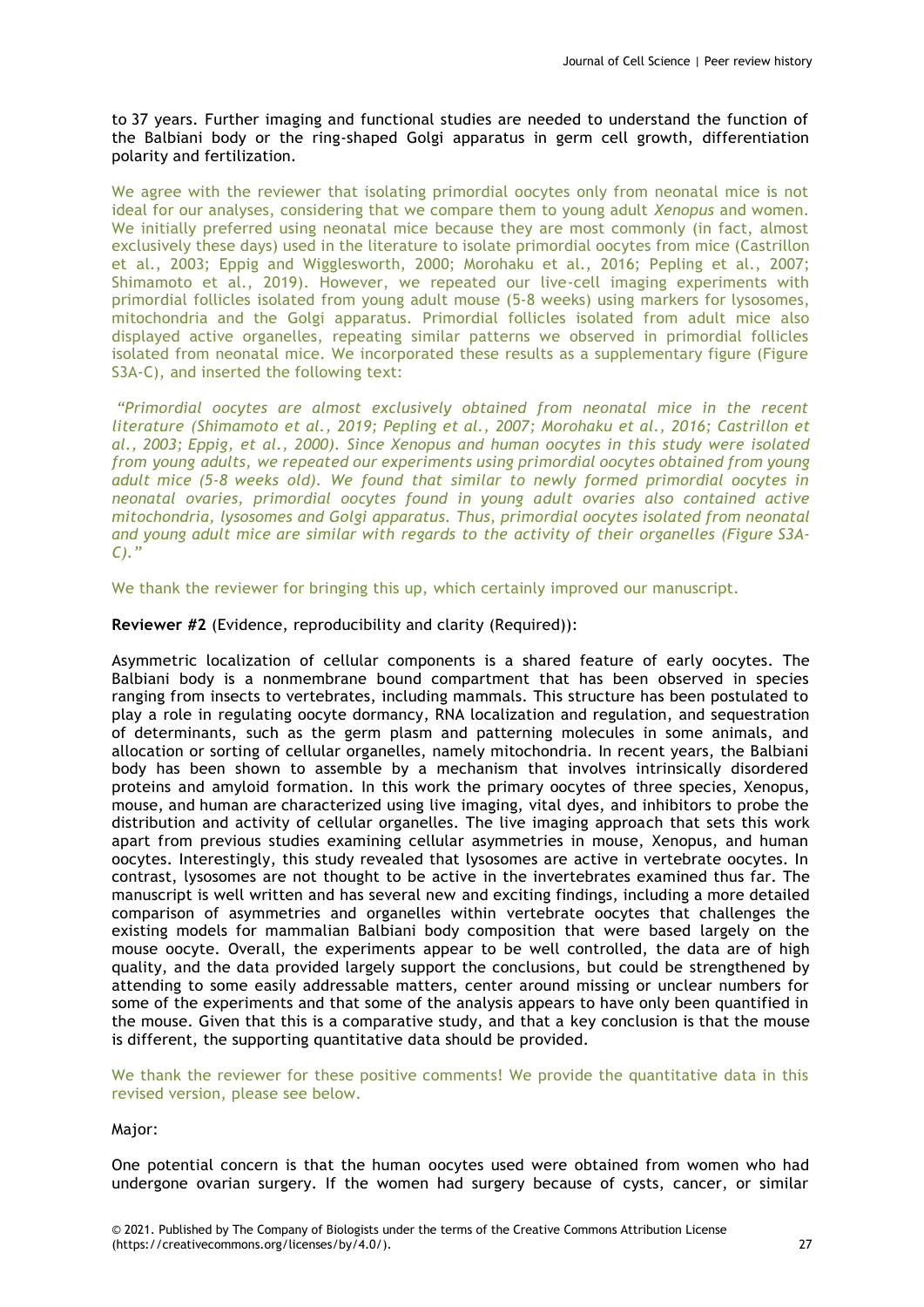to 37 years. Further imaging and functional studies are needed to understand the function of the Balbiani body or the ring-shaped Golgi apparatus in germ cell growth, differentiation polarity and fertilization.

We agree with the reviewer that isolating primordial oocytes only from neonatal mice is not ideal for our analyses, considering that we compare them to young adult *Xenopus* and women. We initially preferred using neonatal mice because they are most commonly (in fact, almost exclusively these days) used in the literature to isolate primordial oocytes from mice (Castrillon et al., 2003; Eppig and Wigglesworth, 2000; Morohaku et al., 2016; Pepling et al., 2007; Shimamoto et al., 2019). However, we repeated our live-cell imaging experiments with primordial follicles isolated from young adult mouse (5-8 weeks) using markers for lysosomes, mitochondria and the Golgi apparatus. Primordial follicles isolated from adult mice also displayed active organelles, repeating similar patterns we observed in primordial follicles isolated from neonatal mice. We incorporated these results as a supplementary figure (Figure S3A-C), and inserted the following text:

*"Primordial oocytes are almost exclusively obtained from neonatal mice in the recent literature (Shimamoto et al., 2019; Pepling et al., 2007; Morohaku et al., 2016; Castrillon et al., 2003; Eppig, et al., 2000). Since Xenopus and human oocytes in this study were isolated from young adults, we repeated our experiments using primordial oocytes obtained from young adult mice (5-8 weeks old). We found that similar to newly formed primordial oocytes in neonatal ovaries, primordial oocytes found in young adult ovaries also contained active mitochondria, lysosomes and Golgi apparatus. Thus, primordial oocytes isolated from neonatal and young adult mice are similar with regards to the activity of their organelles (Figure S3A-C)."*

We thank the reviewer for bringing this up, which certainly improved our manuscript.

**Reviewer #2** (Evidence, reproducibility and clarity (Required)):

Asymmetric localization of cellular components is a shared feature of early oocytes. The Balbiani body is a nonmembrane bound compartment that has been observed in species ranging from insects to vertebrates, including mammals. This structure has been postulated to play a role in regulating oocyte dormancy, RNA localization and regulation, and sequestration of determinants, such as the germ plasm and patterning molecules in some animals, and allocation or sorting of cellular organelles, namely mitochondria. In recent years, the Balbiani body has been shown to assemble by a mechanism that involves intrinsically disordered proteins and amyloid formation. In this work the primary oocytes of three species, Xenopus, mouse, and human are characterized using live imaging, vital dyes, and inhibitors to probe the distribution and activity of cellular organelles. The live imaging approach that sets this work apart from previous studies examining cellular asymmetries in mouse, Xenopus, and human oocytes. Interestingly, this study revealed that lysosomes are active in vertebrate oocytes. In contrast, lysosomes are not thought to be active in the invertebrates examined thus far. The manuscript is well written and has several new and exciting findings, including a more detailed comparison of asymmetries and organelles within vertebrate oocytes that challenges the existing models for mammalian Balbiani body composition that were based largely on the mouse oocyte. Overall, the experiments appear to be well controlled, the data are of high quality, and the data provided largely support the conclusions, but could be strengthened by attending to some easily addressable matters, center around missing or unclear numbers for some of the experiments and that some of the analysis appears to have only been quantified in the mouse. Given that this is a comparative study, and that a key conclusion is that the mouse is different, the supporting quantitative data should be provided.

We thank the reviewer for these positive comments! We provide the quantitative data in this revised version, please see below.

Major:

One potential concern is that the human oocytes used were obtained from women who had undergone ovarian surgery. If the women had surgery because of cysts, cancer, or similar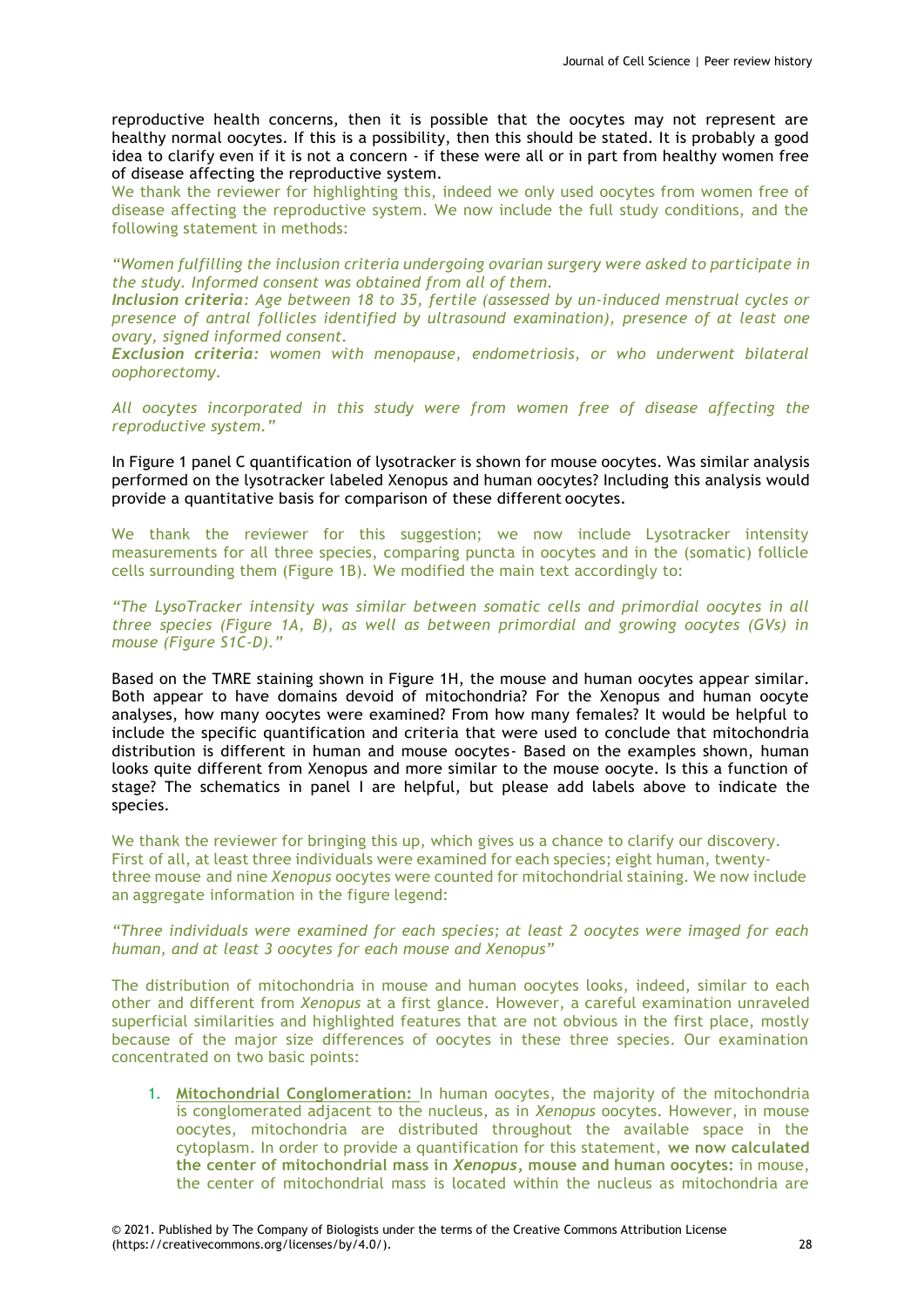reproductive health concerns, then it is possible that the oocytes may not represent are healthy normal oocytes. If this is a possibility, then this should be stated. It is probably a good idea to clarify even if it is not a concern - if these were all or in part from healthy women free of disease affecting the reproductive system.

We thank the reviewer for highlighting this, indeed we only used oocytes from women free of disease affecting the reproductive system. We now include the full study conditions, and the following statement in methods:

*"Women fulfilling the inclusion criteria undergoing ovarian surgery were asked to participate in the study. Informed consent was obtained from all of them.*

*Inclusion criteria: Age between 18 to 35, fertile (assessed by un-induced menstrual cycles or presence of antral follicles identified by ultrasound examination), presence of at least one ovary, signed informed consent.*

*Exclusion criteria: women with menopause, endometriosis, or who underwent bilateral oophorectomy.*

*All oocytes incorporated in this study were from women free of disease affecting the reproductive system."*

In Figure 1 panel C quantification of lysotracker is shown for mouse oocytes. Was similar analysis performed on the lysotracker labeled Xenopus and human oocytes? Including this analysis would provide a quantitative basis for comparison of these different oocytes.

We thank the reviewer for this suggestion; we now include Lysotracker intensity measurements for all three species, comparing puncta in oocytes and in the (somatic) follicle cells surrounding them (Figure 1B). We modified the main text accordingly to:

*"The LysoTracker intensity was similar between somatic cells and primordial oocytes in all three species (Figure 1A, B), as well as between primordial and growing oocytes (GVs) in mouse (Figure S1C-D)."*

Based on the TMRE staining shown in Figure 1H, the mouse and human oocytes appear similar. Both appear to have domains devoid of mitochondria? For the Xenopus and human oocyte analyses, how many oocytes were examined? From how many females? It would be helpful to include the specific quantification and criteria that were used to conclude that mitochondria distribution is different in human and mouse oocytes- Based on the examples shown, human looks quite different from Xenopus and more similar to the mouse oocyte. Is this a function of stage? The schematics in panel I are helpful, but please add labels above to indicate the species.

We thank the reviewer for bringing this up, which gives us a chance to clarify our discovery. First of all, at least three individuals were examined for each species; eight human, twentythree mouse and nine *Xenopus* oocytes were counted for mitochondrial staining. We now include an aggregate information in the figure legend:

*"Three individuals were examined for each species; at least 2 oocytes were imaged for each human, and at least 3 oocytes for each mouse and Xenopus"*

The distribution of mitochondria in mouse and human oocytes looks, indeed, similar to each other and different from *Xenopus* at a first glance. However, a careful examination unraveled superficial similarities and highlighted features that are not obvious in the first place, mostly because of the major size differences of oocytes in these three species. Our examination concentrated on two basic points:

1. **Mitochondrial Conglomeration:** In human oocytes, the majority of the mitochondria is conglomerated adjacent to the nucleus, as in *Xenopus* oocytes. However, in mouse oocytes, mitochondria are distributed throughout the available space in the cytoplasm. In order to provide a quantification for this statement, **we now calculated the center of mitochondrial mass in** *Xenopus***, mouse and human oocytes:** in mouse, the center of mitochondrial mass is located within the nucleus as mitochondria are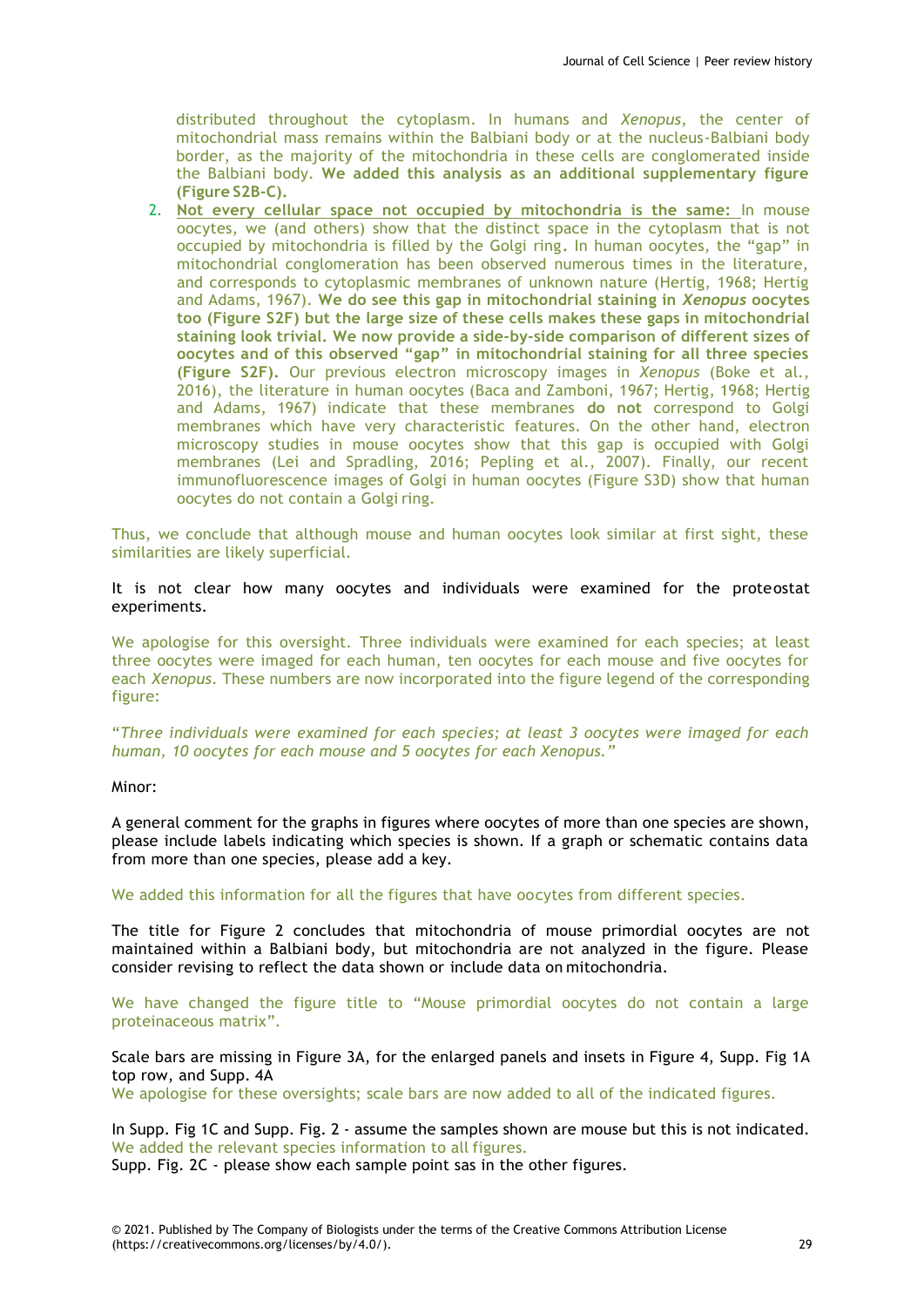distributed throughout the cytoplasm. In humans and *Xenopus*, the center of mitochondrial mass remains within the Balbiani body or at the nucleus-Balbiani body border, as the majority of the mitochondria in these cells are conglomerated inside the Balbiani body. **We added this analysis as an additional supplementary figure (Figure S2B-C).**

2. **Not every cellular space not occupied by mitochondria is the same:** In mouse oocytes, we (and others) show that the distinct space in the cytoplasm that is not occupied by mitochondria is filled by the Golgi ring**.** In human oocytes, the "gap" in mitochondrial conglomeration has been observed numerous times in the literature, and corresponds to cytoplasmic membranes of unknown nature (Hertig, 1968; Hertig and Adams, 1967). **We do see this gap in mitochondrial staining in** *Xenopus* **oocytes too (Figure S2F) but the large size of these cells makes these gaps in mitochondrial staining look trivial. We now provide a side-by-side comparison of different sizes of oocytes and of this observed "gap" in mitochondrial staining for all three species (Figure S2F).** Our previous electron microscopy images in *Xenopus* (Boke et al., 2016), the literature in human oocytes (Baca and Zamboni, 1967; Hertig, 1968; Hertig and Adams, 1967) indicate that these membranes **do not** correspond to Golgi membranes which have very characteristic features. On the other hand, electron microscopy studies in mouse oocytes show that this gap is occupied with Golgi membranes (Lei and Spradling, 2016; Pepling et al., 2007). Finally, our recent immunofluorescence images of Golgi in human oocytes (Figure S3D) show that human oocytes do not contain a Golgi ring.

Thus, we conclude that although mouse and human oocytes look similar at first sight, these similarities are likely superficial.

It is not clear how many oocytes and individuals were examined for the proteostat experiments.

We apologise for this oversight. Three individuals were examined for each species; at least three oocytes were imaged for each human, ten oocytes for each mouse and five oocytes for each *Xenopus*. These numbers are now incorporated into the figure legend of the corresponding figure:

"*Three individuals were examined for each species; at least 3 oocytes were imaged for each human, 10 oocytes for each mouse and 5 oocytes for each Xenopus."*

#### Minor:

A general comment for the graphs in figures where oocytes of more than one species are shown, please include labels indicating which species is shown. If a graph or schematic contains data from more than one species, please add a key.

We added this information for all the figures that have oocytes from different species.

The title for Figure 2 concludes that mitochondria of mouse primordial oocytes are not maintained within a Balbiani body, but mitochondria are not analyzed in the figure. Please consider revising to reflect the data shown or include data on mitochondria.

We have changed the figure title to "Mouse primordial oocytes do not contain a large proteinaceous matrix".

Scale bars are missing in Figure 3A, for the enlarged panels and insets in Figure 4, Supp. Fig 1A top row, and Supp. 4A

We apologise for these oversights; scale bars are now added to all of the indicated figures.

In Supp. Fig 1C and Supp. Fig. 2 - assume the samples shown are mouse but this is not indicated. We added the relevant species information to all figures.

Supp. Fig. 2C - please show each sample point sas in the other figures.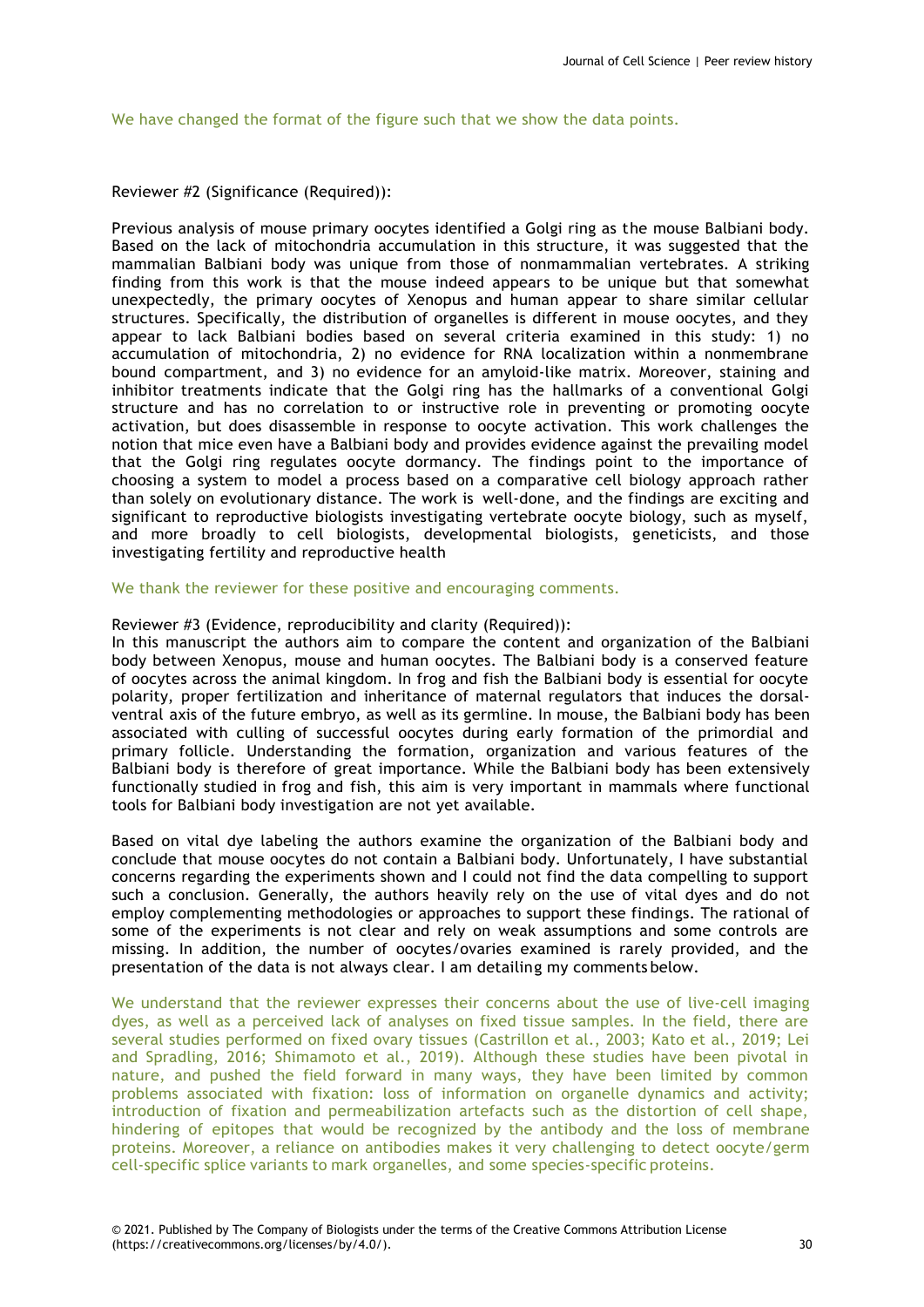We have changed the format of the figure such that we show the data points.

# Reviewer #2 (Significance (Required)):

Previous analysis of mouse primary oocytes identified a Golgi ring as the mouse Balbiani body. Based on the lack of mitochondria accumulation in this structure, it was suggested that the mammalian Balbiani body was unique from those of nonmammalian vertebrates. A striking finding from this work is that the mouse indeed appears to be unique but that somewhat unexpectedly, the primary oocytes of Xenopus and human appear to share similar cellular structures. Specifically, the distribution of organelles is different in mouse oocytes, and they appear to lack Balbiani bodies based on several criteria examined in this study: 1) no accumulation of mitochondria, 2) no evidence for RNA localization within a nonmembrane bound compartment, and 3) no evidence for an amyloid-like matrix. Moreover, staining and inhibitor treatments indicate that the Golgi ring has the hallmarks of a conventional Golgi structure and has no correlation to or instructive role in preventing or promoting oocyte activation, but does disassemble in response to oocyte activation. This work challenges the notion that mice even have a Balbiani body and provides evidence against the prevailing model that the Golgi ring regulates oocyte dormancy. The findings point to the importance of choosing a system to model a process based on a comparative cell biology approach rather than solely on evolutionary distance. The work is well-done, and the findings are exciting and significant to reproductive biologists investigating vertebrate oocyte biology, such as myself, and more broadly to cell biologists, developmental biologists, geneticists, and those investigating fertility and reproductive health

We thank the reviewer for these positive and encouraging comments.

#### Reviewer #3 (Evidence, reproducibility and clarity (Required)):

In this manuscript the authors aim to compare the content and organization of the Balbiani body between Xenopus, mouse and human oocytes. The Balbiani body is a conserved feature of oocytes across the animal kingdom. In frog and fish the Balbiani body is essential for oocyte polarity, proper fertilization and inheritance of maternal regulators that induces the dorsalventral axis of the future embryo, as well as its germline. In mouse, the Balbiani body has been associated with culling of successful oocytes during early formation of the primordial and primary follicle. Understanding the formation, organization and various features of the Balbiani body is therefore of great importance. While the Balbiani body has been extensively functionally studied in frog and fish, this aim is very important in mammals where functional tools for Balbiani body investigation are not yet available.

Based on vital dye labeling the authors examine the organization of the Balbiani body and conclude that mouse oocytes do not contain a Balbiani body. Unfortunately, I have substantial concerns regarding the experiments shown and I could not find the data compelling to support such a conclusion. Generally, the authors heavily rely on the use of vital dyes and do not employ complementing methodologies or approaches to support these findings. The rational of some of the experiments is not clear and rely on weak assumptions and some controls are missing. In addition, the number of oocytes/ovaries examined is rarely provided, and the presentation of the data is not always clear. I am detailing my comments below.

We understand that the reviewer expresses their concerns about the use of live-cell imaging dyes, as well as a perceived lack of analyses on fixed tissue samples. In the field, there are several studies performed on fixed ovary tissues (Castrillon et al., 2003; Kato et al., 2019; Lei and Spradling, 2016; Shimamoto et al., 2019). Although these studies have been pivotal in nature, and pushed the field forward in many ways, they have been limited by common problems associated with fixation: loss of information on organelle dynamics and activity; introduction of fixation and permeabilization artefacts such as the distortion of cell shape, hindering of epitopes that would be recognized by the antibody and the loss of membrane proteins. Moreover, a reliance on antibodies makes it very challenging to detect oocyte/germ cell-specific splice variants to mark organelles, and some species-specific proteins.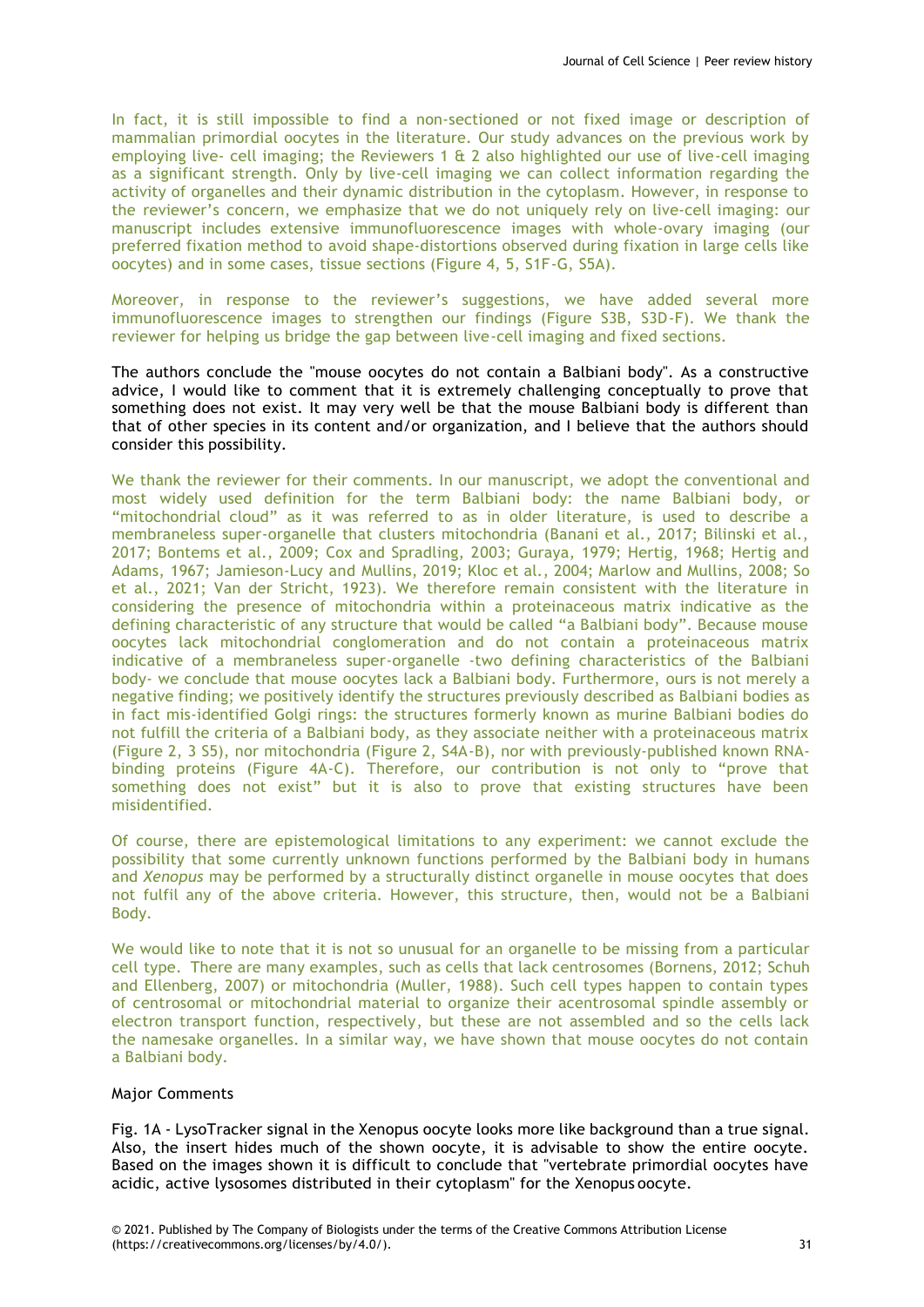In fact, it is still impossible to find a non-sectioned or not fixed image or description of mammalian primordial oocytes in the literature. Our study advances on the previous work by employing live- cell imaging; the Reviewers 1 & 2 also highlighted our use of live-cell imaging as a significant strength. Only by live-cell imaging we can collect information regarding the activity of organelles and their dynamic distribution in the cytoplasm. However, in response to the reviewer's concern, we emphasize that we do not uniquely rely on live-cell imaging: our manuscript includes extensive immunofluorescence images with whole-ovary imaging (our preferred fixation method to avoid shape-distortions observed during fixation in large cells like oocytes) and in some cases, tissue sections (Figure 4, 5, S1F-G, S5A).

Moreover, in response to the reviewer's suggestions, we have added several more immunofluorescence images to strengthen our findings (Figure S3B, S3D-F). We thank the reviewer for helping us bridge the gap between live-cell imaging and fixed sections.

The authors conclude the "mouse oocytes do not contain a Balbiani body". As a constructive advice, I would like to comment that it is extremely challenging conceptually to prove that something does not exist. It may very well be that the mouse Balbiani body is different than that of other species in its content and/or organization, and I believe that the authors should consider this possibility.

We thank the reviewer for their comments. In our manuscript, we adopt the conventional and most widely used definition for the term Balbiani body: the name Balbiani body, or "mitochondrial cloud" as it was referred to as in older literature, is used to describe a membraneless super-organelle that clusters mitochondria (Banani et al., 2017; Bilinski et al., 2017; Bontems et al., 2009; Cox and Spradling, 2003; Guraya, 1979; Hertig, 1968; Hertig and Adams, 1967; Jamieson-Lucy and Mullins, 2019; Kloc et al., 2004; Marlow and Mullins, 2008; So et al., 2021; Van der Stricht, 1923). We therefore remain consistent with the literature in considering the presence of mitochondria within a proteinaceous matrix indicative as the defining characteristic of any structure that would be called "a Balbiani body". Because mouse oocytes lack mitochondrial conglomeration and do not contain a proteinaceous matrix indicative of a membraneless super-organelle -two defining characteristics of the Balbiani body- we conclude that mouse oocytes lack a Balbiani body. Furthermore, ours is not merely a negative finding; we positively identify the structures previously described as Balbiani bodies as in fact mis-identified Golgi rings: the structures formerly known as murine Balbiani bodies do not fulfill the criteria of a Balbiani body, as they associate neither with a proteinaceous matrix (Figure 2, 3 S5), nor mitochondria (Figure 2, S4A-B), nor with previously-published known RNAbinding proteins (Figure 4A-C). Therefore, our contribution is not only to "prove that something does not exist" but it is also to prove that existing structures have been misidentified.

Of course, there are epistemological limitations to any experiment: we cannot exclude the possibility that some currently unknown functions performed by the Balbiani body in humans and *Xenopus* may be performed by a structurally distinct organelle in mouse oocytes that does not fulfil any of the above criteria. However, this structure, then, would not be a Balbiani Body.

We would like to note that it is not so unusual for an organelle to be missing from a particular cell type. There are many examples, such as cells that lack centrosomes (Bornens, 2012; Schuh and Ellenberg, 2007) or mitochondria (Muller, 1988). Such cell types happen to contain types of centrosomal or mitochondrial material to organize their acentrosomal spindle assembly or electron transport function, respectively, but these are not assembled and so the cells lack the namesake organelles. In a similar way, we have shown that mouse oocytes do not contain a Balbiani body.

### Major Comments

Fig. 1A - LysoTracker signal in the Xenopus oocyte looks more like background than a true signal. Also, the insert hides much of the shown oocyte, it is advisable to show the entire oocyte. Based on the images shown it is difficult to conclude that "vertebrate primordial oocytes have acidic, active lysosomes distributed in their cytoplasm" for the Xenopus oocyte.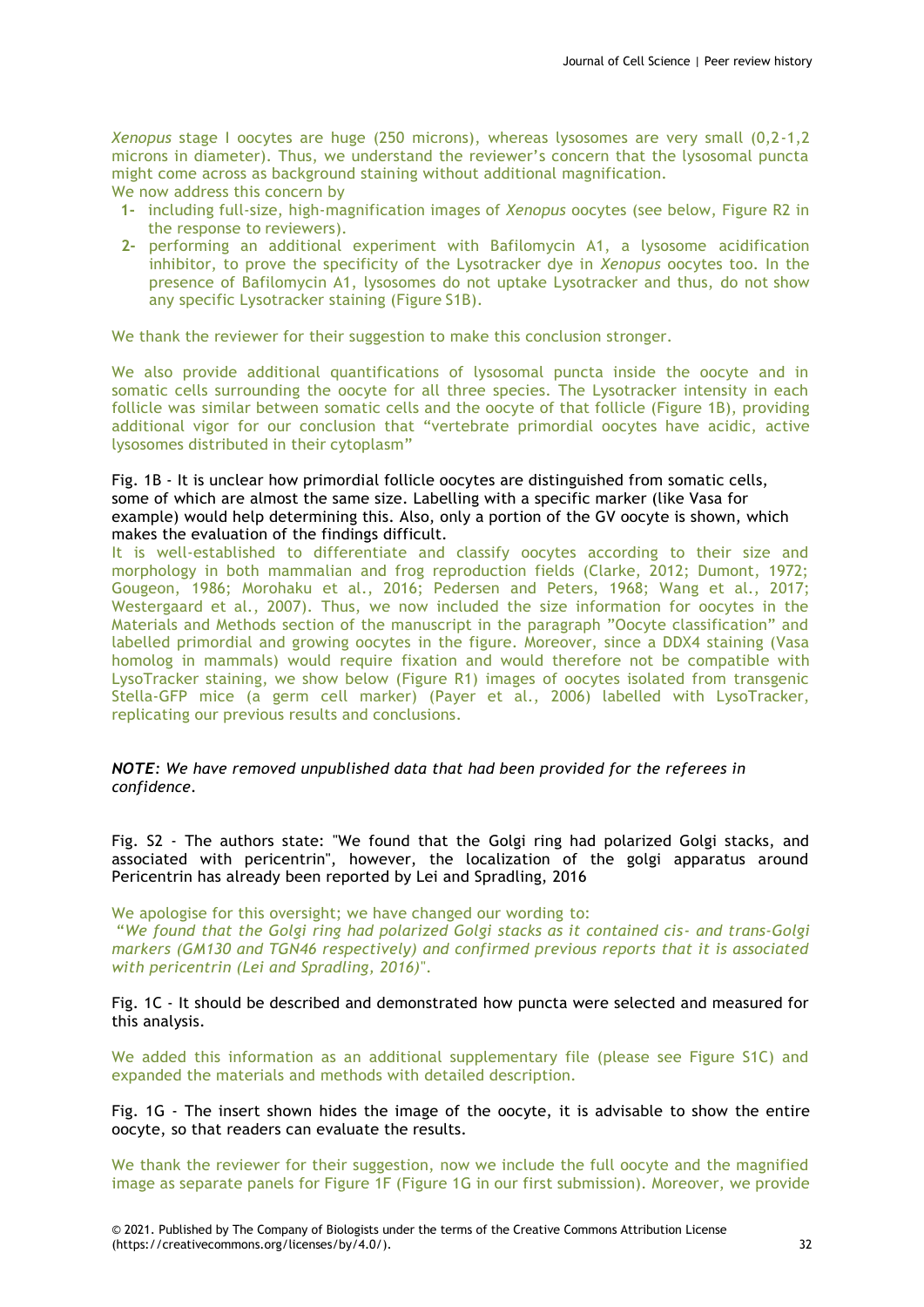*Xenopus* stage I oocytes are huge (250 microns), whereas lysosomes are very small (0,2-1,2 microns in diameter). Thus, we understand the reviewer's concern that the lysosomal puncta might come across as background staining without additional magnification.

We now address this concern by

- **1-** including full-size, high-magnification images of *Xenopus* oocytes (see below, Figure R2 in the response to reviewers).
- **2-** performing an additional experiment with Bafilomycin A1, a lysosome acidification inhibitor, to prove the specificity of the Lysotracker dye in *Xenopus* oocytes too. In the presence of Bafilomycin A1, lysosomes do not uptake Lysotracker and thus, do not show any specific Lysotracker staining (Figure S1B).

We thank the reviewer for their suggestion to make this conclusion stronger.

We also provide additional quantifications of lysosomal puncta inside the oocyte and in somatic cells surrounding the oocyte for all three species. The Lysotracker intensity in each follicle was similar between somatic cells and the oocyte of that follicle (Figure 1B), providing additional vigor for our conclusion that "vertebrate primordial oocytes have acidic, active lysosomes distributed in their cytoplasm"

# Fig. 1B - It is unclear how primordial follicle oocytes are distinguished from somatic cells, some of which are almost the same size. Labelling with a specific marker (like Vasa for example) would help determining this. Also, only a portion of the GV oocyte is shown, which makes the evaluation of the findings difficult.

It is well-established to differentiate and classify oocytes according to their size and morphology in both mammalian and frog reproduction fields (Clarke, 2012; Dumont, 1972; Gougeon, 1986; Morohaku et al., 2016; Pedersen and Peters, 1968; Wang et al., 2017; Westergaard et al., 2007). Thus, we now included the size information for oocytes in the Materials and Methods section of the manuscript in the paragraph "Oocyte classification" and labelled primordial and growing oocytes in the figure. Moreover, since a DDX4 staining (Vasa homolog in mammals) would require fixation and would therefore not be compatible with LysoTracker staining, we show below (Figure R1) images of oocytes isolated from transgenic Stella-GFP mice (a germ cell marker) (Payer et al., 2006) labelled with LysoTracker, replicating our previous results and conclusions.

*NOTE: We have removed unpublished data that had been provided for the referees in confidence.*

Fig. S2 - The authors state: "We found that the Golgi ring had polarized Golgi stacks, and associated with pericentrin", however, the localization of the golgi apparatus around Pericentrin has already been reported by Lei and Spradling, 2016

We apologise for this oversight; we have changed our wording to:

"*We found that the Golgi ring had polarized Golgi stacks as it contained cis- and trans-Golgi markers (GM130 and TGN46 respectively) and confirmed previous reports that it is associated with pericentrin (Lei and Spradling, 2016)*".

Fig. 1C - It should be described and demonstrated how puncta were selected and measured for this analysis.

We added this information as an additional supplementary file (please see Figure S1C) and expanded the materials and methods with detailed description.

Fig. 1G - The insert shown hides the image of the oocyte, it is advisable to show the entire oocyte, so that readers can evaluate the results.

We thank the reviewer for their suggestion, now we include the full oocyte and the magnified image as separate panels for Figure 1F (Figure 1G in our first submission). Moreover, we provide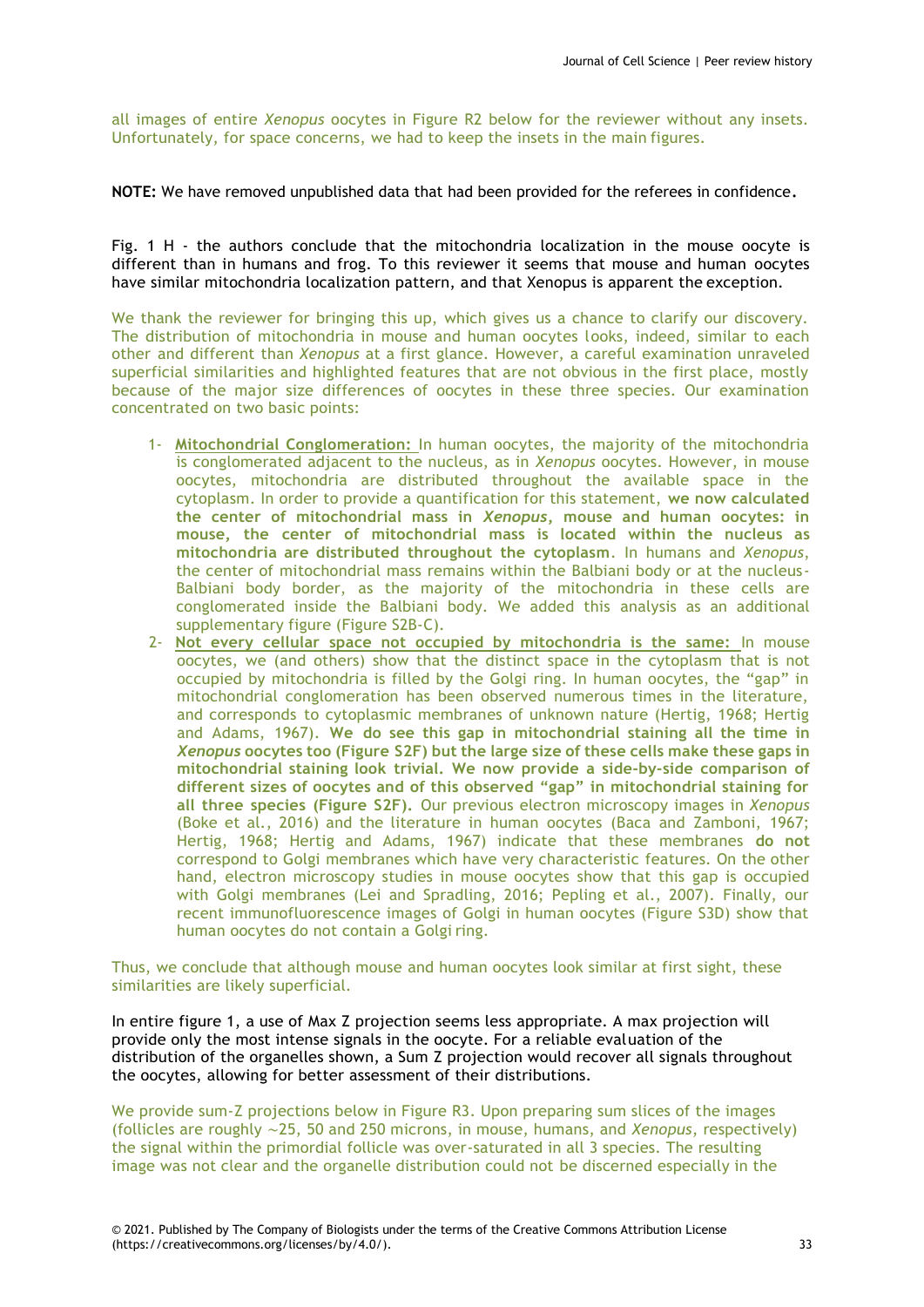all images of entire *Xenopus* oocytes in Figure R2 below for the reviewer without any insets. Unfortunately, for space concerns, we had to keep the insets in the main figures.

**NOTE:** We have removed unpublished data that had been provided for the referees in confidence**.**

Fig. 1 H - the authors conclude that the mitochondria localization in the mouse oocyte is different than in humans and frog. To this reviewer it seems that mouse and human oocytes have similar mitochondria localization pattern, and that Xenopus is apparent the exception.

We thank the reviewer for bringing this up, which gives us a chance to clarify our discovery. The distribution of mitochondria in mouse and human oocytes looks, indeed, similar to each other and different than *Xenopus* at a first glance. However, a careful examination unraveled superficial similarities and highlighted features that are not obvious in the first place, mostly because of the major size differences of oocytes in these three species. Our examination concentrated on two basic points:

- 1- **Mitochondrial Conglomeration:** In human oocytes, the majority of the mitochondria is conglomerated adjacent to the nucleus, as in *Xenopus* oocytes. However, in mouse oocytes, mitochondria are distributed throughout the available space in the cytoplasm. In order to provide a quantification for this statement, **we now calculated the center of mitochondrial mass in** *Xenopus***, mouse and human oocytes: in mouse, the center of mitochondrial mass is located within the nucleus as mitochondria are distributed throughout the cytoplasm**. In humans and *Xenopus*, the center of mitochondrial mass remains within the Balbiani body or at the nucleus-Balbiani body border, as the majority of the mitochondria in these cells are conglomerated inside the Balbiani body. We added this analysis as an additional supplementary figure (Figure S2B-C).
- 2- **Not every cellular space not occupied by mitochondria is the same:** In mouse oocytes, we (and others) show that the distinct space in the cytoplasm that is not occupied by mitochondria is filled by the Golgi ring. In human oocytes, the "gap" in mitochondrial conglomeration has been observed numerous times in the literature, and corresponds to cytoplasmic membranes of unknown nature (Hertig, 1968; Hertig and Adams, 1967). **We do see this gap in mitochondrial staining all the time in** *Xenopus* **oocytes too (Figure S2F) but the large size of these cells make these gaps in mitochondrial staining look trivial. We now provide a side-by-side comparison of different sizes of oocytes and of this observed "gap" in mitochondrial staining for all three species (Figure S2F).** Our previous electron microscopy images in *Xenopus* (Boke et al., 2016) and the literature in human oocytes (Baca and Zamboni, 1967; Hertig, 1968; Hertig and Adams, 1967) indicate that these membranes **do not**  correspond to Golgi membranes which have very characteristic features. On the other hand, electron microscopy studies in mouse oocytes show that this gap is occupied with Golgi membranes (Lei and Spradling, 2016; Pepling et al., 2007). Finally, our recent immunofluorescence images of Golgi in human oocytes (Figure S3D) show that human oocytes do not contain a Golgi ring.

Thus, we conclude that although mouse and human oocytes look similar at first sight, these similarities are likely superficial.

In entire figure 1, a use of Max Z projection seems less appropriate. A max projection will provide only the most intense signals in the oocyte. For a reliable evaluation of the distribution of the organelles shown, a Sum Z projection would recover all signals throughout the oocytes, allowing for better assessment of their distributions.

We provide sum-Z projections below in Figure R3. Upon preparing sum slices of the images (follicles are roughly ∼25, 50 and 250 microns, in mouse, humans, and *Xenopus*, respectively) the signal within the primordial follicle was over-saturated in all 3 species. The resulting image was not clear and the organelle distribution could not be discerned especially in the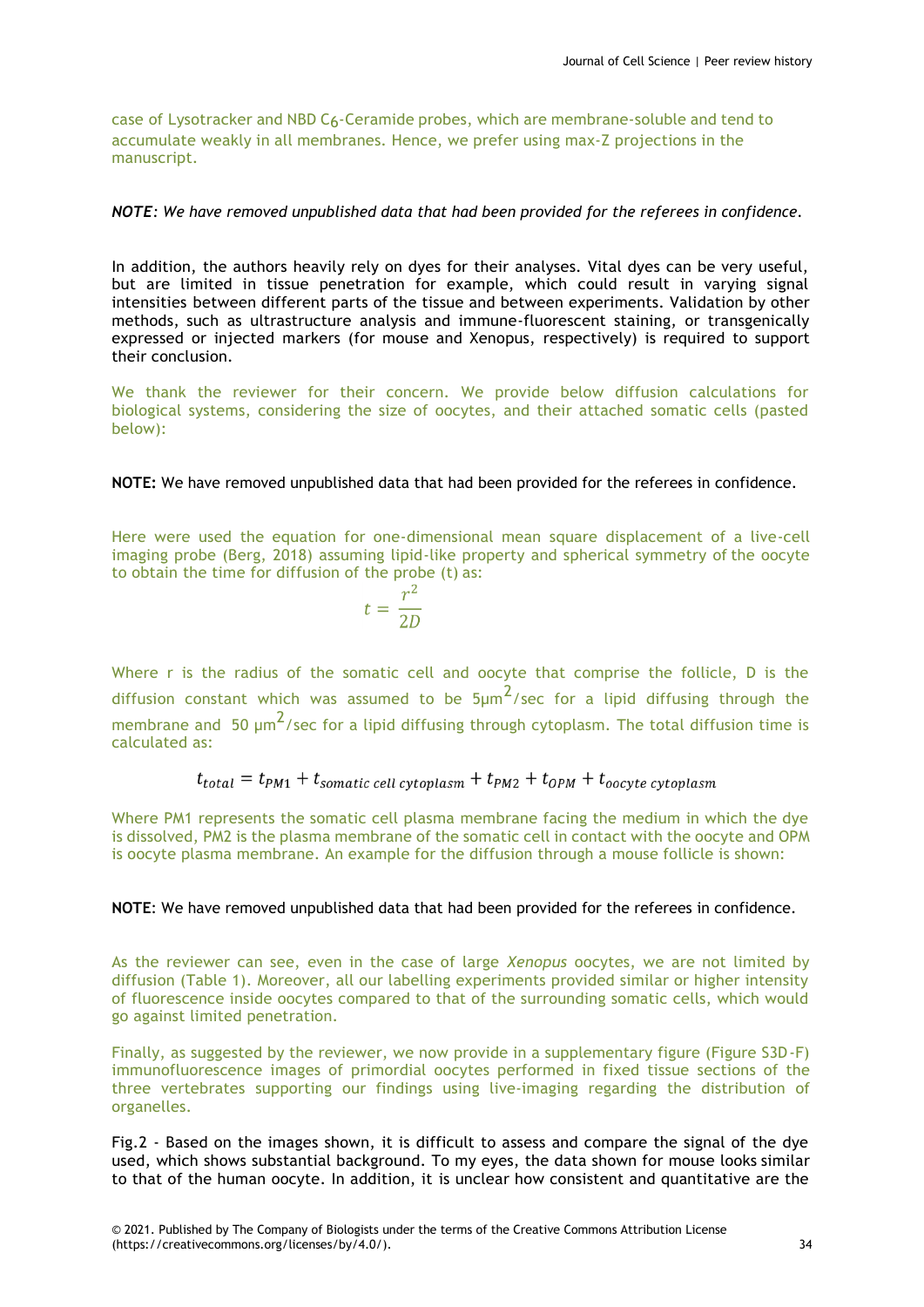case of Lysotracker and NBD C6-Ceramide probes, which are membrane-soluble and tend to accumulate weakly in all membranes. Hence, we prefer using max-Z projections in the manuscript.

# *NOTE: We have removed unpublished data that had been provided for the referees in confidence.*

In addition, the authors heavily rely on dyes for their analyses. Vital dyes can be very useful, but are limited in tissue penetration for example, which could result in varying signal intensities between different parts of the tissue and between experiments. Validation by other methods, such as ultrastructure analysis and immune-fluorescent staining, or transgenically expressed or injected markers (for mouse and Xenopus, respectively) is required to support their conclusion.

We thank the reviewer for their concern. We provide below diffusion calculations for biological systems, considering the size of oocytes, and their attached somatic cells (pasted below):

# **NOTE:** We have removed unpublished data that had been provided for the referees in confidence.

Here were used the equation for one-dimensional mean square displacement of a live-cell imaging probe (Berg, 2018) assuming lipid-like property and spherical symmetry of the oocyte to obtain the time for diffusion of the probe (t) as:

$$
t=\frac{r^2}{2D}
$$

Where r is the radius of the somatic cell and oocyte that comprise the follicle, D is the diffusion constant which was assumed to be  $5\mu m^2$ /sec for a lipid diffusing through the membrane and 50  $\mu$ m<sup>2</sup>/sec for a lipid diffusing through cytoplasm. The total diffusion time is calculated as:

# $t_{total} = t_{PM1} + t_{somatic cell cytoplasm} + t_{PM2} + t_{OPM} + t_{occyte cytoplasm}$

Where PM1 represents the somatic cell plasma membrane facing the medium in which the dye is dissolved, PM2 is the plasma membrane of the somatic cell in contact with the oocyte and OPM is oocyte plasma membrane. An example for the diffusion through a mouse follicle is shown:

# **NOTE**: We have removed unpublished data that had been provided for the referees in confidence.

As the reviewer can see, even in the case of large *Xenopus* oocytes, we are not limited by diffusion (Table 1). Moreover, all our labelling experiments provided similar or higher intensity of fluorescence inside oocytes compared to that of the surrounding somatic cells, which would go against limited penetration.

Finally, as suggested by the reviewer, we now provide in a supplementary figure (Figure S3D-F) immunofluorescence images of primordial oocytes performed in fixed tissue sections of the three vertebrates supporting our findings using live-imaging regarding the distribution of organelles.

Fig.2 - Based on the images shown, it is difficult to assess and compare the signal of the dye used, which shows substantial background. To my eyes, the data shown for mouse looks similar to that of the human oocyte. In addition, it is unclear how consistent and quantitative are the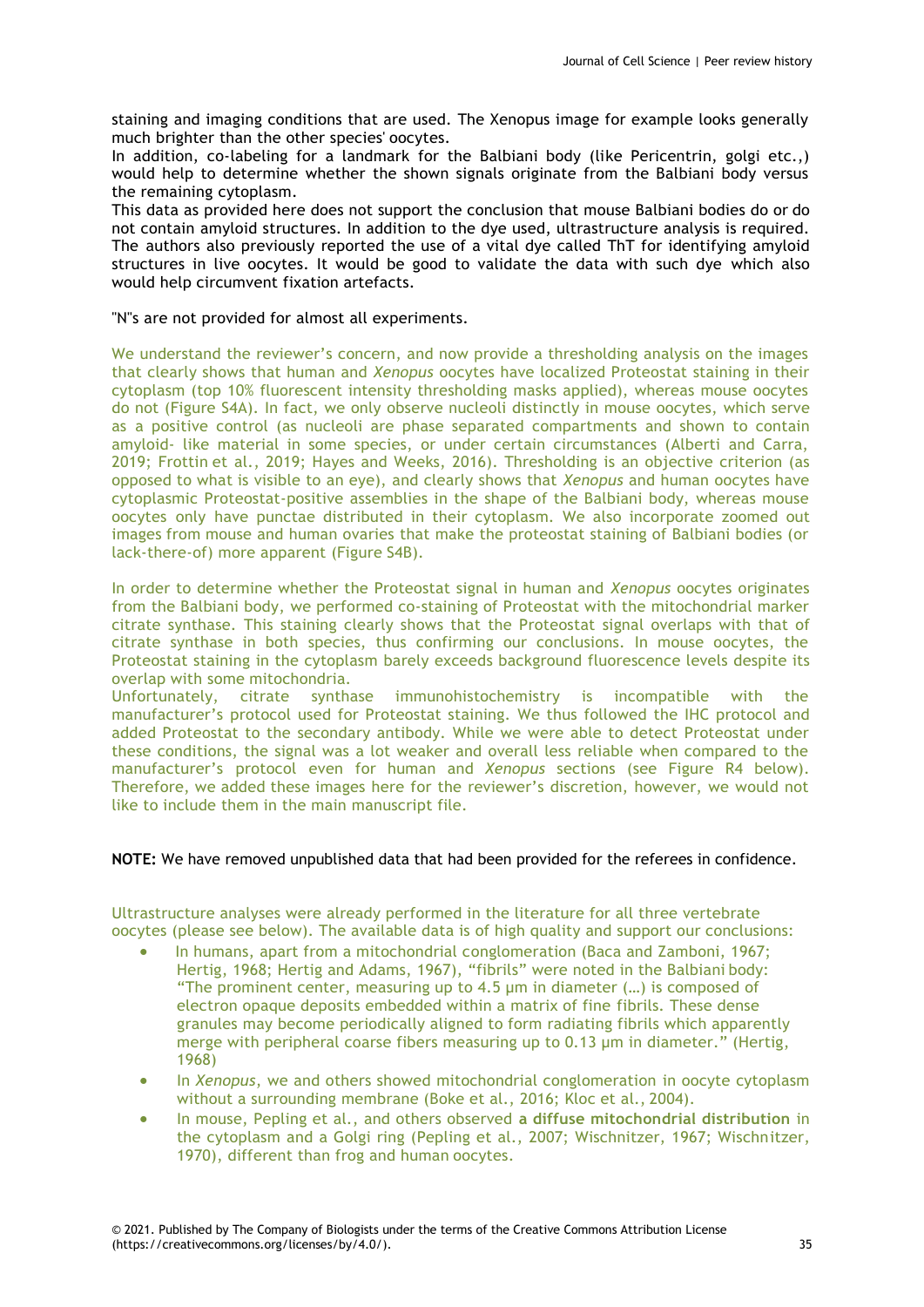staining and imaging conditions that are used. The Xenopus image for example looks generally much brighter than the other species' oocytes.

In addition, co-labeling for a landmark for the Balbiani body (like Pericentrin, golgi etc.,) would help to determine whether the shown signals originate from the Balbiani body versus the remaining cytoplasm.

This data as provided here does not support the conclusion that mouse Balbiani bodies do or do not contain amyloid structures. In addition to the dye used, ultrastructure analysis is required. The authors also previously reported the use of a vital dye called ThT for identifying amyloid structures in live oocytes. It would be good to validate the data with such dye which also would help circumvent fixation artefacts.

#### "N"s are not provided for almost all experiments.

We understand the reviewer's concern, and now provide a thresholding analysis on the images that clearly shows that human and *Xenopus* oocytes have localized Proteostat staining in their cytoplasm (top 10% fluorescent intensity thresholding masks applied), whereas mouse oocytes do not (Figure S4A). In fact, we only observe nucleoli distinctly in mouse oocytes, which serve as a positive control (as nucleoli are phase separated compartments and shown to contain amyloid- like material in some species, or under certain circumstances (Alberti and Carra, 2019; Frottin et al., 2019; Hayes and Weeks, 2016). Thresholding is an objective criterion (as opposed to what is visible to an eye), and clearly shows that *Xenopus* and human oocytes have cytoplasmic Proteostat-positive assemblies in the shape of the Balbiani body, whereas mouse oocytes only have punctae distributed in their cytoplasm. We also incorporate zoomed out images from mouse and human ovaries that make the proteostat staining of Balbiani bodies (or lack-there-of) more apparent (Figure S4B).

In order to determine whether the Proteostat signal in human and *Xenopus* oocytes originates from the Balbiani body, we performed co-staining of Proteostat with the mitochondrial marker citrate synthase. This staining clearly shows that the Proteostat signal overlaps with that of citrate synthase in both species, thus confirming our conclusions. In mouse oocytes, the Proteostat staining in the cytoplasm barely exceeds background fluorescence levels despite its overlap with some mitochondria.

Unfortunately, citrate synthase immunohistochemistry is incompatible with the manufacturer's protocol used for Proteostat staining. We thus followed the IHC protocol and added Proteostat to the secondary antibody. While we were able to detect Proteostat under these conditions, the signal was a lot weaker and overall less reliable when compared to the manufacturer's protocol even for human and *Xenopus* sections (see Figure R4 below). Therefore, we added these images here for the reviewer's discretion, however, we would not like to include them in the main manuscript file.

# **NOTE:** We have removed unpublished data that had been provided for the referees in confidence.

Ultrastructure analyses were already performed in the literature for all three vertebrate oocytes (please see below). The available data is of high quality and support our conclusions:

- In humans, apart from a mitochondrial conglomeration (Baca and Zamboni, 1967; Hertig, 1968; Hertig and Adams, 1967), "fibrils" were noted in the Balbiani body: "The prominent center, measuring up to 4.5 µm in diameter (…) is composed of electron opaque deposits embedded within a matrix of fine fibrils. These dense granules may become periodically aligned to form radiating fibrils which apparently merge with peripheral coarse fibers measuring up to 0.13 µm in diameter." (Hertig, 1968)
- In *Xenopus*, we and others showed mitochondrial conglomeration in oocyte cytoplasm without a surrounding membrane (Boke et al., 2016; Kloc et al., 2004).
- In mouse, Pepling et al., and others observed **a diffuse mitochondrial distribution** in the cytoplasm and a Golgi ring (Pepling et al., 2007; Wischnitzer, 1967; Wischnitzer, 1970), different than frog and human oocytes.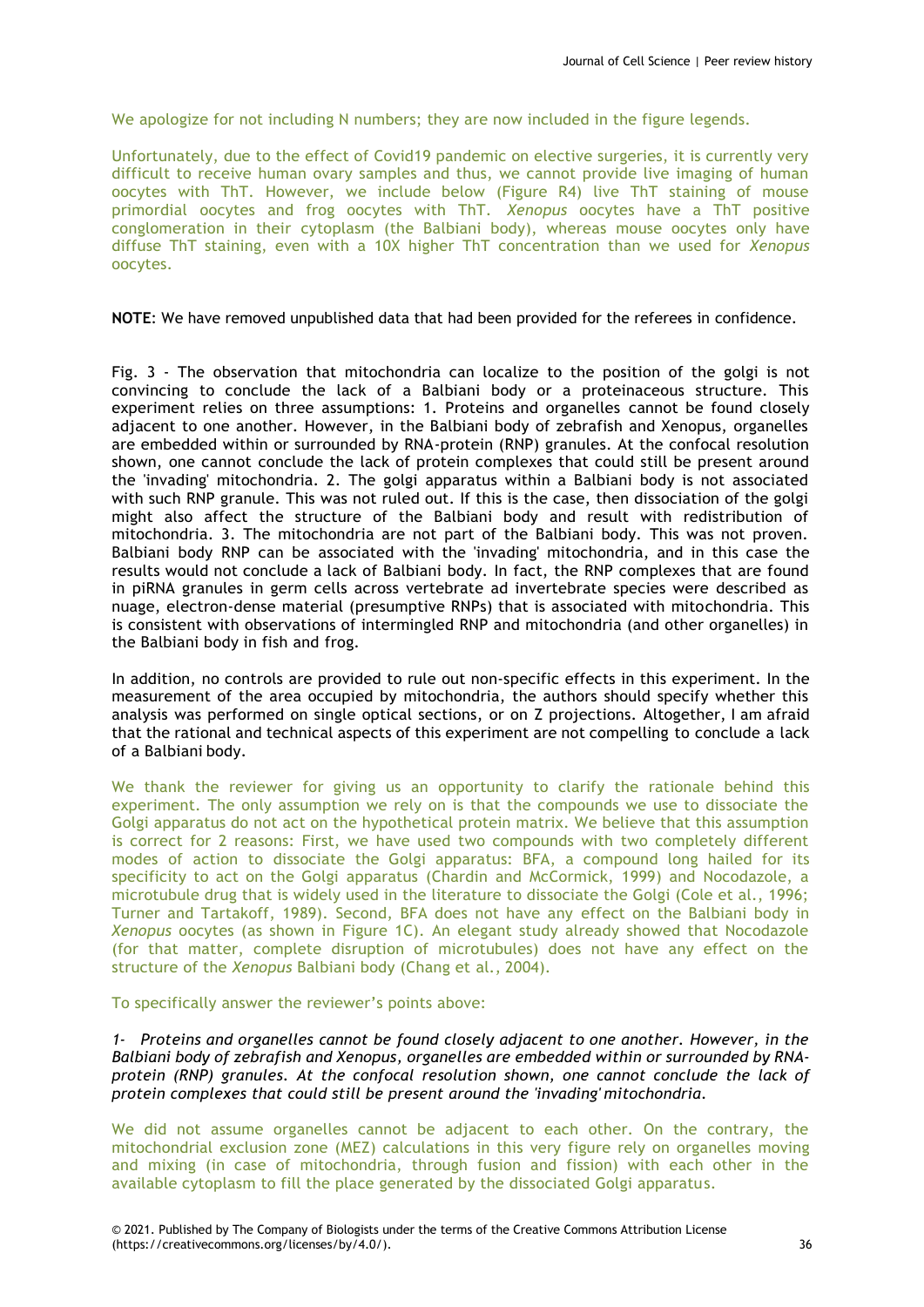We apologize for not including N numbers; they are now included in the figure legends.

Unfortunately, due to the effect of Covid19 pandemic on elective surgeries, it is currently very difficult to receive human ovary samples and thus, we cannot provide live imaging of human oocytes with ThT. However, we include below (Figure R4) live ThT staining of mouse primordial oocytes and frog oocytes with ThT. *Xenopus* oocytes have a ThT positive conglomeration in their cytoplasm (the Balbiani body), whereas mouse oocytes only have diffuse ThT staining, even with a 10X higher ThT concentration than we used for *Xenopus* oocytes.

**NOTE**: We have removed unpublished data that had been provided for the referees in confidence.

Fig. 3 - The observation that mitochondria can localize to the position of the golgi is not convincing to conclude the lack of a Balbiani body or a proteinaceous structure. This experiment relies on three assumptions: 1. Proteins and organelles cannot be found closely adjacent to one another. However, in the Balbiani body of zebrafish and Xenopus, organelles are embedded within or surrounded by RNA-protein (RNP) granules. At the confocal resolution shown, one cannot conclude the lack of protein complexes that could still be present around the 'invading' mitochondria. 2. The golgi apparatus within a Balbiani body is not associated with such RNP granule. This was not ruled out. If this is the case, then dissociation of the golgi might also affect the structure of the Balbiani body and result with redistribution of mitochondria. 3. The mitochondria are not part of the Balbiani body. This was not proven. Balbiani body RNP can be associated with the 'invading' mitochondria, and in this case the results would not conclude a lack of Balbiani body. In fact, the RNP complexes that are found in piRNA granules in germ cells across vertebrate ad invertebrate species were described as nuage, electron-dense material (presumptive RNPs) that is associated with mitochondria. This is consistent with observations of intermingled RNP and mitochondria (and other organelles) in the Balbiani body in fish and frog.

In addition, no controls are provided to rule out non-specific effects in this experiment. In the measurement of the area occupied by mitochondria, the authors should specify whether this analysis was performed on single optical sections, or on Z projections. Altogether, I am afraid that the rational and technical aspects of this experiment are not compelling to conclude a lack of a Balbiani body.

We thank the reviewer for giving us an opportunity to clarify the rationale behind this experiment. The only assumption we rely on is that the compounds we use to dissociate the Golgi apparatus do not act on the hypothetical protein matrix. We believe that this assumption is correct for 2 reasons: First, we have used two compounds with two completely different modes of action to dissociate the Golgi apparatus: BFA, a compound long hailed for its specificity to act on the Golgi apparatus (Chardin and McCormick, 1999) and Nocodazole, a microtubule drug that is widely used in the literature to dissociate the Golgi (Cole et al., 1996; Turner and Tartakoff, 1989). Second, BFA does not have any effect on the Balbiani body in *Xenopus* oocytes (as shown in Figure 1C). An elegant study already showed that Nocodazole (for that matter, complete disruption of microtubules) does not have any effect on the structure of the *Xenopus* Balbiani body (Chang et al., 2004).

To specifically answer the reviewer's points above:

*1- Proteins and organelles cannot be found closely adjacent to one another. However, in the Balbiani body of zebrafish and Xenopus, organelles are embedded within or surrounded by RNAprotein (RNP) granules. At the confocal resolution shown, one cannot conclude the lack of protein complexes that could still be present around the 'invading' mitochondria.*

We did not assume organelles cannot be adjacent to each other. On the contrary, the mitochondrial exclusion zone (MEZ) calculations in this very figure rely on organelles moving and mixing (in case of mitochondria, through fusion and fission) with each other in the available cytoplasm to fill the place generated by the dissociated Golgi apparatus.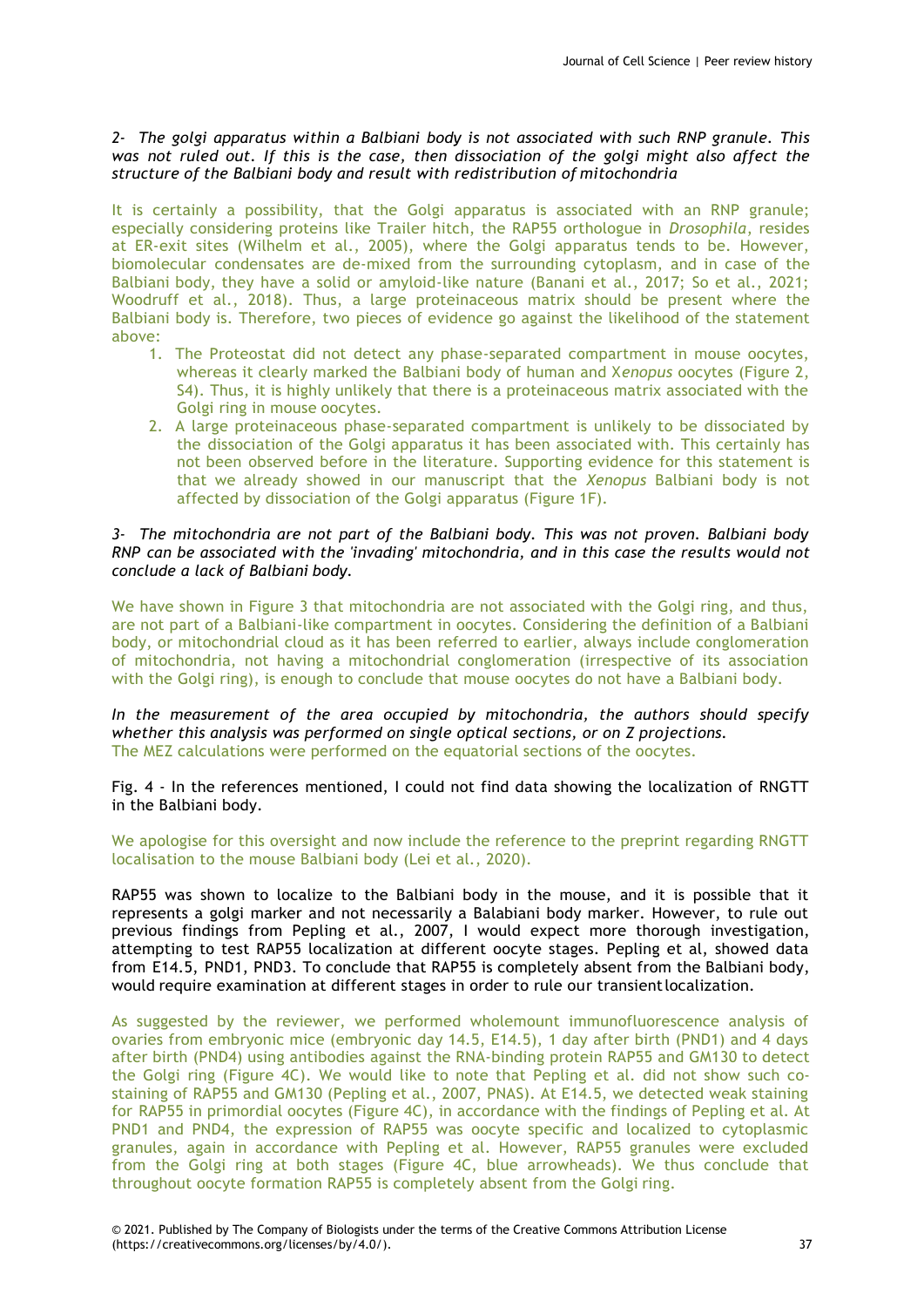# *2- The golgi apparatus within a Balbiani body is not associated with such RNP granule. This was not ruled out. If this is the case, then dissociation of the golgi might also affect the structure of the Balbiani body and result with redistribution of mitochondria*

It is certainly a possibility, that the Golgi apparatus is associated with an RNP granule; especially considering proteins like Trailer hitch, the RAP55 orthologue in *Drosophila*, resides at ER-exit sites (Wilhelm et al., 2005), where the Golgi apparatus tends to be. However, biomolecular condensates are de-mixed from the surrounding cytoplasm, and in case of the Balbiani body, they have a solid or amyloid-like nature (Banani et al., 2017; So et al., 2021; Woodruff et al., 2018). Thus, a large proteinaceous matrix should be present where the Balbiani body is. Therefore, two pieces of evidence go against the likelihood of the statement above:

- 1. The Proteostat did not detect any phase-separated compartment in mouse oocytes, whereas it clearly marked the Balbiani body of human and X*enopus* oocytes (Figure 2, S4). Thus, it is highly unlikely that there is a proteinaceous matrix associated with the Golgi ring in mouse oocytes.
- 2. A large proteinaceous phase-separated compartment is unlikely to be dissociated by the dissociation of the Golgi apparatus it has been associated with. This certainly has not been observed before in the literature. Supporting evidence for this statement is that we already showed in our manuscript that the *Xenopus* Balbiani body is not affected by dissociation of the Golgi apparatus (Figure 1F).

# *3- The mitochondria are not part of the Balbiani body. This was not proven. Balbiani body RNP can be associated with the 'invading' mitochondria, and in this case the results would not conclude a lack of Balbiani body.*

We have shown in Figure 3 that mitochondria are not associated with the Golgi ring, and thus, are not part of a Balbiani-like compartment in oocytes. Considering the definition of a Balbiani body, or mitochondrial cloud as it has been referred to earlier, always include conglomeration of mitochondria, not having a mitochondrial conglomeration (irrespective of its association with the Golgi ring), is enough to conclude that mouse oocytes do not have a Balbiani body.

*In the measurement of the area occupied by mitochondria, the authors should specify whether this analysis was performed on single optical sections, or on Z projections.* The MEZ calculations were performed on the equatorial sections of the oocytes.

Fig. 4 - In the references mentioned, I could not find data showing the localization of RNGTT in the Balbiani body.

We apologise for this oversight and now include the reference to the preprint regarding RNGTT localisation to the mouse Balbiani body (Lei et al., 2020).

RAP55 was shown to localize to the Balbiani body in the mouse, and it is possible that it represents a golgi marker and not necessarily a Balabiani body marker. However, to rule out previous findings from Pepling et al., 2007, I would expect more thorough investigation, attempting to test RAP55 localization at different oocyte stages. Pepling et al, showed data from E14.5, PND1, PND3. To conclude that RAP55 is completely absent from the Balbiani body, would require examination at different stages in order to rule our transientlocalization.

As suggested by the reviewer, we performed wholemount immunofluorescence analysis of ovaries from embryonic mice (embryonic day 14.5, E14.5), 1 day after birth (PND1) and 4 days after birth (PND4) using antibodies against the RNA-binding protein RAP55 and GM130 to detect the Golgi ring (Figure 4C). We would like to note that Pepling et al. did not show such costaining of RAP55 and GM130 (Pepling et al., 2007, PNAS). At E14.5, we detected weak staining for RAP55 in primordial oocytes (Figure 4C), in accordance with the findings of Pepling et al. At PND1 and PND4, the expression of RAP55 was oocyte specific and localized to cytoplasmic granules, again in accordance with Pepling et al. However, RAP55 granules were excluded from the Golgi ring at both stages (Figure 4C, blue arrowheads). We thus conclude that throughout oocyte formation RAP55 is completely absent from the Golgi ring.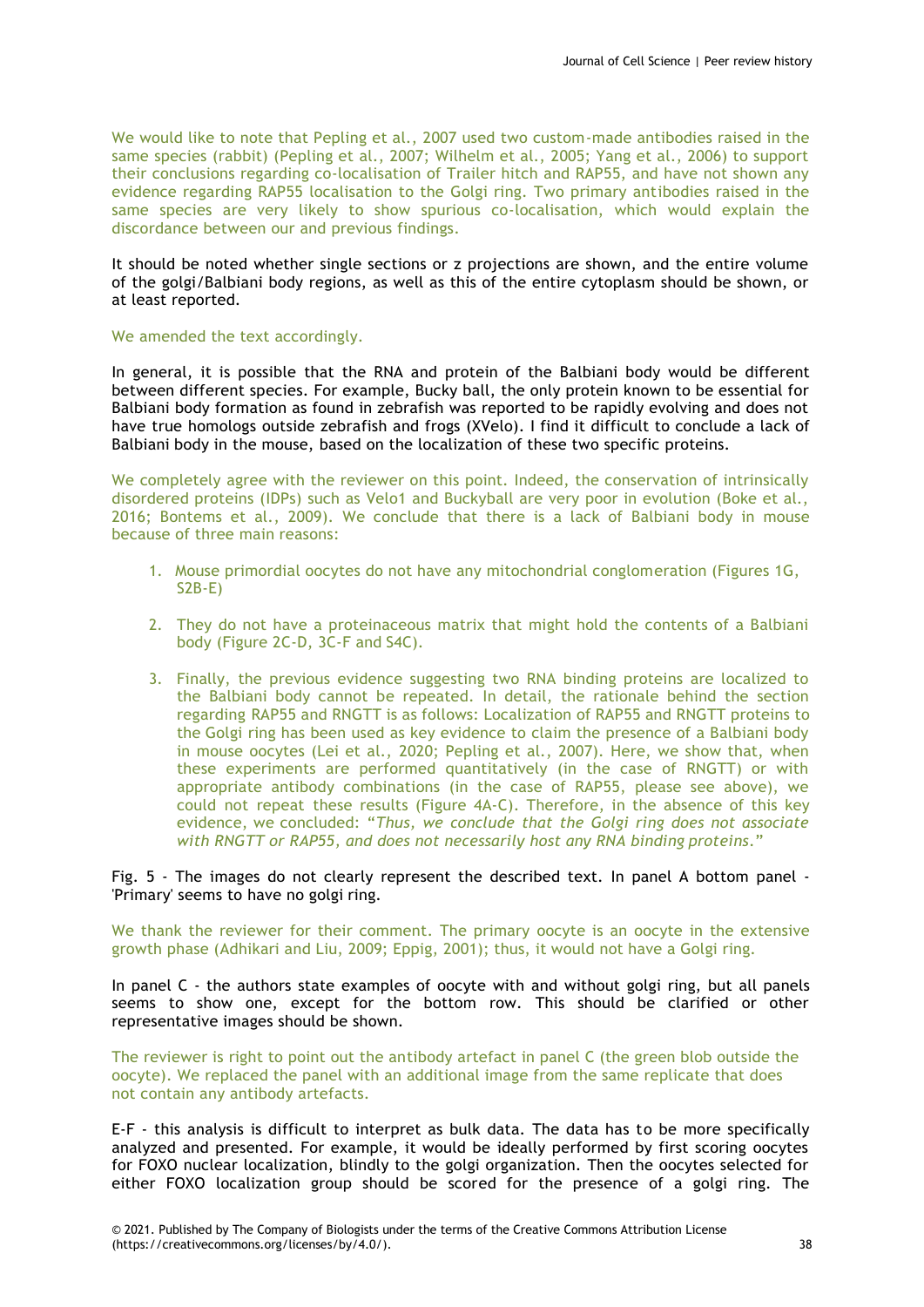We would like to note that Pepling et al., 2007 used two custom-made antibodies raised in the same species (rabbit) (Pepling et al., 2007; Wilhelm et al., 2005; Yang et al., 2006) to support their conclusions regarding co-localisation of Trailer hitch and RAP55, and have not shown any evidence regarding RAP55 localisation to the Golgi ring. Two primary antibodies raised in the same species are very likely to show spurious co-localisation, which would explain the discordance between our and previous findings.

It should be noted whether single sections or z projections are shown, and the entire volume of the golgi/Balbiani body regions, as well as this of the entire cytoplasm should be shown, or at least reported.

#### We amended the text accordingly.

In general, it is possible that the RNA and protein of the Balbiani body would be different between different species. For example, Bucky ball, the only protein known to be essential for Balbiani body formation as found in zebrafish was reported to be rapidly evolving and does not have true homologs outside zebrafish and frogs (XVelo). I find it difficult to conclude a lack of Balbiani body in the mouse, based on the localization of these two specific proteins.

We completely agree with the reviewer on this point. Indeed, the conservation of intrinsically disordered proteins (IDPs) such as Velo1 and Buckyball are very poor in evolution (Boke et al., 2016; Bontems et al., 2009). We conclude that there is a lack of Balbiani body in mouse because of three main reasons:

- 1. Mouse primordial oocytes do not have any mitochondrial conglomeration (Figures 1G, S2B-E)
- 2. They do not have a proteinaceous matrix that might hold the contents of a Balbiani body (Figure 2C-D, 3C-F and S4C).
- 3. Finally, the previous evidence suggesting two RNA binding proteins are localized to the Balbiani body cannot be repeated. In detail, the rationale behind the section regarding RAP55 and RNGTT is as follows: Localization of RAP55 and RNGTT proteins to the Golgi ring has been used as key evidence to claim the presence of a Balbiani body in mouse oocytes (Lei et al., 2020; Pepling et al., 2007). Here, we show that, when these experiments are performed quantitatively (in the case of RNGTT) or with appropriate antibody combinations (in the case of RAP55, please see above), we could not repeat these results (Figure 4A-C). Therefore, in the absence of this key evidence, we concluded: "*Thus, we conclude that the Golgi ring does not associate with RNGTT or RAP55, and does not necessarily host any RNA binding proteins*."

Fig. 5 - The images do not clearly represent the described text. In panel A bottom panel - 'Primary' seems to have no golgi ring.

We thank the reviewer for their comment. The primary oocyte is an oocyte in the extensive growth phase (Adhikari and Liu, 2009; Eppig, 2001); thus, it would not have a Golgi ring.

In panel C - the authors state examples of oocyte with and without golgi ring, but all panels seems to show one, except for the bottom row. This should be clarified or other representative images should be shown.

The reviewer is right to point out the antibody artefact in panel C (the green blob outside the oocyte). We replaced the panel with an additional image from the same replicate that does not contain any antibody artefacts.

E-F - this analysis is difficult to interpret as bulk data. The data has to be more specifically analyzed and presented. For example, it would be ideally performed by first scoring oocytes for FOXO nuclear localization, blindly to the golgi organization. Then the oocytes selected for either FOXO localization group should be scored for the presence of a golgi ring. The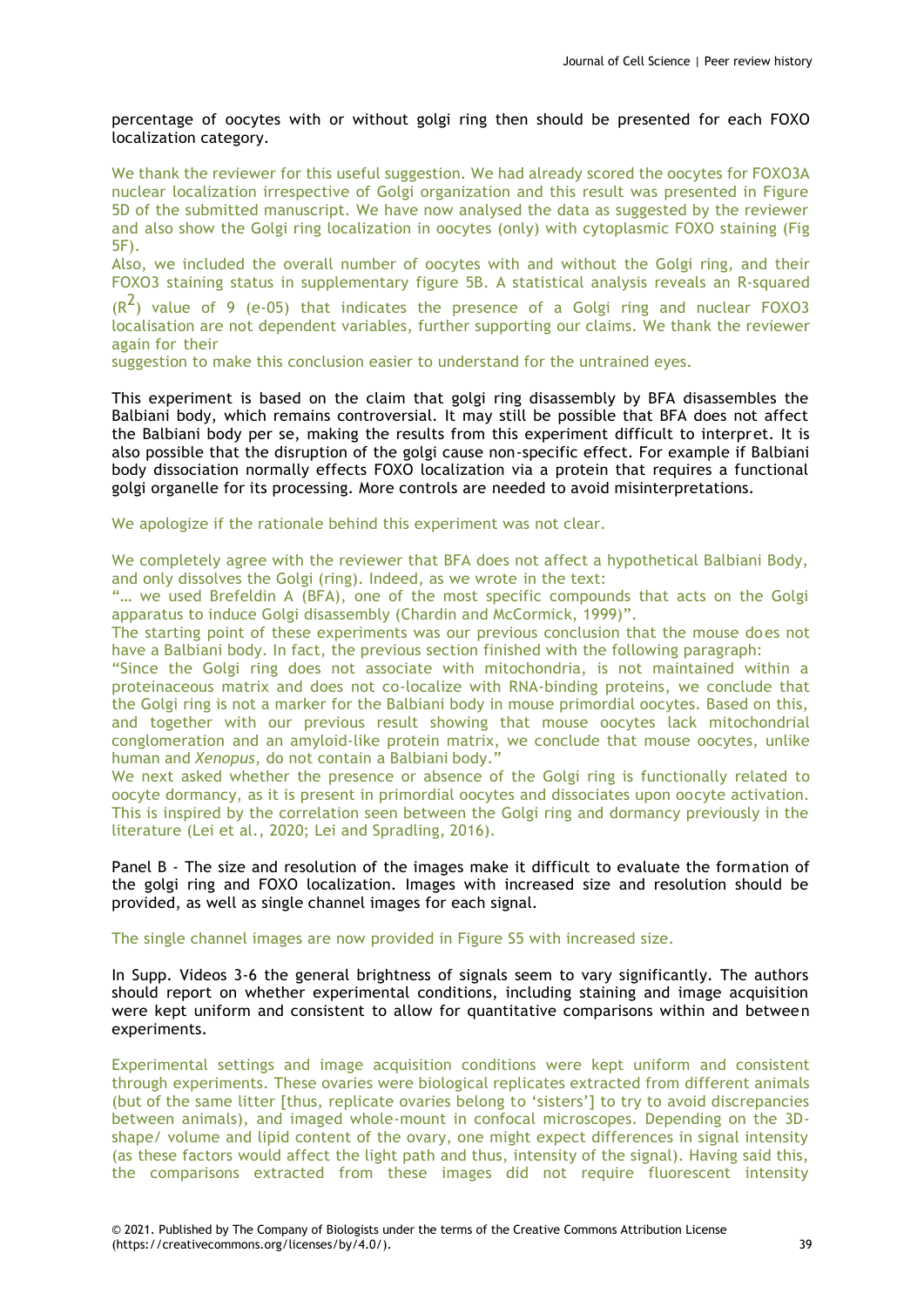percentage of oocytes with or without golgi ring then should be presented for each FOXO localization category.

We thank the reviewer for this useful suggestion. We had already scored the oocytes for FOXO3A nuclear localization irrespective of Golgi organization and this result was presented in Figure 5D of the submitted manuscript. We have now analysed the data as suggested by the reviewer and also show the Golgi ring localization in oocytes (only) with cytoplasmic FOXO staining (Fig 5F).

Also, we included the overall number of oocytes with and without the Golgi ring, and their FOXO3 staining status in supplementary figure 5B. A statistical analysis reveals an R-squared

 $(R<sup>2</sup>)$  value of 9 (e-05) that indicates the presence of a Golgi ring and nuclear FOXO3 localisation are not dependent variables, further supporting our claims. We thank the reviewer again for their

suggestion to make this conclusion easier to understand for the untrained eyes.

This experiment is based on the claim that golgi ring disassembly by BFA disassembles the Balbiani body, which remains controversial. It may still be possible that BFA does not affect the Balbiani body per se, making the results from this experiment difficult to interpret. It is also possible that the disruption of the golgi cause non-specific effect. For example if Balbiani body dissociation normally effects FOXO localization via a protein that requires a functional golgi organelle for its processing. More controls are needed to avoid misinterpretations.

We apologize if the rationale behind this experiment was not clear.

We completely agree with the reviewer that BFA does not affect a hypothetical Balbiani Body, and only dissolves the Golgi (ring). Indeed, as we wrote in the text:

"… we used Brefeldin A (BFA), one of the most specific compounds that acts on the Golgi apparatus to induce Golgi disassembly (Chardin and McCormick, 1999)".

The starting point of these experiments was our previous conclusion that the mouse does not have a Balbiani body. In fact, the previous section finished with the following paragraph:

"Since the Golgi ring does not associate with mitochondria, is not maintained within a proteinaceous matrix and does not co-localize with RNA-binding proteins, we conclude that the Golgi ring is not a marker for the Balbiani body in mouse primordial oocytes. Based on this, and together with our previous result showing that mouse oocytes lack mitochondrial conglomeration and an amyloid-like protein matrix, we conclude that mouse oocytes, unlike human and *Xenopus*, do not contain a Balbiani body."

We next asked whether the presence or absence of the Golgi ring is functionally related to oocyte dormancy, as it is present in primordial oocytes and dissociates upon oocyte activation. This is inspired by the correlation seen between the Golgi ring and dormancy previously in the literature (Lei et al., 2020; Lei and Spradling, 2016).

Panel B - The size and resolution of the images make it difficult to evaluate the formation of the golgi ring and FOXO localization. Images with increased size and resolution should be provided, as well as single channel images for each signal.

The single channel images are now provided in Figure S5 with increased size.

In Supp. Videos 3-6 the general brightness of signals seem to vary significantly. The authors should report on whether experimental conditions, including staining and image acquisition were kept uniform and consistent to allow for quantitative comparisons within and between experiments.

Experimental settings and image acquisition conditions were kept uniform and consistent through experiments. These ovaries were biological replicates extracted from different animals (but of the same litter [thus, replicate ovaries belong to 'sisters'] to try to avoid discrepancies between animals), and imaged whole-mount in confocal microscopes. Depending on the 3Dshape/ volume and lipid content of the ovary, one might expect differences in signal intensity (as these factors would affect the light path and thus, intensity of the signal). Having said this, the comparisons extracted from these images did not require fluorescent intensity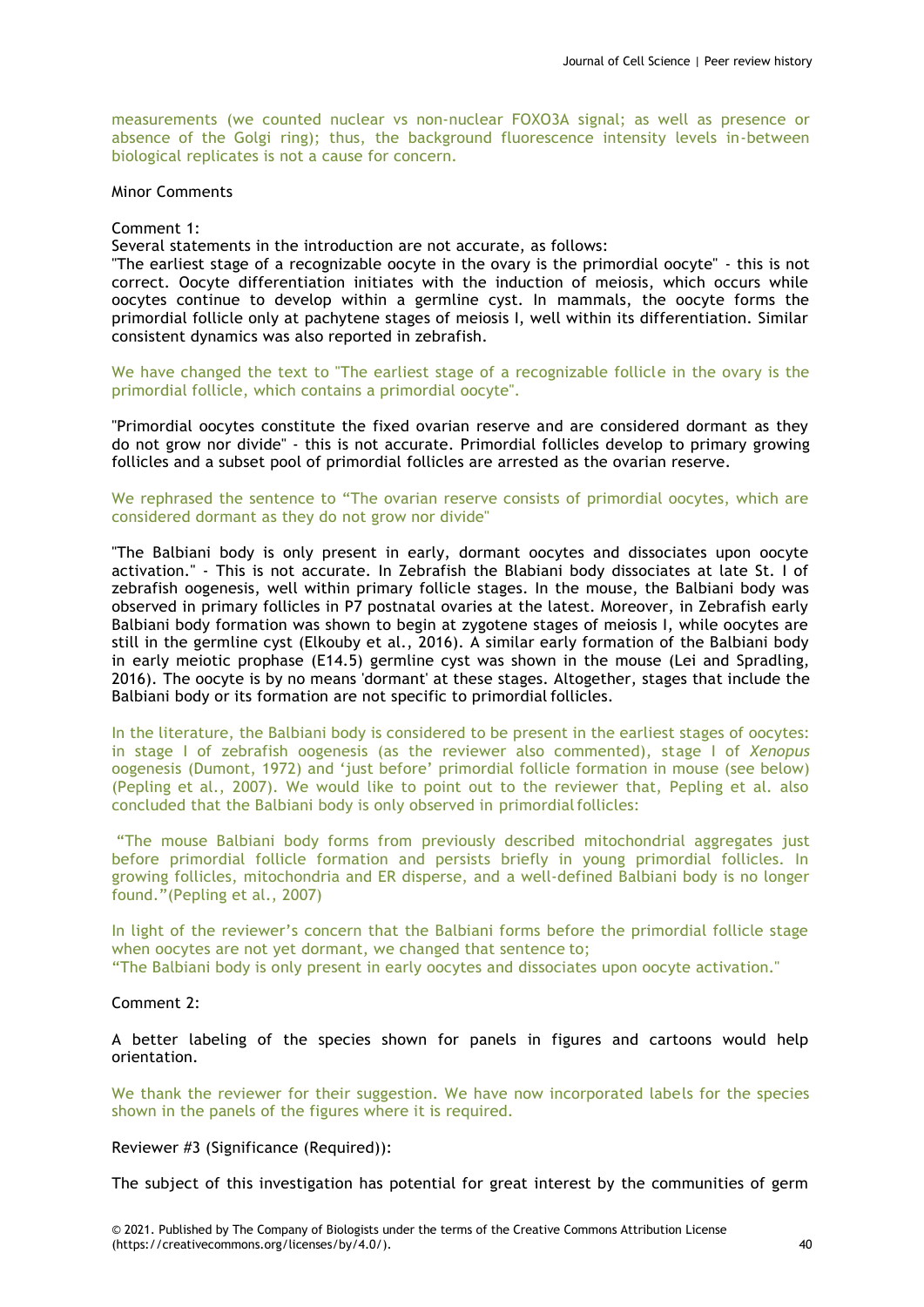measurements (we counted nuclear vs non-nuclear FOXO3A signal; as well as presence or absence of the Golgi ring); thus, the background fluorescence intensity levels in-between biological replicates is not a cause for concern.

Minor Comments

Comment 1:

Several statements in the introduction are not accurate, as follows:

"The earliest stage of a recognizable oocyte in the ovary is the primordial oocyte" - this is not correct. Oocyte differentiation initiates with the induction of meiosis, which occurs while oocytes continue to develop within a germline cyst. In mammals, the oocyte forms the primordial follicle only at pachytene stages of meiosis I, well within its differentiation. Similar consistent dynamics was also reported in zebrafish.

We have changed the text to "The earliest stage of a recognizable follicle in the ovary is the primordial follicle, which contains a primordial oocyte".

"Primordial oocytes constitute the fixed ovarian reserve and are considered dormant as they do not grow nor divide" - this is not accurate. Primordial follicles develop to primary growing follicles and a subset pool of primordial follicles are arrested as the ovarian reserve.

We rephrased the sentence to "The ovarian reserve consists of primordial oocytes, which are considered dormant as they do not grow nor divide"

"The Balbiani body is only present in early, dormant oocytes and dissociates upon oocyte activation." - This is not accurate. In Zebrafish the Blabiani body dissociates at late St. I of zebrafish oogenesis, well within primary follicle stages. In the mouse, the Balbiani body was observed in primary follicles in P7 postnatal ovaries at the latest. Moreover, in Zebrafish early Balbiani body formation was shown to begin at zygotene stages of meiosis I, while oocytes are still in the germline cyst (Elkouby et al., 2016). A similar early formation of the Balbiani body in early meiotic prophase (E14.5) germline cyst was shown in the mouse (Lei and Spradling, 2016). The oocyte is by no means 'dormant' at these stages. Altogether, stages that include the Balbiani body or its formation are not specific to primordial follicles.

In the literature, the Balbiani body is considered to be present in the earliest stages of oocytes: in stage I of zebrafish oogenesis (as the reviewer also commented), stage I of *Xenopus*  oogenesis (Dumont, 1972) and 'just before' primordial follicle formation in mouse (see below) (Pepling et al., 2007). We would like to point out to the reviewer that, Pepling et al. also concluded that the Balbiani body is only observed in primordialfollicles:

"The mouse Balbiani body forms from previously described mitochondrial aggregates just before primordial follicle formation and persists briefly in young primordial follicles. In growing follicles, mitochondria and ER disperse, and a well-defined Balbiani body is no longer found."(Pepling et al., 2007)

In light of the reviewer's concern that the Balbiani forms before the primordial follicle stage when oocytes are not yet dormant, we changed that sentence to;

"The Balbiani body is only present in early oocytes and dissociates upon oocyte activation."

# Comment 2:

A better labeling of the species shown for panels in figures and cartoons would help orientation.

We thank the reviewer for their suggestion. We have now incorporated labels for the species shown in the panels of the figures where it is required.

Reviewer #3 (Significance (Required)):

The subject of this investigation has potential for great interest by the communities of germ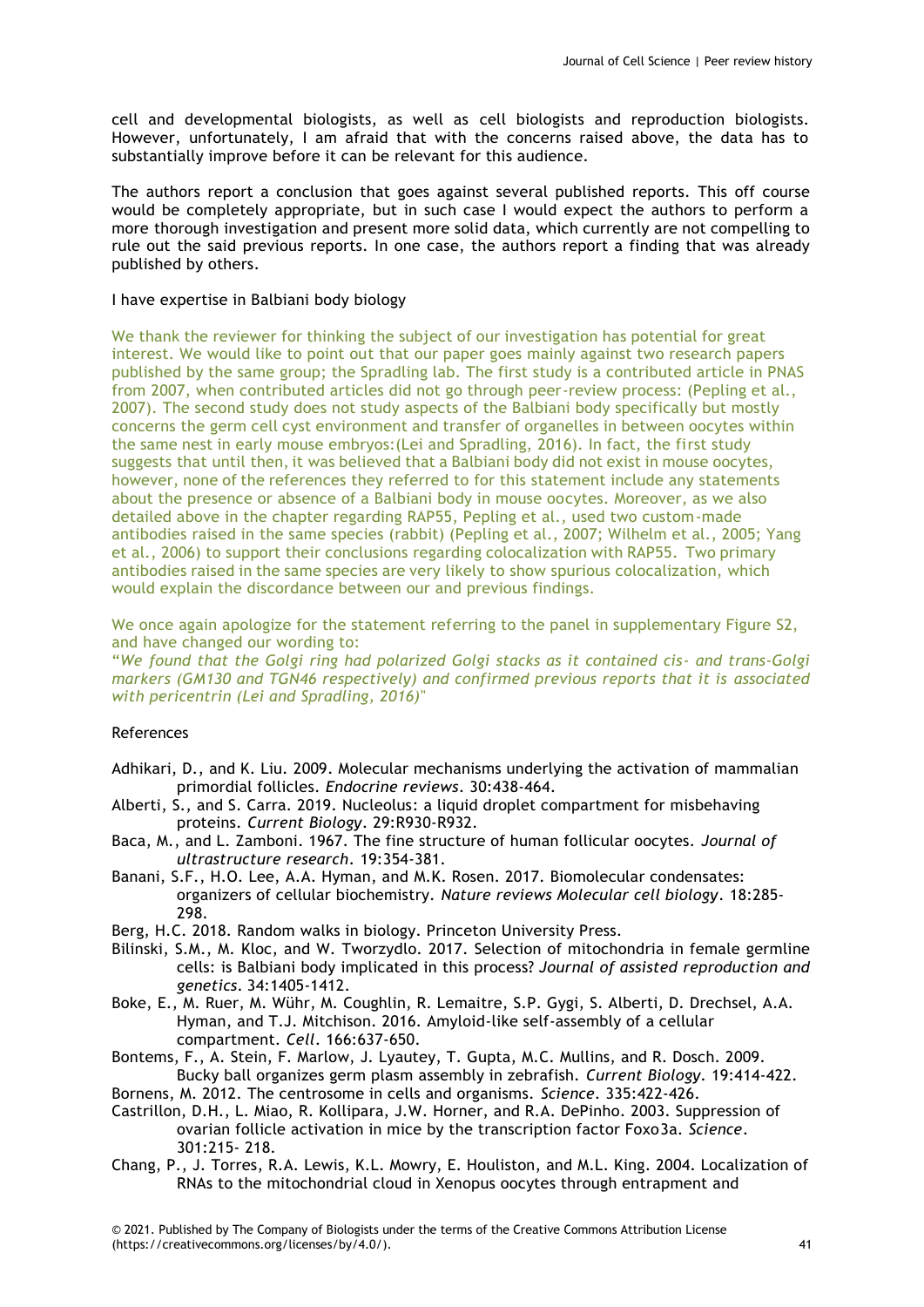cell and developmental biologists, as well as cell biologists and reproduction biologists. However, unfortunately, I am afraid that with the concerns raised above, the data has to substantially improve before it can be relevant for this audience.

The authors report a conclusion that goes against several published reports. This off course would be completely appropriate, but in such case I would expect the authors to perform a more thorough investigation and present more solid data, which currently are not compelling to rule out the said previous reports. In one case, the authors report a finding that was already published by others.

# I have expertise in Balbiani body biology

We thank the reviewer for thinking the subject of our investigation has potential for great interest. We would like to point out that our paper goes mainly against two research papers published by the same group; the Spradling lab. The first study is a contributed article in PNAS from 2007, when contributed articles did not go through peer-review process: (Pepling et al., 2007). The second study does not study aspects of the Balbiani body specifically but mostly concerns the germ cell cyst environment and transfer of organelles in between oocytes within the same nest in early mouse embryos:(Lei and Spradling, 2016). In fact, the first study suggests that until then, it was believed that a Balbiani body did not exist in mouse oocytes, however, none of the references they referred to for this statement include any statements about the presence or absence of a Balbiani body in mouse oocytes. Moreover, as we also detailed above in the chapter regarding RAP55, Pepling et al., used two custom-made antibodies raised in the same species (rabbit) (Pepling et al., 2007; Wilhelm et al., 2005; Yang et al., 2006) to support their conclusions regarding colocalization with RAP55. Two primary antibodies raised in the same species are very likely to show spurious colocalization, which would explain the discordance between our and previous findings.

We once again apologize for the statement referring to the panel in supplementary Figure S2, and have changed our wording to:

"*We found that the Golgi ring had polarized Golgi stacks as it contained cis- and trans-Golgi markers (GM130 and TGN46 respectively) and confirmed previous reports that it is associated with pericentrin (Lei and Spradling, 2016)*"

# References

- Adhikari, D., and K. Liu. 2009. Molecular mechanisms underlying the activation of mammalian primordial follicles. *Endocrine reviews*. 30:438-464.
- Alberti, S., and S. Carra. 2019. Nucleolus: a liquid droplet compartment for misbehaving proteins. *Current Biology*. 29:R930-R932.
- Baca, M., and L. Zamboni. 1967. The fine structure of human follicular oocytes. *Journal of ultrastructure research*. 19:354-381.
- Banani, S.F., H.O. Lee, A.A. Hyman, and M.K. Rosen. 2017. Biomolecular condensates: organizers of cellular biochemistry. *Nature reviews Molecular cell biology*. 18:285- 298.
- Berg, H.C. 2018. Random walks in biology. Princeton University Press.
- Bilinski, S.M., M. Kloc, and W. Tworzydlo. 2017. Selection of mitochondria in female germline cells: is Balbiani body implicated in this process? *Journal of assisted reproduction and genetics*. 34:1405-1412.
- Boke, E., M. Ruer, M. Wühr, M. Coughlin, R. Lemaitre, S.P. Gygi, S. Alberti, D. Drechsel, A.A. Hyman, and T.J. Mitchison. 2016. Amyloid-like self-assembly of a cellular compartment. *Cell*. 166:637-650.
- Bontems, F., A. Stein, F. Marlow, J. Lyautey, T. Gupta, M.C. Mullins, and R. Dosch. 2009. Bucky ball organizes germ plasm assembly in zebrafish. *Current Biology*. 19:414-422.
- Bornens, M. 2012. The centrosome in cells and organisms. *Science*. 335:422-426.
- Castrillon, D.H., L. Miao, R. Kollipara, J.W. Horner, and R.A. DePinho. 2003. Suppression of ovarian follicle activation in mice by the transcription factor Foxo3a. *Science*. 301:215- 218.
- Chang, P., J. Torres, R.A. Lewis, K.L. Mowry, E. Houliston, and M.L. King. 2004. Localization of RNAs to the mitochondrial cloud in Xenopus oocytes through entrapment and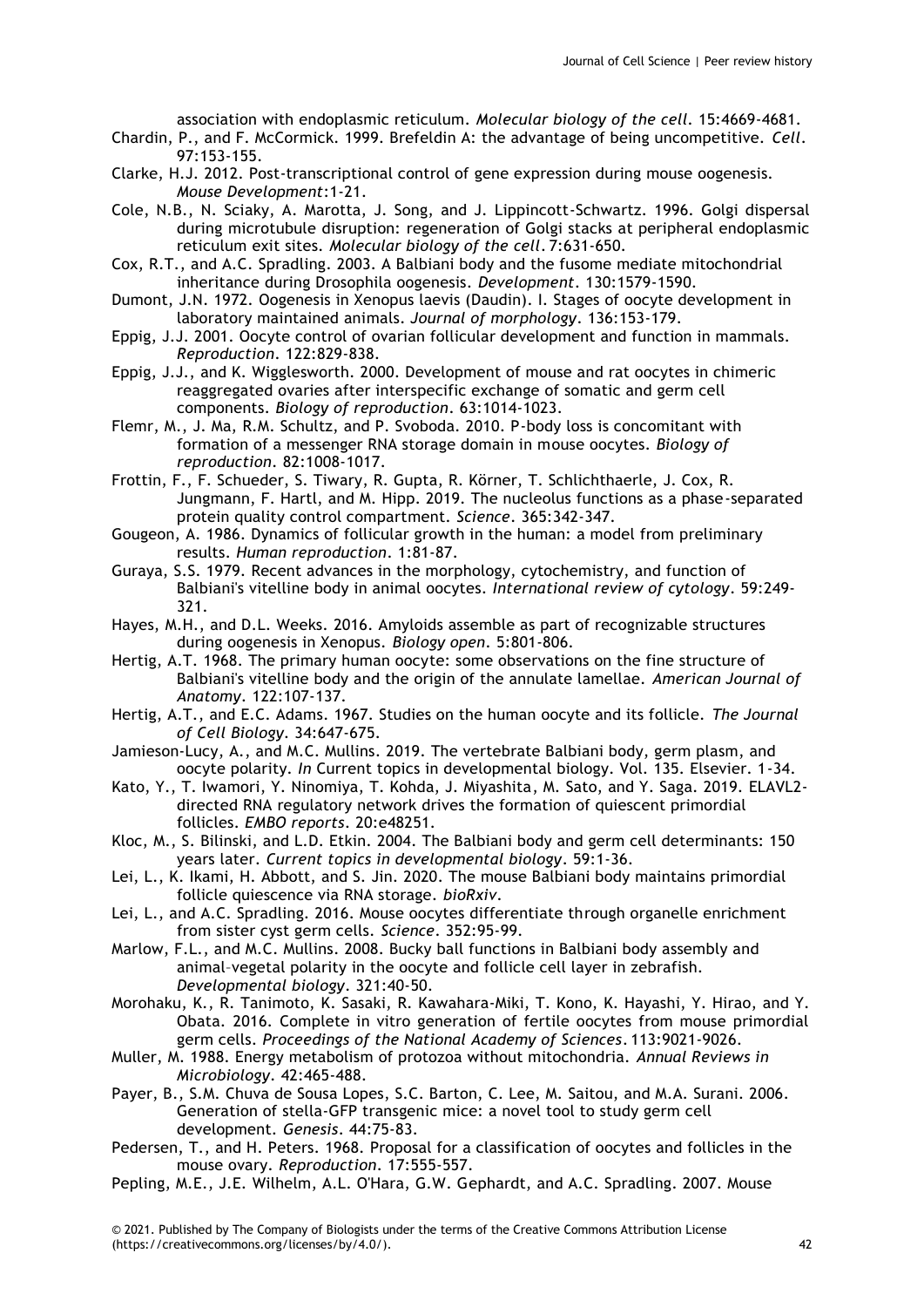association with endoplasmic reticulum. *Molecular biology of the cell*. 15:4669-4681.

Chardin, P., and F. McCormick. 1999. Brefeldin A: the advantage of being uncompetitive. *Cell*. 97:153-155.

- Clarke, H.J. 2012. Post-transcriptional control of gene expression during mouse oogenesis. *Mouse Development*:1-21.
- Cole, N.B., N. Sciaky, A. Marotta, J. Song, and J. Lippincott-Schwartz. 1996. Golgi dispersal during microtubule disruption: regeneration of Golgi stacks at peripheral endoplasmic reticulum exit sites. *Molecular biology of the cell*. 7:631-650.
- Cox, R.T., and A.C. Spradling. 2003. A Balbiani body and the fusome mediate mitochondrial inheritance during Drosophila oogenesis. *Development*. 130:1579-1590.
- Dumont, J.N. 1972. Oogenesis in Xenopus laevis (Daudin). I. Stages of oocyte development in laboratory maintained animals. *Journal of morphology*. 136:153-179.
- Eppig, J.J. 2001. Oocyte control of ovarian follicular development and function in mammals. *Reproduction*. 122:829-838.
- Eppig, J.J., and K. Wigglesworth. 2000. Development of mouse and rat oocytes in chimeric reaggregated ovaries after interspecific exchange of somatic and germ cell components. *Biology of reproduction*. 63:1014-1023.
- Flemr, M., J. Ma, R.M. Schultz, and P. Svoboda. 2010. P-body loss is concomitant with formation of a messenger RNA storage domain in mouse oocytes. *Biology of reproduction*. 82:1008-1017.
- Frottin, F., F. Schueder, S. Tiwary, R. Gupta, R. Körner, T. Schlichthaerle, J. Cox, R. Jungmann, F. Hartl, and M. Hipp. 2019. The nucleolus functions as a phase-separated protein quality control compartment. *Science*. 365:342-347.
- Gougeon, A. 1986. Dynamics of follicular growth in the human: a model from preliminary results. *Human reproduction*. 1:81-87.
- Guraya, S.S. 1979. Recent advances in the morphology, cytochemistry, and function of Balbiani's vitelline body in animal oocytes. *International review of cytology*. 59:249- 321.
- Hayes, M.H., and D.L. Weeks. 2016. Amyloids assemble as part of recognizable structures during oogenesis in Xenopus. *Biology open*. 5:801-806.
- Hertig, A.T. 1968. The primary human oocyte: some observations on the fine structure of Balbiani's vitelline body and the origin of the annulate lamellae. *American Journal of Anatomy*. 122:107-137.
- Hertig, A.T., and E.C. Adams. 1967. Studies on the human oocyte and its follicle. *The Journal of Cell Biology*. 34:647-675.
- Jamieson-Lucy, A., and M.C. Mullins. 2019. The vertebrate Balbiani body, germ plasm, and oocyte polarity. *In* Current topics in developmental biology. Vol. 135. Elsevier. 1-34.
- Kato, Y., T. Iwamori, Y. Ninomiya, T. Kohda, J. Miyashita, M. Sato, and Y. Saga. 2019. ELAVL2 directed RNA regulatory network drives the formation of quiescent primordial follicles. *EMBO reports*. 20:e48251.
- Kloc, M., S. Bilinski, and L.D. Etkin. 2004. The Balbiani body and germ cell determinants: 150 years later. *Current topics in developmental biology*. 59:1-36.
- Lei, L., K. Ikami, H. Abbott, and S. Jin. 2020. The mouse Balbiani body maintains primordial follicle quiescence via RNA storage. *bioRxiv*.
- Lei, L., and A.C. Spradling. 2016. Mouse oocytes differentiate through organelle enrichment from sister cyst germ cells. *Science*. 352:95-99.
- Marlow, F.L., and M.C. Mullins. 2008. Bucky ball functions in Balbiani body assembly and animal–vegetal polarity in the oocyte and follicle cell layer in zebrafish. *Developmental biology*. 321:40-50.
- Morohaku, K., R. Tanimoto, K. Sasaki, R. Kawahara-Miki, T. Kono, K. Hayashi, Y. Hirao, and Y. Obata. 2016. Complete in vitro generation of fertile oocytes from mouse primordial germ cells. *Proceedings of the National Academy of Sciences*. 113:9021-9026.
- Muller, M. 1988. Energy metabolism of protozoa without mitochondria. *Annual Reviews in Microbiology*. 42:465-488.
- Payer, B., S.M. Chuva de Sousa Lopes, S.C. Barton, C. Lee, M. Saitou, and M.A. Surani. 2006. Generation of stella-GFP transgenic mice: a novel tool to study germ cell development. *Genesis*. 44:75-83.
- Pedersen, T., and H. Peters. 1968. Proposal for a classification of oocytes and follicles in the mouse ovary. *Reproduction*. 17:555-557.
- Pepling, M.E., J.E. Wilhelm, A.L. O'Hara, G.W. Gephardt, and A.C. Spradling. 2007. Mouse